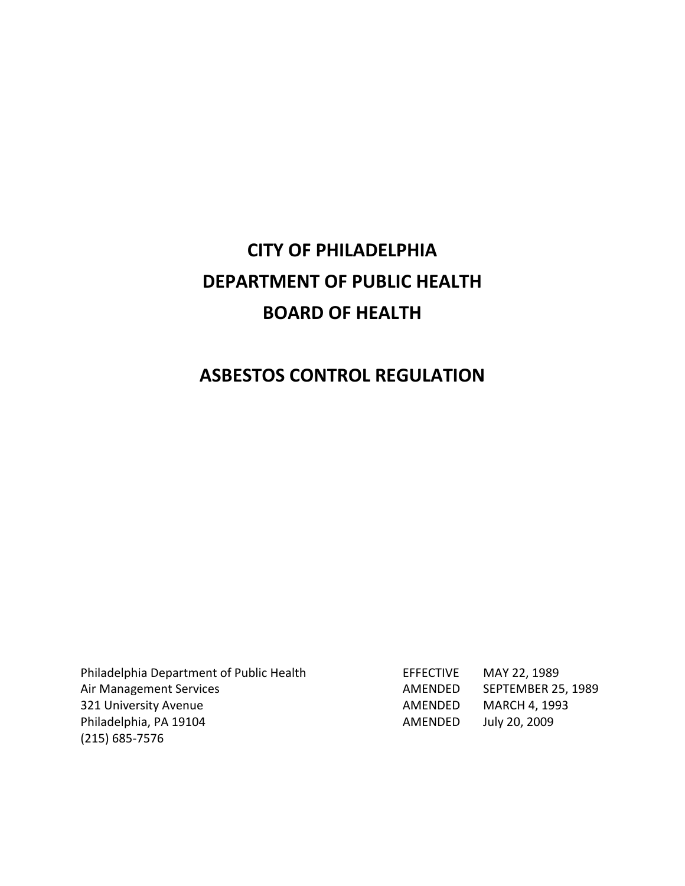# **CITY OF PHILADELPHIA DEPARTMENT OF PUBLIC HEALTH BOARD OF HEALTH**

# **ASBESTOS CONTROL REGULATION**

Philadelphia Department of Public Health Air Management Services 321 University Avenue Philadelphia, PA 19104 (215) 685‐7576

| EFFECTIVE | MAY 22, 1989              |
|-----------|---------------------------|
| AMFNDFD   | <b>SEPTEMBER 25, 1989</b> |
| AMFNDFD   | <b>MARCH 4, 1993</b>      |
| AMFNDFD   | July 20, 2009             |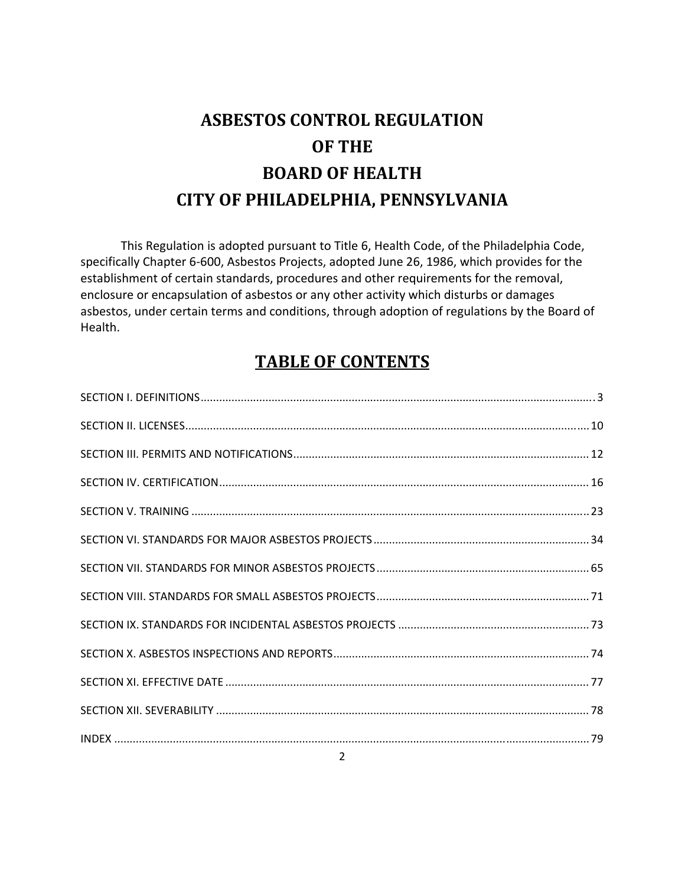# **ASBESTOS CONTROL REGULATION OF THE BOARD OF HEALTH CITY OF PHILADELPHIA, PENNSYLVANIA**

This Regulation is adopted pursuant to Title 6, Health Code, of the Philadelphia Code, specifically Chapter 6‐600, Asbestos Projects, adopted June 26, 1986, which provides for the establishment of certain standards, procedures and other requirements for the removal, enclosure or encapsulation of asbestos or any other activity which disturbs or damages asbestos, under certain terms and conditions, through adoption of regulations by the Board of Health.

# **TABLE OF CONTENTS**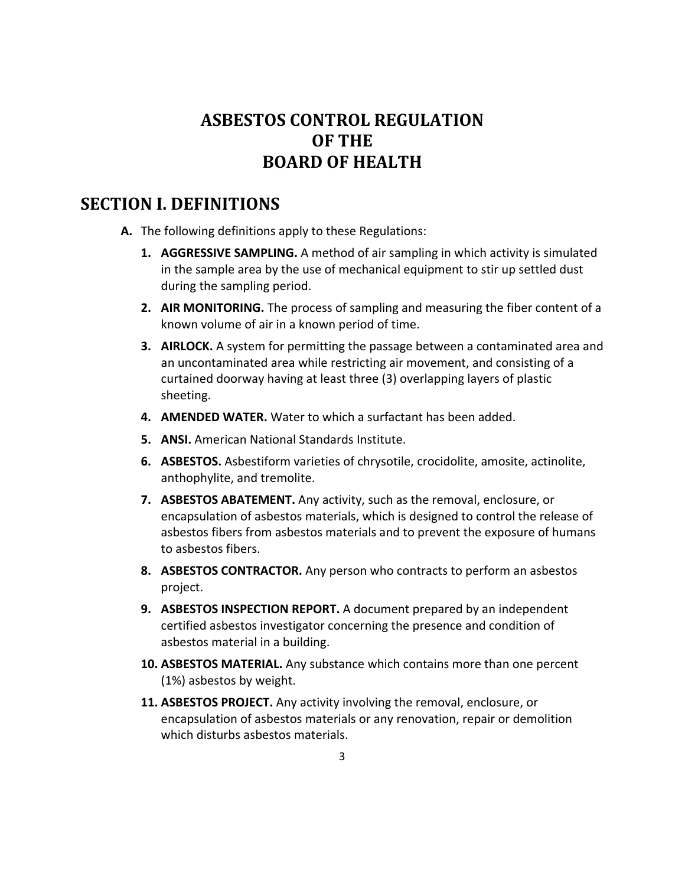# **ASBESTOS CONTROL REGULATION OF THE BOARD OF HEALTH**

# **SECTION I. DEFINITIONS**

- **A.** The following definitions apply to these Regulations:
	- **1. AGGRESSIVE SAMPLING.** A method of air sampling in which activity is simulated in the sample area by the use of mechanical equipment to stir up settled dust during the sampling period.
	- **2. AIR MONITORING.** The process of sampling and measuring the fiber content of a known volume of air in a known period of time.
	- **3. AIRLOCK.** A system for permitting the passage between a contaminated area and an uncontaminated area while restricting air movement, and consisting of a curtained doorway having at least three (3) overlapping layers of plastic sheeting.
	- **4. AMENDED WATER.** Water to which a surfactant has been added.
	- **5. ANSI.** American National Standards Institute.
	- **6. ASBESTOS.** Asbestiform varieties of chrysotile, crocidolite, amosite, actinolite, anthophylite, and tremolite.
	- **7. ASBESTOS ABATEMENT.** Any activity, such as the removal, enclosure, or encapsulation of asbestos materials, which is designed to control the release of asbestos fibers from asbestos materials and to prevent the exposure of humans to asbestos fibers.
	- **8. ASBESTOS CONTRACTOR.** Any person who contracts to perform an asbestos project.
	- **9. ASBESTOS INSPECTION REPORT.** A document prepared by an independent certified asbestos investigator concerning the presence and condition of asbestos material in a building.
	- **10. ASBESTOS MATERIAL.** Any substance which contains more than one percent (1%) asbestos by weight.
	- **11. ASBESTOS PROJECT.** Any activity involving the removal, enclosure, or encapsulation of asbestos materials or any renovation, repair or demolition which disturbs asbestos materials.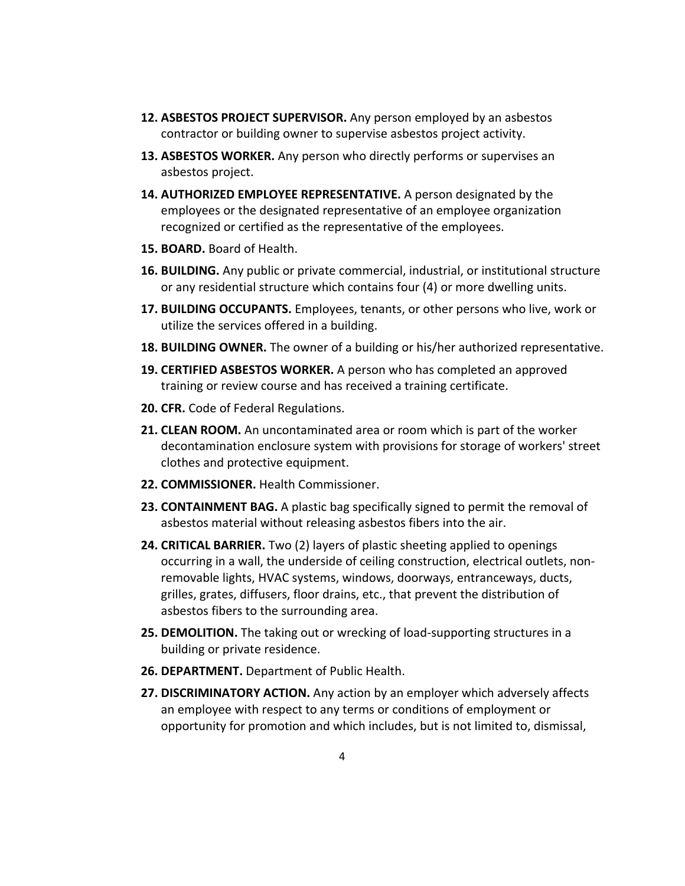- **12. ASBESTOS PROJECT SUPERVISOR.** Any person employed by an asbestos contractor or building owner to supervise asbestos project activity.
- **13. ASBESTOS WORKER.** Any person who directly performs or supervises an asbestos project.
- **14. AUTHORIZED EMPLOYEE REPRESENTATIVE.** A person designated by the employees or the designated representative of an employee organization recognized or certified as the representative of the employees.
- **15. BOARD.** Board of Health.
- **16. BUILDING.** Any public or private commercial, industrial, or institutional structure or any residential structure which contains four (4) or more dwelling units.
- **17. BUILDING OCCUPANTS.** Employees, tenants, or other persons who live, work or utilize the services offered in a building.
- **18. BUILDING OWNER.** The owner of a building or his/her authorized representative.
- **19. CERTIFIED ASBESTOS WORKER.** A person who has completed an approved training or review course and has received a training certificate.
- **20. CFR.** Code of Federal Regulations.
- **21. CLEAN ROOM.** An uncontaminated area or room which is part of the worker decontamination enclosure system with provisions for storage of workers' street clothes and protective equipment.
- **22. COMMISSIONER.** Health Commissioner.
- **23. CONTAINMENT BAG.** A plastic bag specifically signed to permit the removal of asbestos material without releasing asbestos fibers into the air.
- **24. CRITICAL BARRIER.** Two (2) layers of plastic sheeting applied to openings occurring in a wall, the underside of ceiling construction, electrical outlets, non‐ removable lights, HVAC systems, windows, doorways, entranceways, ducts, grilles, grates, diffusers, floor drains, etc., that prevent the distribution of asbestos fibers to the surrounding area.
- **25. DEMOLITION.** The taking out or wrecking of load‐supporting structures in a building or private residence.
- **26. DEPARTMENT.** Department of Public Health.
- **27. DISCRIMINATORY ACTION.** Any action by an employer which adversely affects an employee with respect to any terms or conditions of employment or opportunity for promotion and which includes, but is not limited to, dismissal,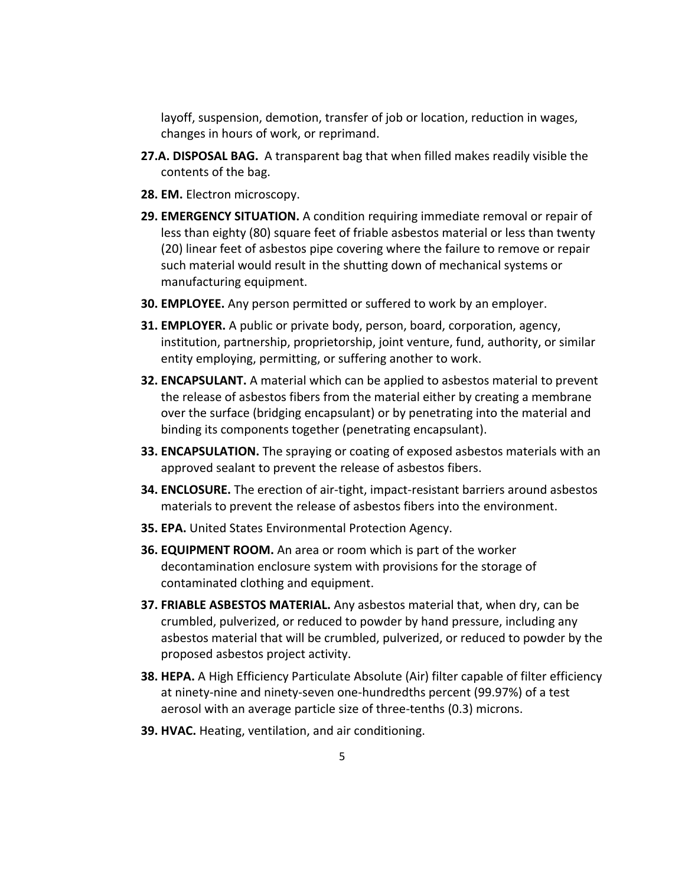layoff, suspension, demotion, transfer of job or location, reduction in wages, changes in hours of work, or reprimand.

- **27.A. DISPOSAL BAG.** A transparent bag that when filled makes readily visible the contents of the bag.
- **28. EM.** Electron microscopy.
- **29. EMERGENCY SITUATION.** A condition requiring immediate removal or repair of less than eighty (80) square feet of friable asbestos material or less than twenty (20) linear feet of asbestos pipe covering where the failure to remove or repair such material would result in the shutting down of mechanical systems or manufacturing equipment.
- **30. EMPLOYEE.** Any person permitted or suffered to work by an employer.
- **31. EMPLOYER.** A public or private body, person, board, corporation, agency, institution, partnership, proprietorship, joint venture, fund, authority, or similar entity employing, permitting, or suffering another to work.
- **32. ENCAPSULANT.** A material which can be applied to asbestos material to prevent the release of asbestos fibers from the material either by creating a membrane over the surface (bridging encapsulant) or by penetrating into the material and binding its components together (penetrating encapsulant).
- **33. ENCAPSULATION.** The spraying or coating of exposed asbestos materials with an approved sealant to prevent the release of asbestos fibers.
- **34. ENCLOSURE.** The erection of air‐tight, impact‐resistant barriers around asbestos materials to prevent the release of asbestos fibers into the environment.
- **35. EPA.** United States Environmental Protection Agency.
- **36. EQUIPMENT ROOM.** An area or room which is part of the worker decontamination enclosure system with provisions for the storage of contaminated clothing and equipment.
- **37. FRIABLE ASBESTOS MATERIAL.** Any asbestos material that, when dry, can be crumbled, pulverized, or reduced to powder by hand pressure, including any asbestos material that will be crumbled, pulverized, or reduced to powder by the proposed asbestos project activity.
- **38. HEPA.** A High Efficiency Particulate Absolute (Air) filter capable of filter efficiency at ninety‐nine and ninety‐seven one‐hundredths percent (99.97%) of a test aerosol with an average particle size of three‐tenths (0.3) microns.
- **39. HVAC.** Heating, ventilation, and air conditioning.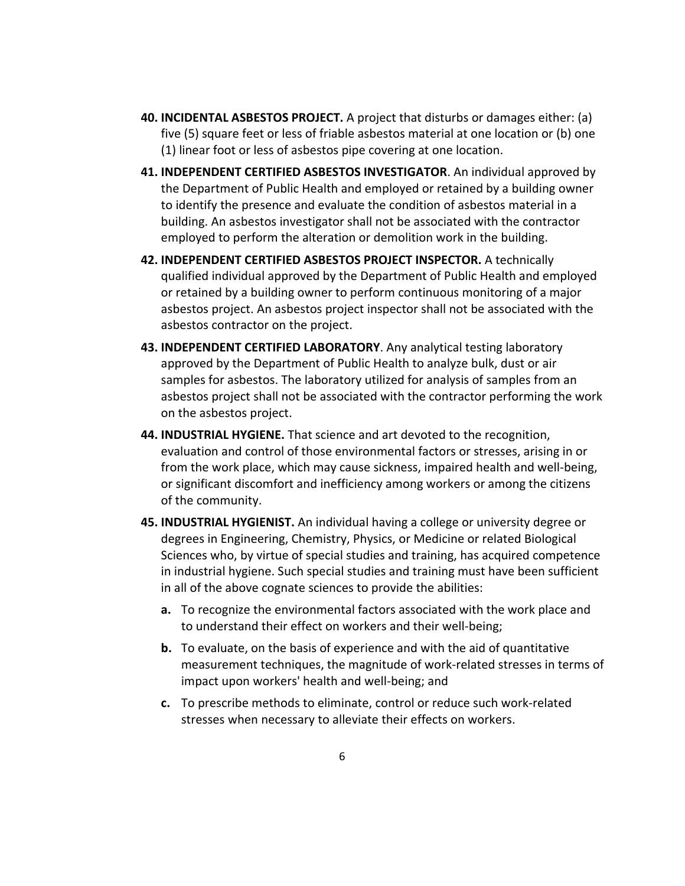- **40. INCIDENTAL ASBESTOS PROJECT.** A project that disturbs or damages either: (a) five (5) square feet or less of friable asbestos material at one location or (b) one (1) linear foot or less of asbestos pipe covering at one location.
- **41. INDEPENDENT CERTIFIED ASBESTOS INVESTIGATOR**. An individual approved by the Department of Public Health and employed or retained by a building owner to identify the presence and evaluate the condition of asbestos material in a building. An asbestos investigator shall not be associated with the contractor employed to perform the alteration or demolition work in the building.
- **42. INDEPENDENT CERTIFIED ASBESTOS PROJECT INSPECTOR.** A technically qualified individual approved by the Department of Public Health and employed or retained by a building owner to perform continuous monitoring of a major asbestos project. An asbestos project inspector shall not be associated with the asbestos contractor on the project.
- **43. INDEPENDENT CERTIFIED LABORATORY**. Any analytical testing laboratory approved by the Department of Public Health to analyze bulk, dust or air samples for asbestos. The laboratory utilized for analysis of samples from an asbestos project shall not be associated with the contractor performing the work on the asbestos project.
- **44. INDUSTRIAL HYGIENE.** That science and art devoted to the recognition, evaluation and control of those environmental factors or stresses, arising in or from the work place, which may cause sickness, impaired health and well‐being, or significant discomfort and inefficiency among workers or among the citizens of the community.
- **45. INDUSTRIAL HYGIENIST.** An individual having a college or university degree or degrees in Engineering, Chemistry, Physics, or Medicine or related Biological Sciences who, by virtue of special studies and training, has acquired competence in industrial hygiene. Such special studies and training must have been sufficient in all of the above cognate sciences to provide the abilities:
	- **a.** To recognize the environmental factors associated with the work place and to understand their effect on workers and their well‐being;
	- **b.** To evaluate, on the basis of experience and with the aid of quantitative measurement techniques, the magnitude of work‐related stresses in terms of impact upon workers' health and well‐being; and
	- **c.** To prescribe methods to eliminate, control or reduce such work‐related stresses when necessary to alleviate their effects on workers.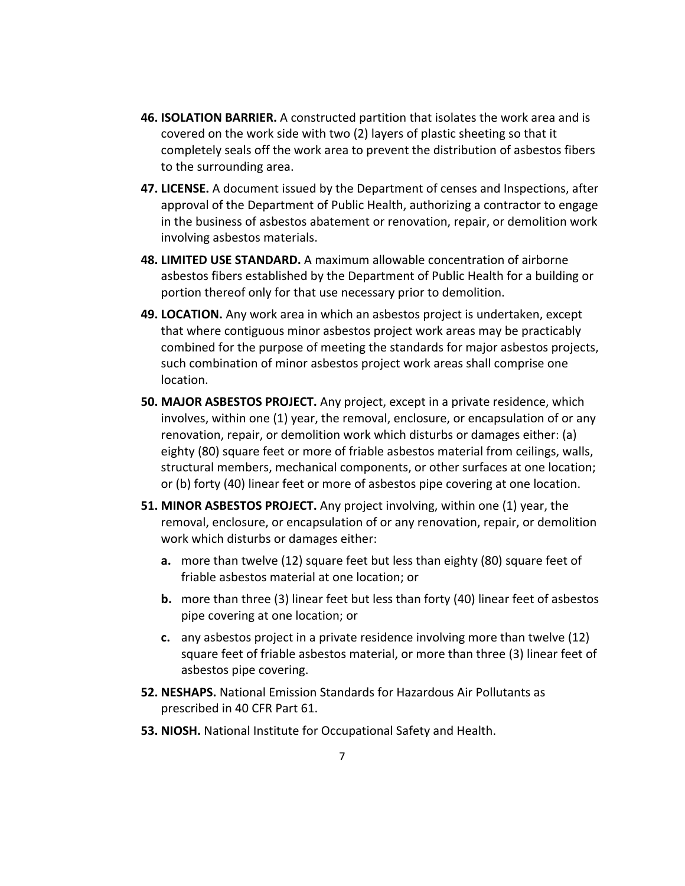- **46. ISOLATION BARRIER.** A constructed partition that isolates the work area and is covered on the work side with two (2) layers of plastic sheeting so that it completely seals off the work area to prevent the distribution of asbestos fibers to the surrounding area.
- **47. LICENSE.** A document issued by the Department of censes and Inspections, after approval of the Department of Public Health, authorizing a contractor to engage in the business of asbestos abatement or renovation, repair, or demolition work involving asbestos materials.
- **48. LIMITED USE STANDARD.** A maximum allowable concentration of airborne asbestos fibers established by the Department of Public Health for a building or portion thereof only for that use necessary prior to demolition.
- **49. LOCATION.** Any work area in which an asbestos project is undertaken, except that where contiguous minor asbestos project work areas may be practicably combined for the purpose of meeting the standards for major asbestos projects, such combination of minor asbestos project work areas shall comprise one location.
- **50. MAJOR ASBESTOS PROJECT.** Any project, except in a private residence, which involves, within one (1) year, the removal, enclosure, or encapsulation of or any renovation, repair, or demolition work which disturbs or damages either: (a) eighty (80) square feet or more of friable asbestos material from ceilings, walls, structural members, mechanical components, or other surfaces at one location; or (b) forty (40) linear feet or more of asbestos pipe covering at one location.
- **51. MINOR ASBESTOS PROJECT.** Any project involving, within one (1) year, the removal, enclosure, or encapsulation of or any renovation, repair, or demolition work which disturbs or damages either:
	- **a.** more than twelve (12) square feet but less than eighty (80) square feet of friable asbestos material at one location; or
	- **b.** more than three (3) linear feet but less than forty (40) linear feet of asbestos pipe covering at one location; or
	- **c.** any asbestos project in a private residence involving more than twelve (12) square feet of friable asbestos material, or more than three (3) linear feet of asbestos pipe covering.
- **52. NESHAPS.** National Emission Standards for Hazardous Air Pollutants as prescribed in 40 CFR Part 61.
- **53. NIOSH.** National Institute for Occupational Safety and Health.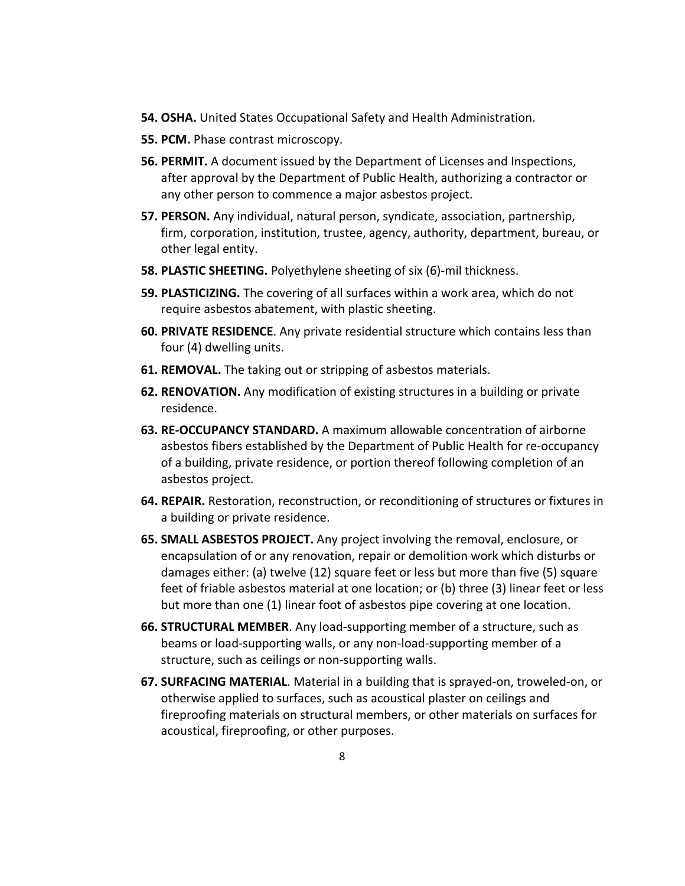- **54. OSHA.** United States Occupational Safety and Health Administration.
- **55. PCM.** Phase contrast microscopy.
- **56. PERMIT.** A document issued by the Department of Licenses and Inspections, after approval by the Department of Public Health, authorizing a contractor or any other person to commence a major asbestos project.
- **57. PERSON.** Any individual, natural person, syndicate, association, partnership, firm, corporation, institution, trustee, agency, authority, department, bureau, or other legal entity.
- **58. PLASTIC SHEETING.** Polyethylene sheeting of six (6)‐mil thickness.
- **59. PLASTICIZING.** The covering of all surfaces within a work area, which do not require asbestos abatement, with plastic sheeting.
- **60. PRIVATE RESIDENCE**. Any private residential structure which contains less than four (4) dwelling units.
- **61. REMOVAL.** The taking out or stripping of asbestos materials.
- **62. RENOVATION.** Any modification of existing structures in a building or private residence.
- **63. RE‐OCCUPANCY STANDARD.** A maximum allowable concentration of airborne asbestos fibers established by the Department of Public Health for re‐occupancy of a building, private residence, or portion thereof following completion of an asbestos project.
- **64. REPAIR.** Restoration, reconstruction, or reconditioning of structures or fixtures in a building or private residence.
- **65. SMALL ASBESTOS PROJECT.** Any project involving the removal, enclosure, or encapsulation of or any renovation, repair or demolition work which disturbs or damages either: (a) twelve (12) square feet or less but more than five (5) square feet of friable asbestos material at one location; or (b) three (3) linear feet or less but more than one (1) linear foot of asbestos pipe covering at one location.
- **66. STRUCTURAL MEMBER**. Any load‐supporting member of a structure, such as beams or load‐supporting walls, or any non‐load‐supporting member of a structure, such as ceilings or non‐supporting walls.
- **67. SURFACING MATERIAL**. Material in a building that is sprayed‐on, troweled‐on, or otherwise applied to surfaces, such as acoustical plaster on ceilings and fireproofing materials on structural members, or other materials on surfaces for acoustical, fireproofing, or other purposes.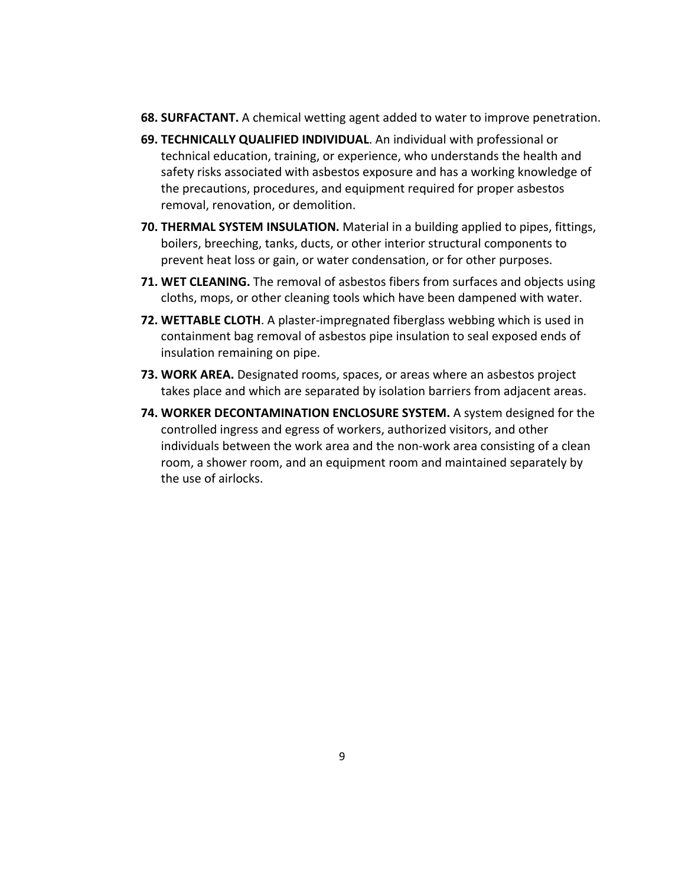- **68. SURFACTANT.** A chemical wetting agent added to water to improve penetration.
- **69. TECHNICALLY QUALIFIED INDIVIDUAL**. An individual with professional or technical education, training, or experience, who understands the health and safety risks associated with asbestos exposure and has a working knowledge of the precautions, procedures, and equipment required for proper asbestos removal, renovation, or demolition.
- **70. THERMAL SYSTEM INSULATION.** Material in a building applied to pipes, fittings, boilers, breeching, tanks, ducts, or other interior structural components to prevent heat loss or gain, or water condensation, or for other purposes.
- **71. WET CLEANING.** The removal of asbestos fibers from surfaces and objects using cloths, mops, or other cleaning tools which have been dampened with water.
- **72. WETTABLE CLOTH**. A plaster‐impregnated fiberglass webbing which is used in containment bag removal of asbestos pipe insulation to seal exposed ends of insulation remaining on pipe.
- **73. WORK AREA.** Designated rooms, spaces, or areas where an asbestos project takes place and which are separated by isolation barriers from adjacent areas.
- **74. WORKER DECONTAMINATION ENCLOSURE SYSTEM.** A system designed for the controlled ingress and egress of workers, authorized visitors, and other individuals between the work area and the non‐work area consisting of a clean room, a shower room, and an equipment room and maintained separately by the use of airlocks.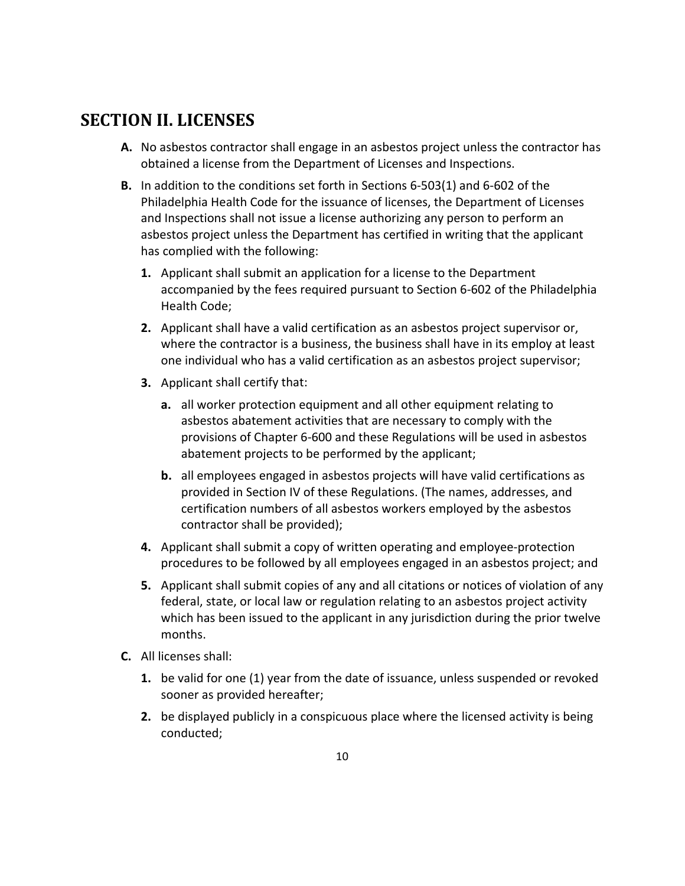## **SECTION II. LICENSES**

- **A.** No asbestos contractor shall engage in an asbestos project unless the contractor has obtained a license from the Department of Licenses and Inspections.
- **B.** In addition to the conditions set forth in Sections 6‐503(1) and 6‐602 of the Philadelphia Health Code for the issuance of licenses, the Department of Licenses and Inspections shall not issue a license authorizing any person to perform an asbestos project unless the Department has certified in writing that the applicant has complied with the following:
	- **1.** Applicant shall submit an application for a license to the Department accompanied by the fees required pursuant to Section 6‐602 of the Philadelphia Health Code;
	- **2.** Applicant shall have a valid certification as an asbestos project supervisor or, where the contractor is a business, the business shall have in its employ at least one individual who has a valid certification as an asbestos project supervisor;
	- **3.** Applicant shall certify that:
		- **a.** all worker protection equipment and all other equipment relating to asbestos abatement activities that are necessary to comply with the provisions of Chapter 6‐600 and these Regulations will be used in asbestos abatement projects to be performed by the applicant;
		- **b.** all employees engaged in asbestos projects will have valid certifications as provided in Section IV of these Regulations. (The names, addresses, and certification numbers of all asbestos workers employed by the asbestos contractor shall be provided);
	- **4.** Applicant shall submit a copy of written operating and employee‐protection procedures to be followed by all employees engaged in an asbestos project; and
	- **5.** Applicant shall submit copies of any and all citations or notices of violation of any federal, state, or local law or regulation relating to an asbestos project activity which has been issued to the applicant in any jurisdiction during the prior twelve months.
- **C.** All licenses shall:
	- **1.** be valid for one (1) year from the date of issuance, unless suspended or revoked sooner as provided hereafter;
	- **2.** be displayed publicly in a conspicuous place where the licensed activity is being conducted;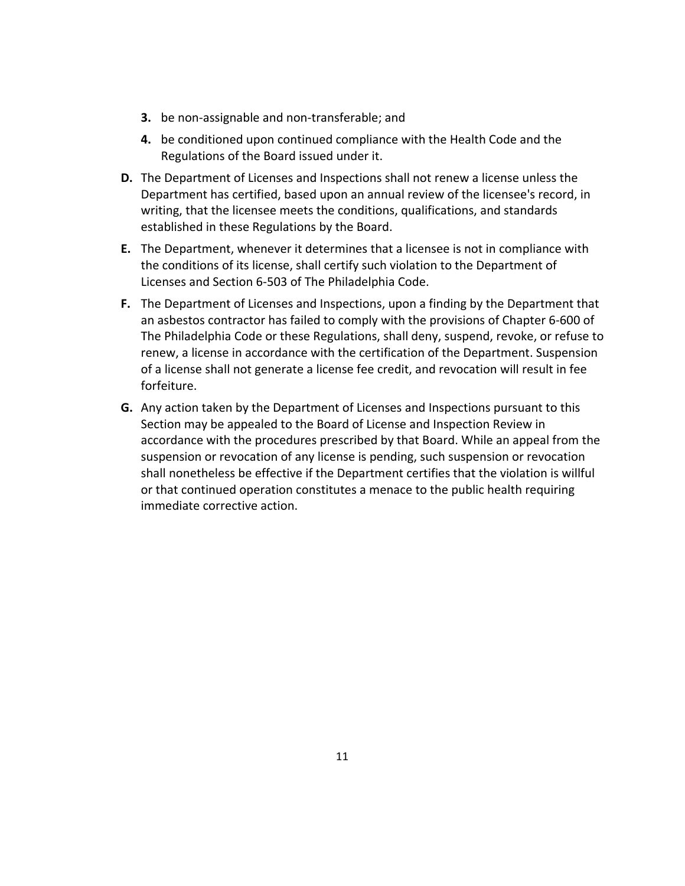- **3.** be non-assignable and non-transferable; and
- **4.** be conditioned upon continued compliance with the Health Code and the Regulations of the Board issued under it.
- **D.** The Department of Licenses and Inspections shall not renew a license unless the Department has certified, based upon an annual review of the licensee's record, in writing, that the licensee meets the conditions, qualifications, and standards established in these Regulations by the Board.
- **E.** The Department, whenever it determines that a licensee is not in compliance with the conditions of its license, shall certify such violation to the Department of Licenses and Section 6‐503 of The Philadelphia Code.
- **F.** The Department of Licenses and Inspections, upon a finding by the Department that an asbestos contractor has failed to comply with the provisions of Chapter 6‐600 of The Philadelphia Code or these Regulations, shall deny, suspend, revoke, or refuse to renew, a license in accordance with the certification of the Department. Suspension of a license shall not generate a license fee credit, and revocation will result in fee forfeiture.
- **G.** Any action taken by the Department of Licenses and Inspections pursuant to this Section may be appealed to the Board of License and Inspection Review in accordance with the procedures prescribed by that Board. While an appeal from the suspension or revocation of any license is pending, such suspension or revocation shall nonetheless be effective if the Department certifies that the violation is willful or that continued operation constitutes a menace to the public health requiring immediate corrective action.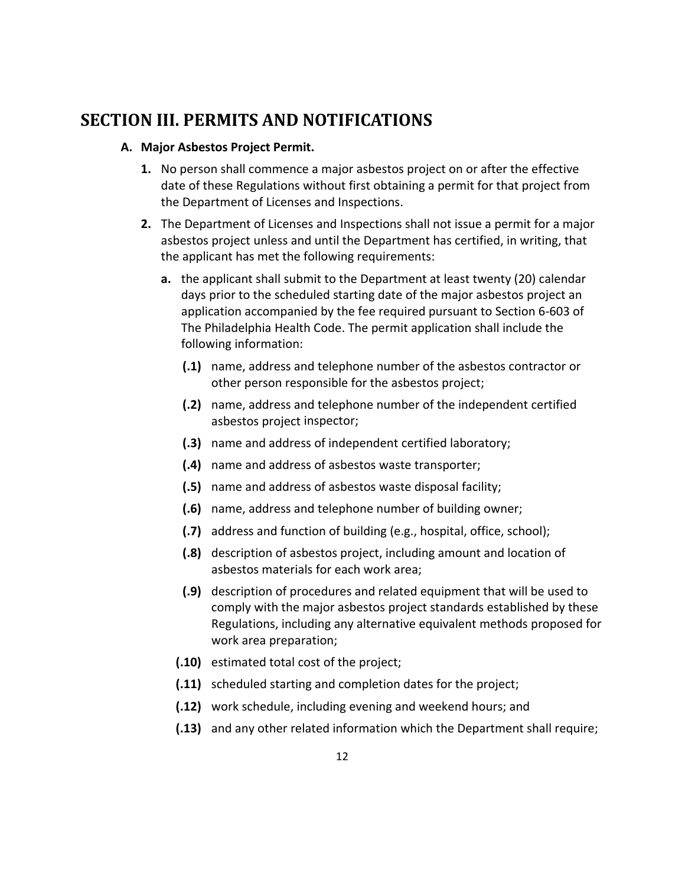### **SECTION III. PERMITS AND NOTIFICATIONS**

#### **A. Major Asbestos Project Permit.**

- **1.** No person shall commence a major asbestos project on or after the effective date of these Regulations without first obtaining a permit for that project from the Department of Licenses and Inspections.
- **2.** The Department of Licenses and Inspections shall not issue a permit for a major asbestos project unless and until the Department has certified, in writing, that the applicant has met the following requirements:
	- **a.** the applicant shall submit to the Department at least twenty (20) calendar days prior to the scheduled starting date of the major asbestos project an application accompanied by the fee required pursuant to Section 6‐603 of The Philadelphia Health Code. The permit application shall include the following information:
		- **(.1)** name, address and telephone number of the asbestos contractor or other person responsible for the asbestos project;
		- **(.2)** name, address and telephone number of the independent certified asbestos project inspector;
		- **(.3)** name and address of independent certified laboratory;
		- **(.4)** name and address of asbestos waste transporter;
		- **(.5)** name and address of asbestos waste disposal facility;
		- **(.6)** name, address and telephone number of building owner;
		- **(.7)** address and function of building (e.g., hospital, office, school);
		- **(.8)** description of asbestos project, including amount and location of asbestos materials for each work area;
		- **(.9)** description of procedures and related equipment that will be used to comply with the major asbestos project standards established by these Regulations, including any alternative equivalent methods proposed for work area preparation;
		- **(.10)** estimated total cost of the project;
		- **(.11)** scheduled starting and completion dates for the project;
		- **(.12)** work schedule, including evening and weekend hours; and
		- **(.13)** and any other related information which the Department shall require;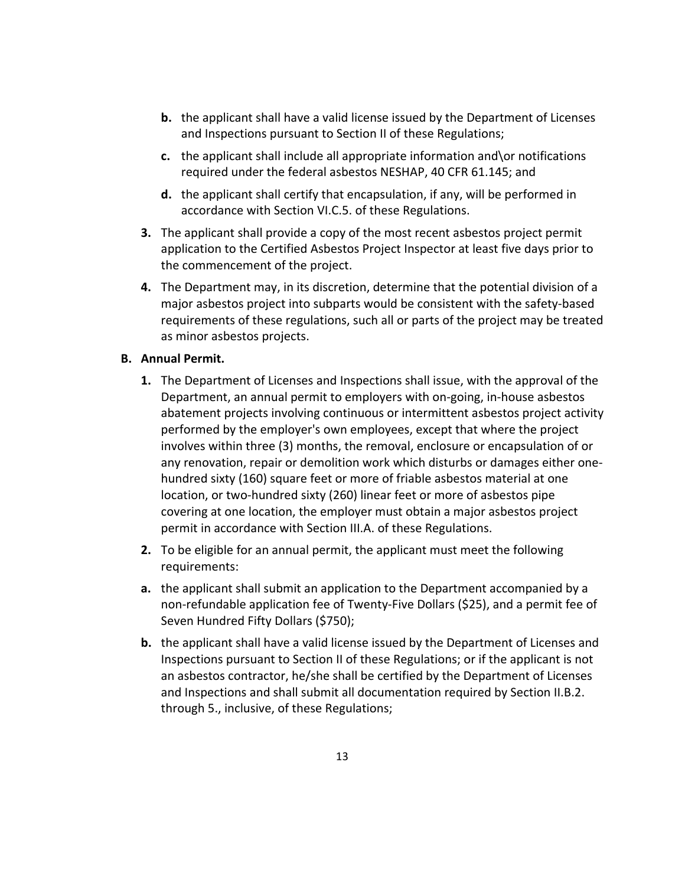- **b.** the applicant shall have a valid license issued by the Department of Licenses and Inspections pursuant to Section II of these Regulations;
- **c.** the applicant shall include all appropriate information and\or notifications required under the federal asbestos NESHAP, 40 CFR 61.145; and
- **d.** the applicant shall certify that encapsulation, if any, will be performed in accordance with Section VI.C.5. of these Regulations.
- **3.** The applicant shall provide a copy of the most recent asbestos project permit application to the Certified Asbestos Project Inspector at least five days prior to the commencement of the project.
- **4.** The Department may, in its discretion, determine that the potential division of a major asbestos project into subparts would be consistent with the safety‐based requirements of these regulations, such all or parts of the project may be treated as minor asbestos projects.

#### **B. Annual Permit.**

- **1.** The Department of Licenses and Inspections shall issue, with the approval of the Department, an annual permit to employers with on‐going, in‐house asbestos abatement projects involving continuous or intermittent asbestos project activity performed by the employer's own employees, except that where the project involves within three (3) months, the removal, enclosure or encapsulation of or any renovation, repair or demolition work which disturbs or damages either one‐ hundred sixty (160) square feet or more of friable asbestos material at one location, or two‐hundred sixty (260) linear feet or more of asbestos pipe covering at one location, the employer must obtain a major asbestos project permit in accordance with Section III.A. of these Regulations.
- **2.** To be eligible for an annual permit, the applicant must meet the following requirements:
- **a.** the applicant shall submit an application to the Department accompanied by a non‐refundable application fee of Twenty‐Five Dollars (\$25), and a permit fee of Seven Hundred Fifty Dollars (\$750);
- **b.** the applicant shall have a valid license issued by the Department of Licenses and Inspections pursuant to Section II of these Regulations; or if the applicant is not an asbestos contractor, he/she shall be certified by the Department of Licenses and Inspections and shall submit all documentation required by Section II.B.2. through 5., inclusive, of these Regulations;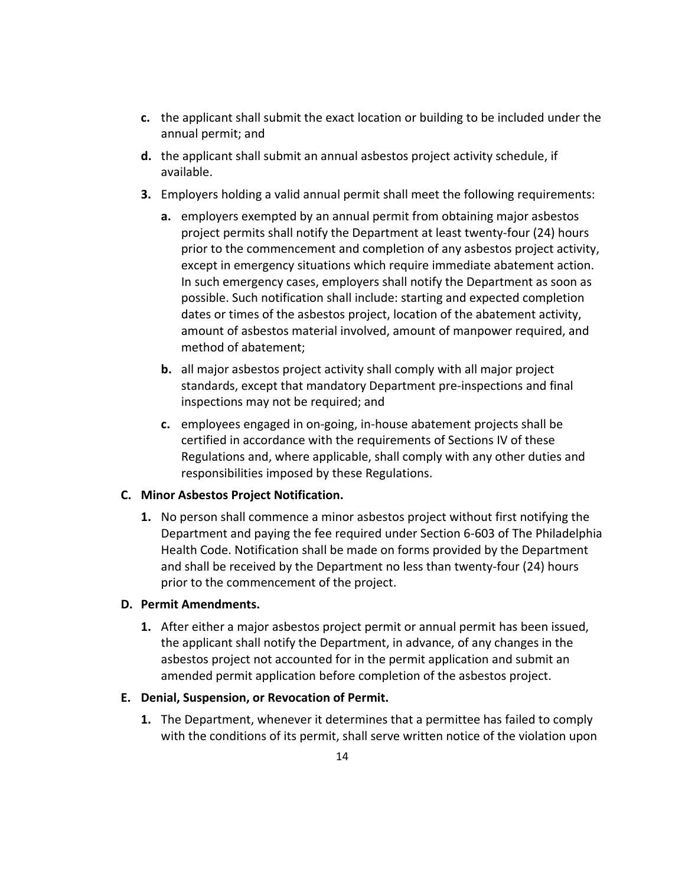- **c.** the applicant shall submit the exact location or building to be included under the annual permit; and
- **d.** the applicant shall submit an annual asbestos project activity schedule, if available.
- **3.** Employers holding a valid annual permit shall meet the following requirements:
	- **a.** employers exempted by an annual permit from obtaining major asbestos project permits shall notify the Department at least twenty‐four (24) hours prior to the commencement and completion of any asbestos project activity, except in emergency situations which require immediate abatement action. In such emergency cases, employers shall notify the Department as soon as possible. Such notification shall include: starting and expected completion dates or times of the asbestos project, location of the abatement activity, amount of asbestos material involved, amount of manpower required, and method of abatement;
	- **b.** all major asbestos project activity shall comply with all major project standards, except that mandatory Department pre‐inspections and final inspections may not be required; and
	- **c.** employees engaged in on‐going, in‐house abatement projects shall be certified in accordance with the requirements of Sections IV of these Regulations and, where applicable, shall comply with any other duties and responsibilities imposed by these Regulations.

#### **C. Minor Asbestos Project Notification.**

**1.** No person shall commence a minor asbestos project without first notifying the Department and paying the fee required under Section 6‐603 of The Philadelphia Health Code. Notification shall be made on forms provided by the Department and shall be received by the Department no less than twenty‐four (24) hours prior to the commencement of the project.

#### **D. Permit Amendments.**

**1.** After either a major asbestos project permit or annual permit has been issued, the applicant shall notify the Department, in advance, of any changes in the asbestos project not accounted for in the permit application and submit an amended permit application before completion of the asbestos project.

#### **E. Denial, Suspension, or Revocation of Permit.**

**1.** The Department, whenever it determines that a permittee has failed to comply with the conditions of its permit, shall serve written notice of the violation upon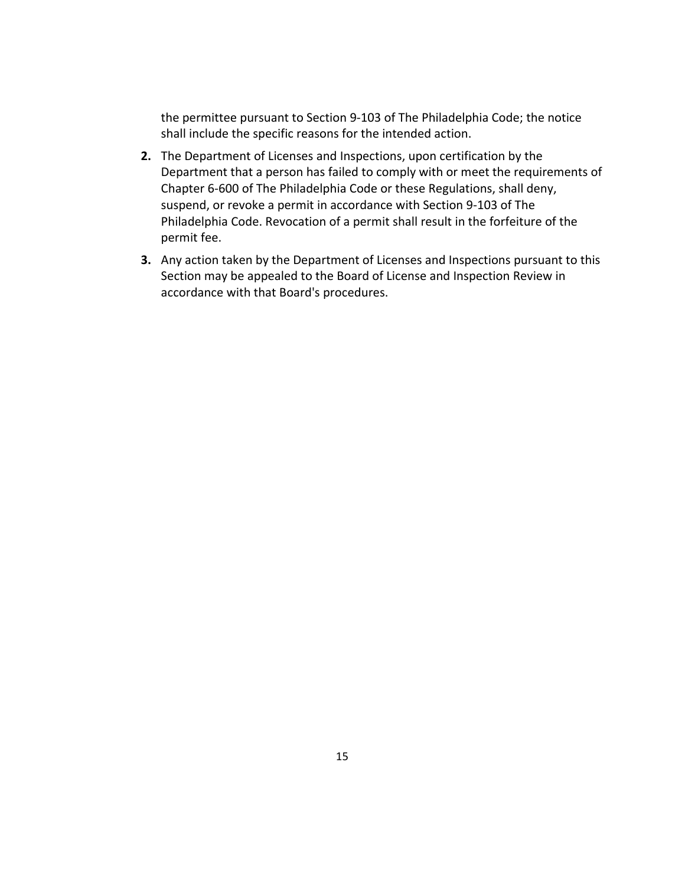the permittee pursuant to Section 9‐103 of The Philadelphia Code; the notice shall include the specific reasons for the intended action.

- **2.** The Department of Licenses and Inspections, upon certification by the Department that a person has failed to comply with or meet the requirements of Chapter 6‐600 of The Philadelphia Code or these Regulations, shall deny, suspend, or revoke a permit in accordance with Section 9‐103 of The Philadelphia Code. Revocation of a permit shall result in the forfeiture of the permit fee.
- **3.** Any action taken by the Department of Licenses and Inspections pursuant to this Section may be appealed to the Board of License and Inspection Review in accordance with that Board's procedures.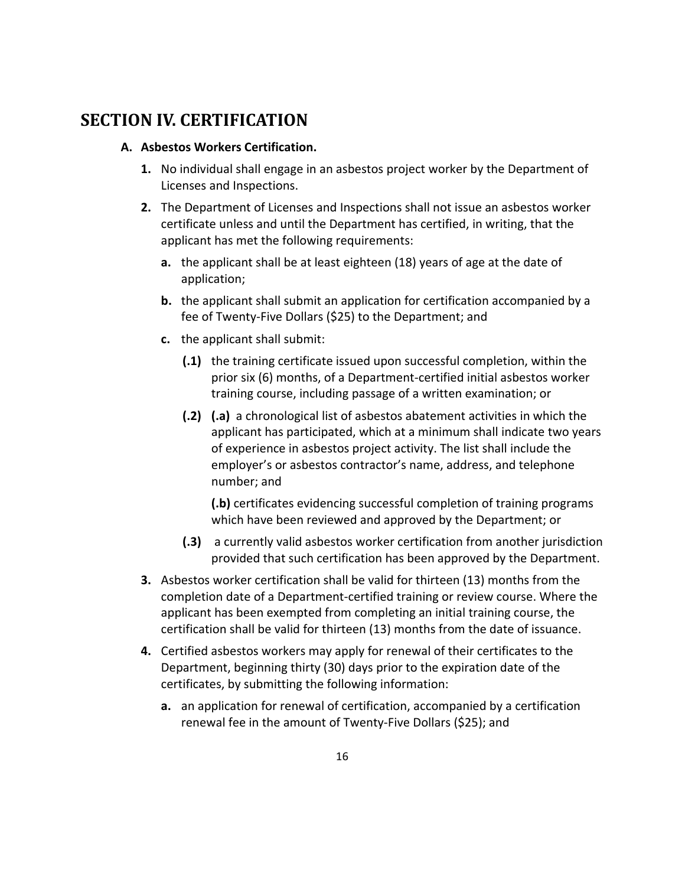### **SECTION IV. CERTIFICATION**

#### **A. Asbestos Workers Certification.**

- **1.** No individual shall engage in an asbestos project worker by the Department of Licenses and Inspections.
- **2.** The Department of Licenses and Inspections shall not issue an asbestos worker certificate unless and until the Department has certified, in writing, that the applicant has met the following requirements:
	- **a.** the applicant shall be at least eighteen (18) years of age at the date of application;
	- **b.** the applicant shall submit an application for certification accompanied by a fee of Twenty‐Five Dollars (\$25) to the Department; and
	- **c.** the applicant shall submit:
		- **(.1)** the training certificate issued upon successful completion, within the prior six (6) months, of a Department‐certified initial asbestos worker training course, including passage of a written examination; or
		- **(.2) (.a)** a chronological list of asbestos abatement activities in which the applicant has participated, which at a minimum shall indicate two years of experience in asbestos project activity. The list shall include the employer's or asbestos contractor's name, address, and telephone number; and

**(.b)** certificates evidencing successful completion of training programs which have been reviewed and approved by the Department; or

- **(.3)** a currently valid asbestos worker certification from another jurisdiction provided that such certification has been approved by the Department.
- **3.** Asbestos worker certification shall be valid for thirteen (13) months from the completion date of a Department‐certified training or review course. Where the applicant has been exempted from completing an initial training course, the certification shall be valid for thirteen (13) months from the date of issuance.
- **4.** Certified asbestos workers may apply for renewal of their certificates to the Department, beginning thirty (30) days prior to the expiration date of the certificates, by submitting the following information:
	- **a.** an application for renewal of certification, accompanied by a certification renewal fee in the amount of Twenty‐Five Dollars (\$25); and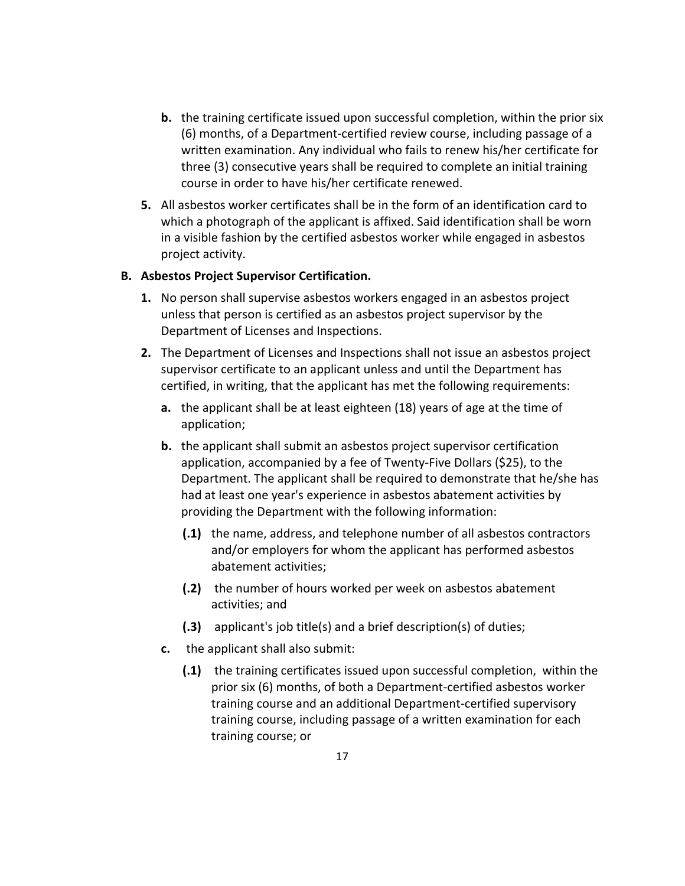- **b.** the training certificate issued upon successful completion, within the prior six (6) months, of a Department‐certified review course, including passage of a written examination. Any individual who fails to renew his/her certificate for three (3) consecutive years shall be required to complete an initial training course in order to have his/her certificate renewed.
- **5.** All asbestos worker certificates shall be in the form of an identification card to which a photograph of the applicant is affixed. Said identification shall be worn in a visible fashion by the certified asbestos worker while engaged in asbestos project activity.

#### **B. Asbestos Project Supervisor Certification.**

- **1.** No person shall supervise asbestos workers engaged in an asbestos project unless that person is certified as an asbestos project supervisor by the Department of Licenses and Inspections.
- **2.** The Department of Licenses and Inspections shall not issue an asbestos project supervisor certificate to an applicant unless and until the Department has certified, in writing, that the applicant has met the following requirements:
	- **a.** the applicant shall be at least eighteen (18) years of age at the time of application;
	- **b.** the applicant shall submit an asbestos project supervisor certification application, accompanied by a fee of Twenty‐Five Dollars (\$25), to the Department. The applicant shall be required to demonstrate that he/she has had at least one year's experience in asbestos abatement activities by providing the Department with the following information:
		- **(.1)** the name, address, and telephone number of all asbestos contractors and/or employers for whom the applicant has performed asbestos abatement activities;
		- **(.2)** the number of hours worked per week on asbestos abatement activities; and
		- **(.3)** applicant's job title(s) and a brief description(s) of duties;
	- **c.** the applicant shall also submit:
		- **(.1)** the training certificates issued upon successful completion, within the prior six (6) months, of both a Department‐certified asbestos worker training course and an additional Department‐certified supervisory training course, including passage of a written examination for each training course; or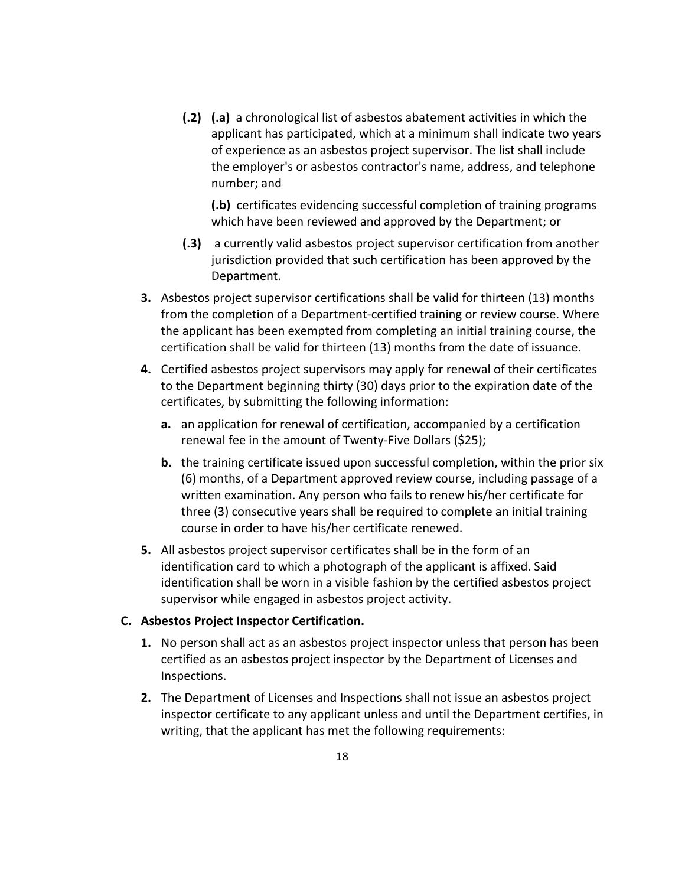**(.2) (.a)** a chronological list of asbestos abatement activities in which the applicant has participated, which at a minimum shall indicate two years of experience as an asbestos project supervisor. The list shall include the employer's or asbestos contractor's name, address, and telephone number; and

**(.b)** certificates evidencing successful completion of training programs which have been reviewed and approved by the Department; or

- **(.3)** a currently valid asbestos project supervisor certification from another jurisdiction provided that such certification has been approved by the Department.
- **3.** Asbestos project supervisor certifications shall be valid for thirteen (13) months from the completion of a Department‐certified training or review course. Where the applicant has been exempted from completing an initial training course, the certification shall be valid for thirteen (13) months from the date of issuance.
- **4.** Certified asbestos project supervisors may apply for renewal of their certificates to the Department beginning thirty (30) days prior to the expiration date of the certificates, by submitting the following information:
	- **a.** an application for renewal of certification, accompanied by a certification renewal fee in the amount of Twenty‐Five Dollars (\$25);
	- **b.** the training certificate issued upon successful completion, within the prior six (6) months, of a Department approved review course, including passage of a written examination. Any person who fails to renew his/her certificate for three (3) consecutive years shall be required to complete an initial training course in order to have his/her certificate renewed.
- **5.** All asbestos project supervisor certificates shall be in the form of an identification card to which a photograph of the applicant is affixed. Said identification shall be worn in a visible fashion by the certified asbestos project supervisor while engaged in asbestos project activity.

#### **C. Asbestos Project Inspector Certification.**

- **1.** No person shall act as an asbestos project inspector unless that person has been certified as an asbestos project inspector by the Department of Licenses and Inspections.
- **2.** The Department of Licenses and Inspections shall not issue an asbestos project inspector certificate to any applicant unless and until the Department certifies, in writing, that the applicant has met the following requirements: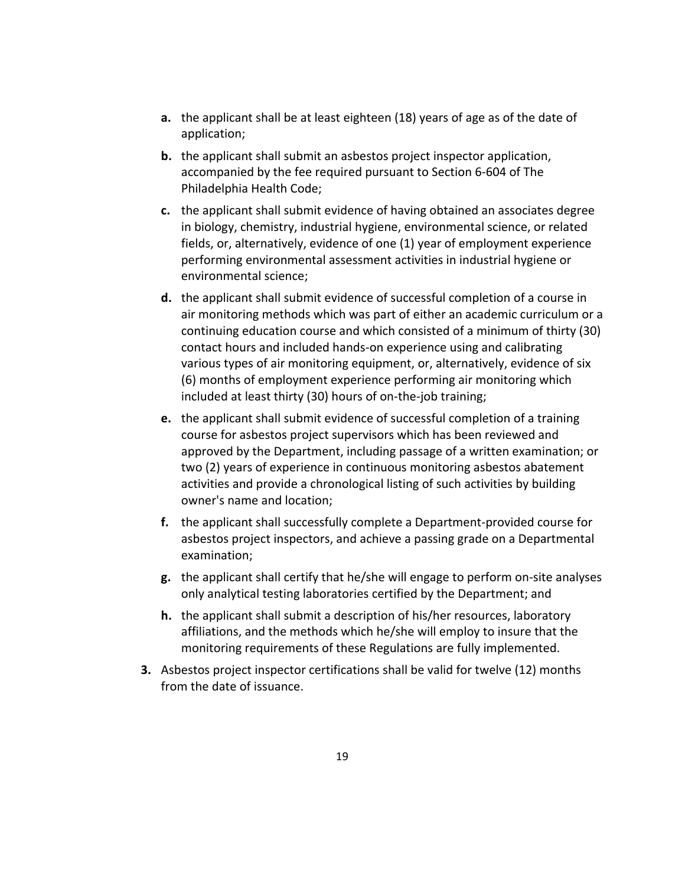- **a.** the applicant shall be at least eighteen (18) years of age as of the date of application;
- **b.** the applicant shall submit an asbestos project inspector application, accompanied by the fee required pursuant to Section 6‐604 of The Philadelphia Health Code;
- **c.** the applicant shall submit evidence of having obtained an associates degree in biology, chemistry, industrial hygiene, environmental science, or related fields, or, alternatively, evidence of one (1) year of employment experience performing environmental assessment activities in industrial hygiene or environmental science;
- **d.** the applicant shall submit evidence of successful completion of a course in air monitoring methods which was part of either an academic curriculum or a continuing education course and which consisted of a minimum of thirty (30) contact hours and included hands‐on experience using and calibrating various types of air monitoring equipment, or, alternatively, evidence of six (6) months of employment experience performing air monitoring which included at least thirty (30) hours of on‐the‐job training;
- **e.** the applicant shall submit evidence of successful completion of a training course for asbestos project supervisors which has been reviewed and approved by the Department, including passage of a written examination; or two (2) years of experience in continuous monitoring asbestos abatement activities and provide a chronological listing of such activities by building owner's name and location;
- **f.** the applicant shall successfully complete a Department‐provided course for asbestos project inspectors, and achieve a passing grade on a Departmental examination;
- **g.** the applicant shall certify that he/she will engage to perform on‐site analyses only analytical testing laboratories certified by the Department; and
- **h.** the applicant shall submit a description of his/her resources, laboratory affiliations, and the methods which he/she will employ to insure that the monitoring requirements of these Regulations are fully implemented.
- **3.** Asbestos project inspector certifications shall be valid for twelve (12) months from the date of issuance.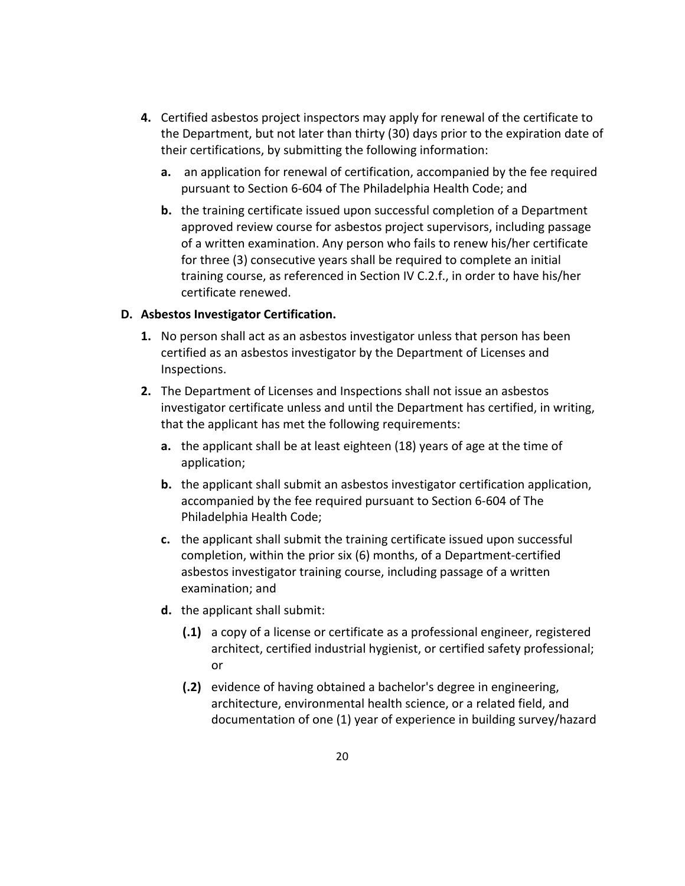- **4.** Certified asbestos project inspectors may apply for renewal of the certificate to the Department, but not later than thirty (30) days prior to the expiration date of their certifications, by submitting the following information:
	- **a.** an application for renewal of certification, accompanied by the fee required pursuant to Section 6‐604 of The Philadelphia Health Code; and
	- **b.** the training certificate issued upon successful completion of a Department approved review course for asbestos project supervisors, including passage of a written examination. Any person who fails to renew his/her certificate for three (3) consecutive years shall be required to complete an initial training course, as referenced in Section IV C.2.f., in order to have his/her certificate renewed.

#### **D. Asbestos Investigator Certification.**

- **1.** No person shall act as an asbestos investigator unless that person has been certified as an asbestos investigator by the Department of Licenses and Inspections.
- **2.** The Department of Licenses and Inspections shall not issue an asbestos investigator certificate unless and until the Department has certified, in writing, that the applicant has met the following requirements:
	- **a.** the applicant shall be at least eighteen (18) years of age at the time of application;
	- **b.** the applicant shall submit an asbestos investigator certification application, accompanied by the fee required pursuant to Section 6‐604 of The Philadelphia Health Code;
	- **c.** the applicant shall submit the training certificate issued upon successful completion, within the prior six (6) months, of a Department‐certified asbestos investigator training course, including passage of a written examination; and
	- **d.** the applicant shall submit:
		- **(.1)** a copy of a license or certificate as a professional engineer, registered architect, certified industrial hygienist, or certified safety professional; or
		- **(.2)** evidence of having obtained a bachelor's degree in engineering, architecture, environmental health science, or a related field, and documentation of one (1) year of experience in building survey/hazard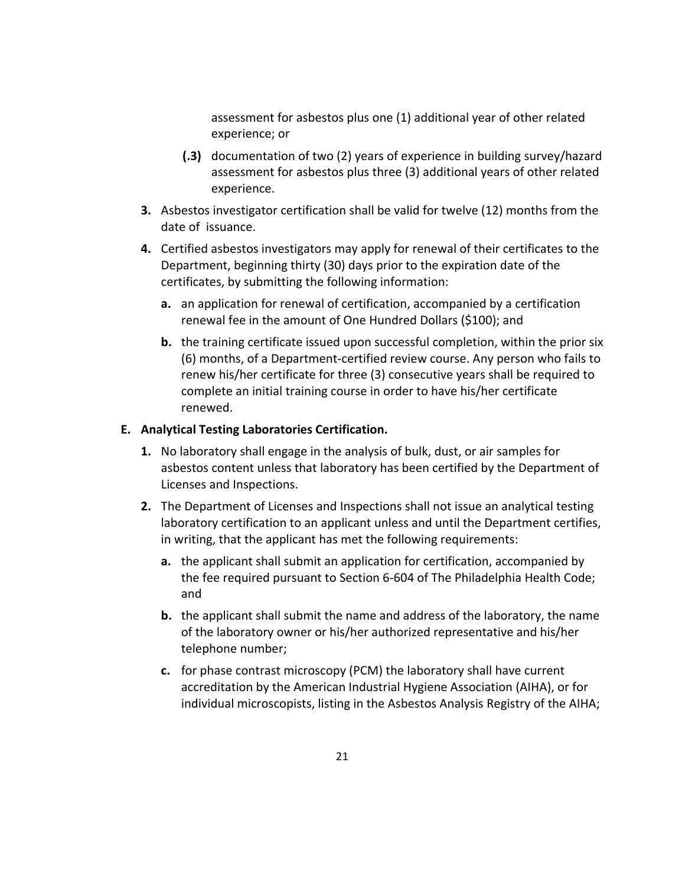assessment for asbestos plus one (1) additional year of other related experience; or

- **(.3)** documentation of two (2) years of experience in building survey/hazard assessment for asbestos plus three (3) additional years of other related experience.
- **3.** Asbestos investigator certification shall be valid for twelve (12) months from the date of issuance.
- **4.** Certified asbestos investigators may apply for renewal of their certificates to the Department, beginning thirty (30) days prior to the expiration date of the certificates, by submitting the following information:
	- **a.** an application for renewal of certification, accompanied by a certification renewal fee in the amount of One Hundred Dollars (\$100); and
	- **b.** the training certificate issued upon successful completion, within the prior six (6) months, of a Department‐certified review course. Any person who fails to renew his/her certificate for three (3) consecutive years shall be required to complete an initial training course in order to have his/her certificate renewed.

#### **E. Analytical Testing Laboratories Certification.**

- **1.** No laboratory shall engage in the analysis of bulk, dust, or air samples for asbestos content unless that laboratory has been certified by the Department of Licenses and Inspections.
- **2.** The Department of Licenses and Inspections shall not issue an analytical testing laboratory certification to an applicant unless and until the Department certifies, in writing, that the applicant has met the following requirements:
	- **a.** the applicant shall submit an application for certification, accompanied by the fee required pursuant to Section 6‐604 of The Philadelphia Health Code; and
	- **b.** the applicant shall submit the name and address of the laboratory, the name of the laboratory owner or his/her authorized representative and his/her telephone number;
	- **c.** for phase contrast microscopy (PCM) the laboratory shall have current accreditation by the American Industrial Hygiene Association (AIHA), or for individual microscopists, listing in the Asbestos Analysis Registry of the AIHA;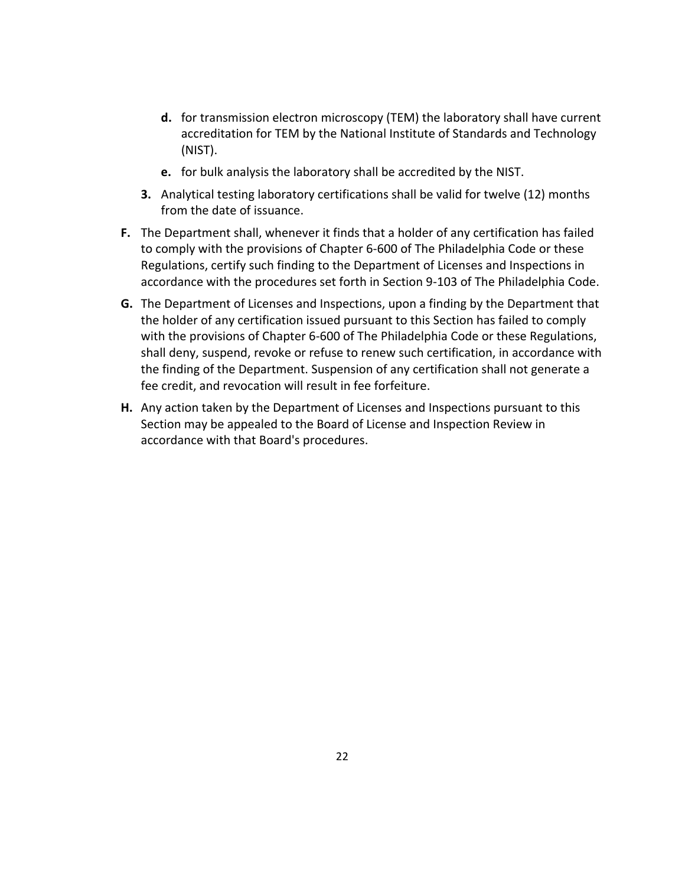- **d.** for transmission electron microscopy (TEM) the laboratory shall have current accreditation for TEM by the National Institute of Standards and Technology (NIST).
- **e.** for bulk analysis the laboratory shall be accredited by the NIST.
- **3.** Analytical testing laboratory certifications shall be valid for twelve (12) months from the date of issuance.
- **F.** The Department shall, whenever it finds that a holder of any certification has failed to comply with the provisions of Chapter 6‐600 of The Philadelphia Code or these Regulations, certify such finding to the Department of Licenses and Inspections in accordance with the procedures set forth in Section 9‐103 of The Philadelphia Code.
- **G.** The Department of Licenses and Inspections, upon a finding by the Department that the holder of any certification issued pursuant to this Section has failed to comply with the provisions of Chapter 6‐600 of The Philadelphia Code or these Regulations, shall deny, suspend, revoke or refuse to renew such certification, in accordance with the finding of the Department. Suspension of any certification shall not generate a fee credit, and revocation will result in fee forfeiture.
- **H.** Any action taken by the Department of Licenses and Inspections pursuant to this Section may be appealed to the Board of License and Inspection Review in accordance with that Board's procedures.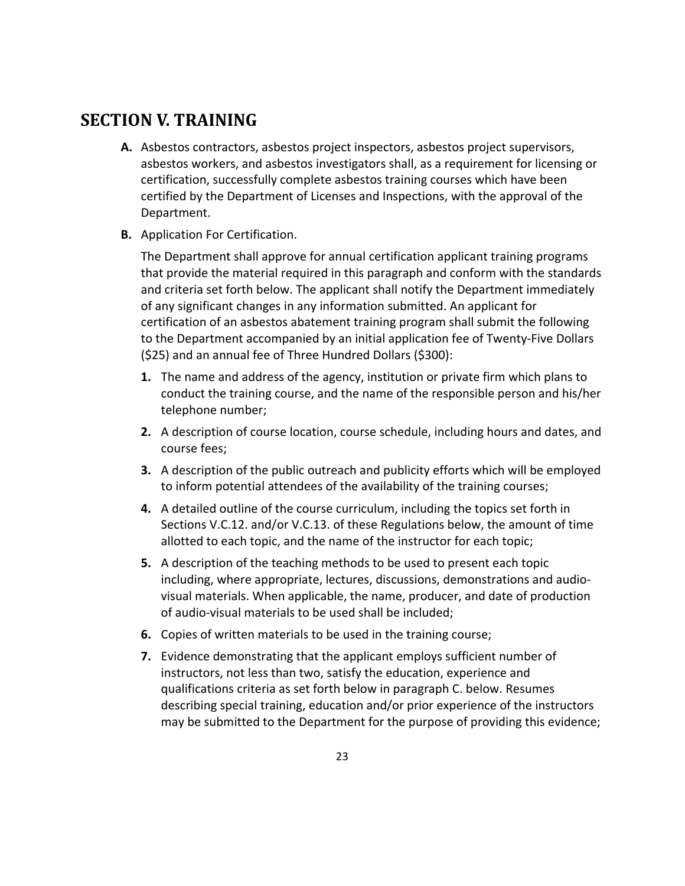### **SECTION V. TRAINING**

- **A.** Asbestos contractors, asbestos project inspectors, asbestos project supervisors, asbestos workers, and asbestos investigators shall, as a requirement for licensing or certification, successfully complete asbestos training courses which have been certified by the Department of Licenses and Inspections, with the approval of the Department.
- **B.** Application For Certification.

The Department shall approve for annual certification applicant training programs that provide the material required in this paragraph and conform with the standards and criteria set forth below. The applicant shall notify the Department immediately of any significant changes in any information submitted. An applicant for certification of an asbestos abatement training program shall submit the following to the Department accompanied by an initial application fee of Twenty‐Five Dollars (\$25) and an annual fee of Three Hundred Dollars (\$300):

- **1.** The name and address of the agency, institution or private firm which plans to conduct the training course, and the name of the responsible person and his/her telephone number;
- **2.** A description of course location, course schedule, including hours and dates, and course fees;
- **3.** A description of the public outreach and publicity efforts which will be employed to inform potential attendees of the availability of the training courses;
- **4.** A detailed outline of the course curriculum, including the topics set forth in Sections V.C.12. and/or V.C.13. of these Regulations below, the amount of time allotted to each topic, and the name of the instructor for each topic;
- **5.** A description of the teaching methods to be used to present each topic including, where appropriate, lectures, discussions, demonstrations and audio‐ visual materials. When applicable, the name, producer, and date of production of audio‐visual materials to be used shall be included;
- **6.** Copies of written materials to be used in the training course;
- **7.** Evidence demonstrating that the applicant employs sufficient number of instructors, not less than two, satisfy the education, experience and qualifications criteria as set forth below in paragraph C. below. Resumes describing special training, education and/or prior experience of the instructors may be submitted to the Department for the purpose of providing this evidence;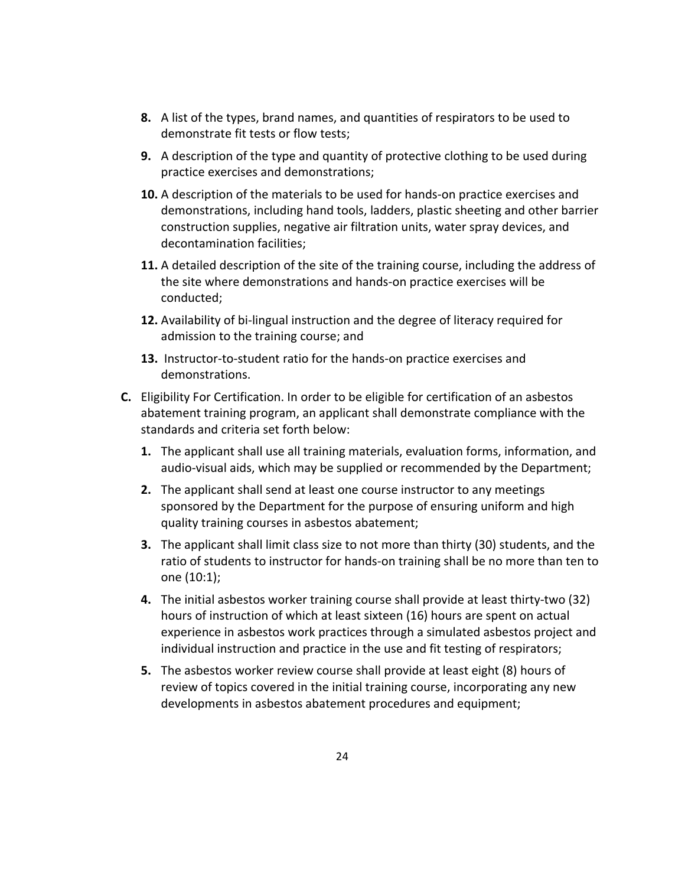- **8.** A list of the types, brand names, and quantities of respirators to be used to demonstrate fit tests or flow tests;
- **9.** A description of the type and quantity of protective clothing to be used during practice exercises and demonstrations;
- **10.** A description of the materials to be used for hands-on practice exercises and demonstrations, including hand tools, ladders, plastic sheeting and other barrier construction supplies, negative air filtration units, water spray devices, and decontamination facilities;
- **11.** A detailed description of the site of the training course, including the address of the site where demonstrations and hands‐on practice exercises will be conducted;
- **12.** Availability of bi‐lingual instruction and the degree of literacy required for admission to the training course; and
- 13. Instructor-to-student ratio for the hands-on practice exercises and demonstrations.
- **C.** Eligibility For Certification. In order to be eligible for certification of an asbestos abatement training program, an applicant shall demonstrate compliance with the standards and criteria set forth below:
	- **1.** The applicant shall use all training materials, evaluation forms, information, and audio‐visual aids, which may be supplied or recommended by the Department;
	- **2.** The applicant shall send at least one course instructor to any meetings sponsored by the Department for the purpose of ensuring uniform and high quality training courses in asbestos abatement;
	- **3.** The applicant shall limit class size to not more than thirty (30) students, and the ratio of students to instructor for hands‐on training shall be no more than ten to one (10:1);
	- **4.** The initial asbestos worker training course shall provide at least thirty‐two (32) hours of instruction of which at least sixteen (16) hours are spent on actual experience in asbestos work practices through a simulated asbestos project and individual instruction and practice in the use and fit testing of respirators;
	- **5.** The asbestos worker review course shall provide at least eight (8) hours of review of topics covered in the initial training course, incorporating any new developments in asbestos abatement procedures and equipment;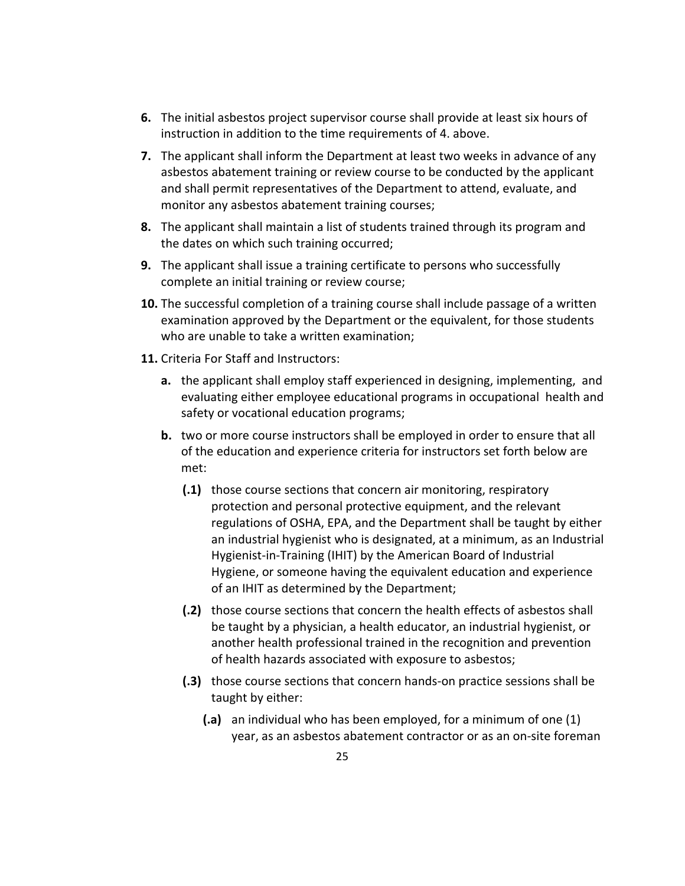- **6.** The initial asbestos project supervisor course shall provide at least six hours of instruction in addition to the time requirements of 4. above.
- **7.** The applicant shall inform the Department at least two weeks in advance of any asbestos abatement training or review course to be conducted by the applicant and shall permit representatives of the Department to attend, evaluate, and monitor any asbestos abatement training courses;
- **8.** The applicant shall maintain a list of students trained through its program and the dates on which such training occurred;
- **9.** The applicant shall issue a training certificate to persons who successfully complete an initial training or review course;
- **10.** The successful completion of a training course shall include passage of a written examination approved by the Department or the equivalent, for those students who are unable to take a written examination;
- **11.** Criteria For Staff and Instructors:
	- **a.** the applicant shall employ staff experienced in designing, implementing, and evaluating either employee educational programs in occupational health and safety or vocational education programs;
	- **b.** two or more course instructors shall be employed in order to ensure that all of the education and experience criteria for instructors set forth below are met:
		- **(.1)** those course sections that concern air monitoring, respiratory protection and personal protective equipment, and the relevant regulations of OSHA, EPA, and the Department shall be taught by either an industrial hygienist who is designated, at a minimum, as an Industrial Hygienist‐in‐Training (IHIT) by the American Board of Industrial Hygiene, or someone having the equivalent education and experience of an IHIT as determined by the Department;
		- **(.2)** those course sections that concern the health effects of asbestos shall be taught by a physician, a health educator, an industrial hygienist, or another health professional trained in the recognition and prevention of health hazards associated with exposure to asbestos;
		- **(.3)** those course sections that concern hands‐on practice sessions shall be taught by either:
			- **(.a)** an individual who has been employed, for a minimum of one (1) year, as an asbestos abatement contractor or as an on‐site foreman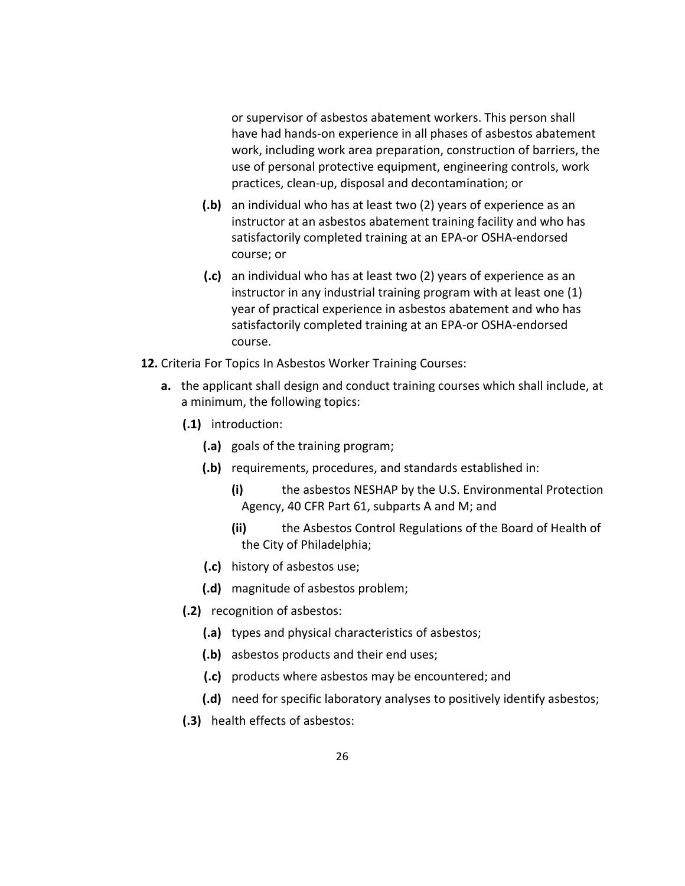or supervisor of asbestos abatement workers. This person shall have had hands‐on experience in all phases of asbestos abatement work, including work area preparation, construction of barriers, the use of personal protective equipment, engineering controls, work practices, clean‐up, disposal and decontamination; or

- **(.b)** an individual who has at least two (2) years of experience as an instructor at an asbestos abatement training facility and who has satisfactorily completed training at an EPA‐or OSHA‐endorsed course; or
- **(.c)** an individual who has at least two (2) years of experience as an instructor in any industrial training program with at least one (1) year of practical experience in asbestos abatement and who has satisfactorily completed training at an EPA‐or OSHA‐endorsed course.
- **12.** Criteria For Topics In Asbestos Worker Training Courses:
	- **a.** the applicant shall design and conduct training courses which shall include, at a minimum, the following topics:
		- **(.1)** introduction:
			- **(.a)** goals of the training program;
			- **(.b)** requirements, procedures, and standards established in:
				- **(i)** the asbestos NESHAP by the U.S. Environmental Protection Agency, 40 CFR Part 61, subparts A and M; and
				- **(ii)** the Asbestos Control Regulations of the Board of Health of the City of Philadelphia;
			- **(.c)** history of asbestos use;
			- **(.d)** magnitude of asbestos problem;
		- **(.2)** recognition of asbestos:
			- **(.a)** types and physical characteristics of asbestos;
			- **(.b)** asbestos products and their end uses;
			- **(.c)** products where asbestos may be encountered; and
			- **(.d)** need for specific laboratory analyses to positively identify asbestos;
		- **(.3)** health effects of asbestos: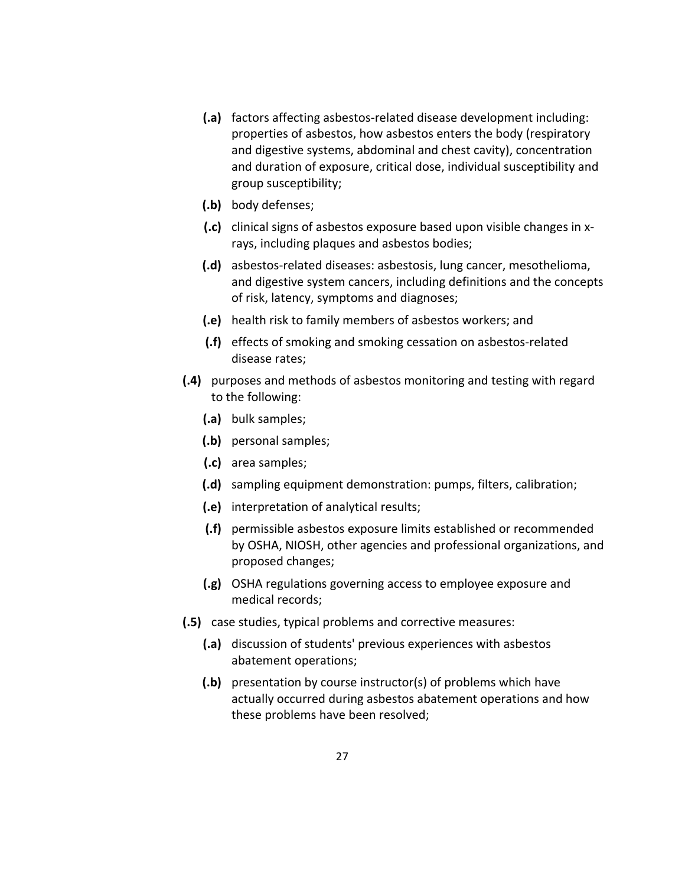- **(.a)** factors affecting asbestos‐related disease development including: properties of asbestos, how asbestos enters the body (respiratory and digestive systems, abdominal and chest cavity), concentration and duration of exposure, critical dose, individual susceptibility and group susceptibility;
- **(.b)** body defenses;
- **(.c)** clinical signs of asbestos exposure based upon visible changes in x‐ rays, including plaques and asbestos bodies;
- **(.d)** asbestos‐related diseases: asbestosis, lung cancer, mesothelioma, and digestive system cancers, including definitions and the concepts of risk, latency, symptoms and diagnoses;
- **(.e)** health risk to family members of asbestos workers; and
- **(.f)** effects of smoking and smoking cessation on asbestos‐related disease rates;
- **(.4)** purposes and methods of asbestos monitoring and testing with regard to the following:
	- **(.a)** bulk samples;
	- **(.b)** personal samples;
	- **(.c)** area samples;
	- **(.d)** sampling equipment demonstration: pumps, filters, calibration;
	- **(.e)** interpretation of analytical results;
	- **(.f)** permissible asbestos exposure limits established or recommended by OSHA, NIOSH, other agencies and professional organizations, and proposed changes;
	- **(.g)** OSHA regulations governing access to employee exposure and medical records;
- **(.5)** case studies, typical problems and corrective measures:
	- **(.a)** discussion of students' previous experiences with asbestos abatement operations;
	- **(.b)** presentation by course instructor(s) of problems which have actually occurred during asbestos abatement operations and how these problems have been resolved;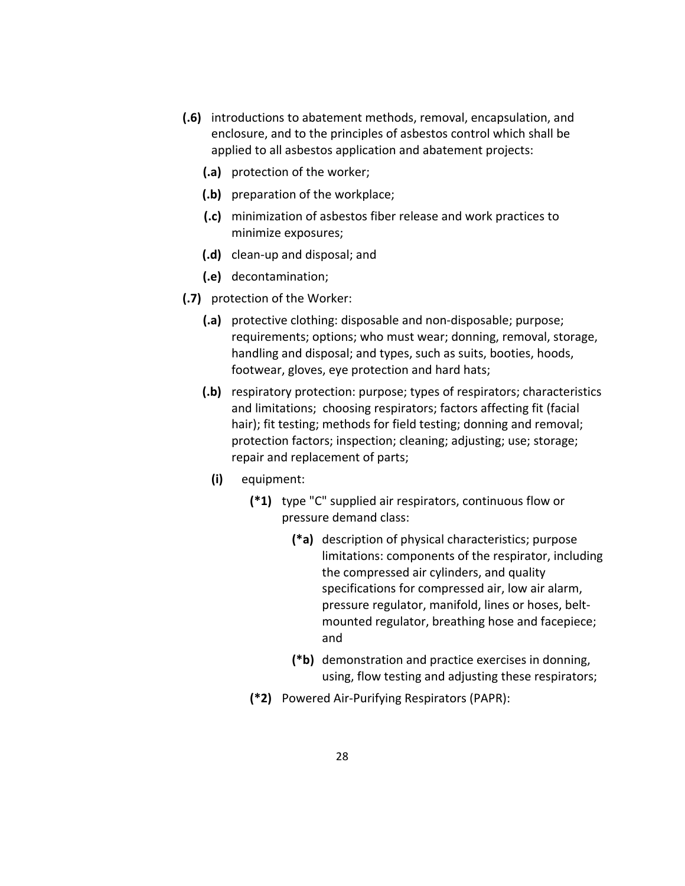- **(.6)** introductions to abatement methods, removal, encapsulation, and enclosure, and to the principles of asbestos control which shall be applied to all asbestos application and abatement projects:
	- **(.a)** protection of the worker;
	- **(.b)** preparation of the workplace;
	- **(.c)** minimization of asbestos fiber release and work practices to minimize exposures;
	- **(.d)** clean‐up and disposal; and
	- **(.e)** decontamination;
- **(.7)** protection of the Worker:
	- **(.a)** protective clothing: disposable and non‐disposable; purpose; requirements; options; who must wear; donning, removal, storage, handling and disposal; and types, such as suits, booties, hoods, footwear, gloves, eye protection and hard hats;
	- **(.b)** respiratory protection: purpose; types of respirators; characteristics and limitations; choosing respirators; factors affecting fit (facial hair); fit testing; methods for field testing; donning and removal; protection factors; inspection; cleaning; adjusting; use; storage; repair and replacement of parts;
		- **(i)** equipment:
			- **(\*1)** type "C" supplied air respirators, continuous flow or pressure demand class:
				- **(\*a)** description of physical characteristics; purpose limitations: components of the respirator, including the compressed air cylinders, and quality specifications for compressed air, low air alarm, pressure regulator, manifold, lines or hoses, belt‐ mounted regulator, breathing hose and facepiece; and
				- **(\*b)** demonstration and practice exercises in donning, using, flow testing and adjusting these respirators;
			- **(\*2)** Powered Air‐Purifying Respirators (PAPR):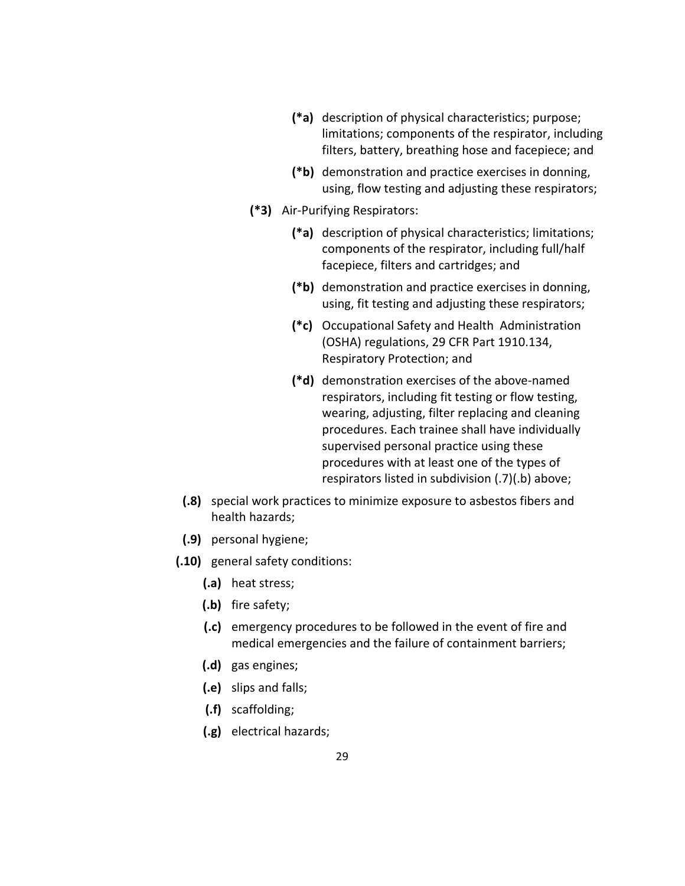- **(\*a)** description of physical characteristics; purpose; limitations; components of the respirator, including filters, battery, breathing hose and facepiece; and
- **(\*b)** demonstration and practice exercises in donning, using, flow testing and adjusting these respirators;
- **(\*3)** Air‐Purifying Respirators:
	- **(\*a)** description of physical characteristics; limitations; components of the respirator, including full/half facepiece, filters and cartridges; and
	- **(\*b)** demonstration and practice exercises in donning, using, fit testing and adjusting these respirators;
	- **(\*c)** Occupational Safety and Health Administration (OSHA) regulations, 29 CFR Part 1910.134, Respiratory Protection; and
	- **(\*d)** demonstration exercises of the above‐named respirators, including fit testing or flow testing, wearing, adjusting, filter replacing and cleaning procedures. Each trainee shall have individually supervised personal practice using these procedures with at least one of the types of respirators listed in subdivision (.7)(.b) above;
- **(.8)** special work practices to minimize exposure to asbestos fibers and health hazards;
- **(.9)** personal hygiene;
- **(.10)** general safety conditions:
	- **(.a)** heat stress;
	- **(.b)** fire safety;
	- **(.c)** emergency procedures to be followed in the event of fire and medical emergencies and the failure of containment barriers;
	- **(.d)** gas engines;
	- **(.e)** slips and falls;
	- **(.f)** scaffolding;
	- **(.g)** electrical hazards;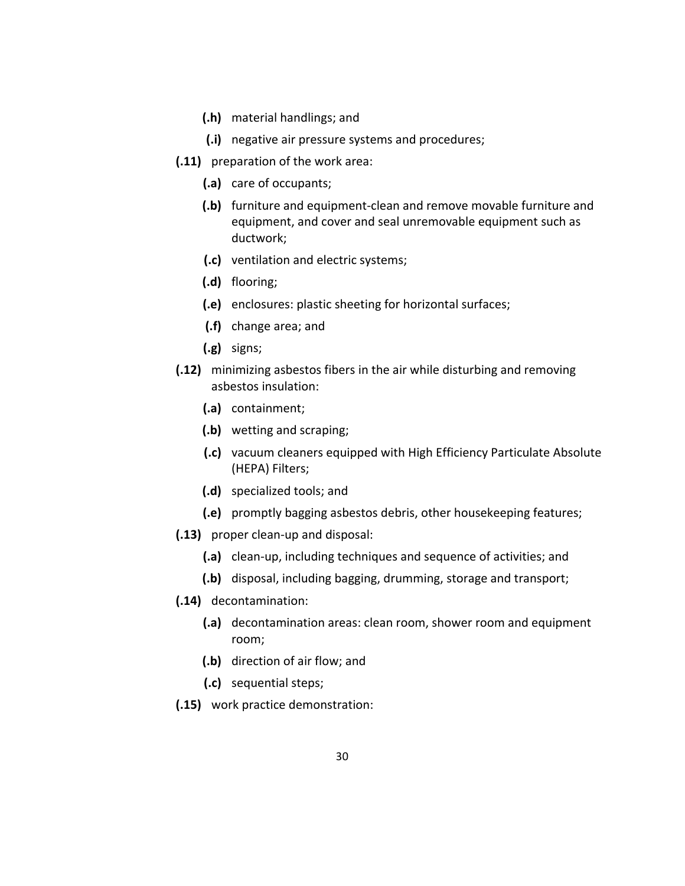- **(.h)** material handlings; and
- **(.i)** negative air pressure systems and procedures;
- **(.11)** preparation of the work area:
	- **(.a)** care of occupants;
	- **(.b)** furniture and equipment‐clean and remove movable furniture and equipment, and cover and seal unremovable equipment such as ductwork;
	- **(.c)** ventilation and electric systems;
	- **(.d)** flooring;
	- **(.e)** enclosures: plastic sheeting for horizontal surfaces;
	- **(.f)** change area; and
	- **(.g)** signs;
- **(.12)** minimizing asbestos fibers in the air while disturbing and removing asbestos insulation:
	- **(.a)** containment;
	- **(.b)** wetting and scraping;
	- **(.c)** vacuum cleaners equipped with High Efficiency Particulate Absolute (HEPA) Filters;
	- **(.d)** specialized tools; and
	- **(.e)** promptly bagging asbestos debris, other housekeeping features;
- **(.13)** proper clean‐up and disposal:
	- **(.a)** clean‐up, including techniques and sequence of activities; and
	- **(.b)** disposal, including bagging, drumming, storage and transport;
- **(.14)** decontamination:
	- **(.a)** decontamination areas: clean room, shower room and equipment room;
	- **(.b)** direction of air flow; and
	- **(.c)** sequential steps;
- **(.15)** work practice demonstration: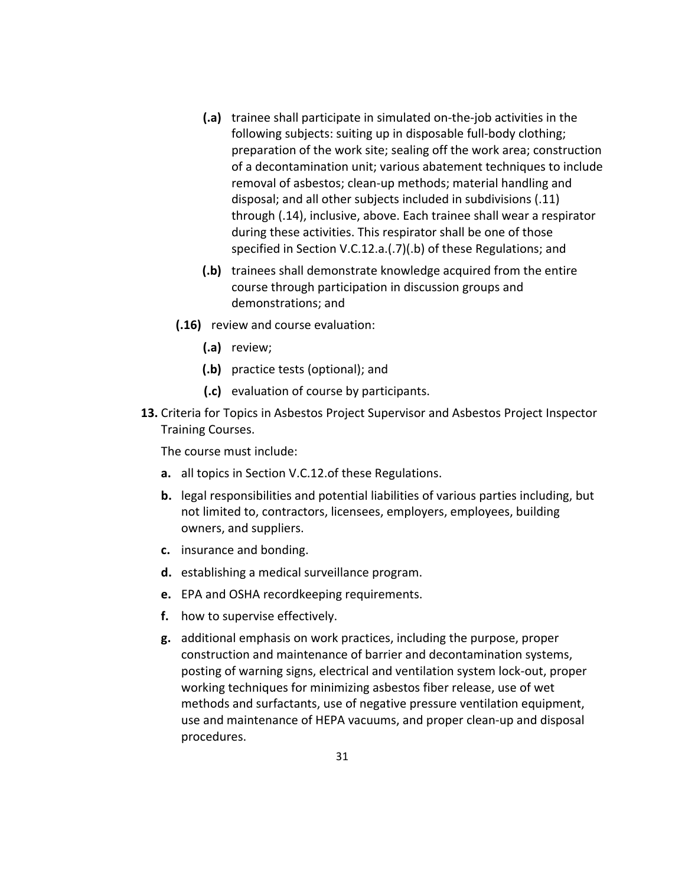- **(.a)** trainee shall participate in simulated on‐the‐job activities in the following subjects: suiting up in disposable full‐body clothing; preparation of the work site; sealing off the work area; construction of a decontamination unit; various abatement techniques to include removal of asbestos; clean‐up methods; material handling and disposal; and all other subjects included in subdivisions (.11) through (.14), inclusive, above. Each trainee shall wear a respirator during these activities. This respirator shall be one of those specified in Section V.C.12.a.(.7)(.b) of these Regulations; and
- **(.b)** trainees shall demonstrate knowledge acquired from the entire course through participation in discussion groups and demonstrations; and
- **(.16)** review and course evaluation:
	- **(.a)** review;
	- **(.b)** practice tests (optional); and
	- **(.c)** evaluation of course by participants.
- **13.** Criteria for Topics in Asbestos Project Supervisor and Asbestos Project Inspector Training Courses.

The course must include:

- **a.** all topics in Section V.C.12.of these Regulations.
- **b.** legal responsibilities and potential liabilities of various parties including, but not limited to, contractors, licensees, employers, employees, building owners, and suppliers.
- **c.** insurance and bonding.
- **d.** establishing a medical surveillance program.
- **e.** EPA and OSHA recordkeeping requirements.
- **f.** how to supervise effectively.
- **g.** additional emphasis on work practices, including the purpose, proper construction and maintenance of barrier and decontamination systems, posting of warning signs, electrical and ventilation system lock‐out, proper working techniques for minimizing asbestos fiber release, use of wet methods and surfactants, use of negative pressure ventilation equipment, use and maintenance of HEPA vacuums, and proper clean‐up and disposal procedures.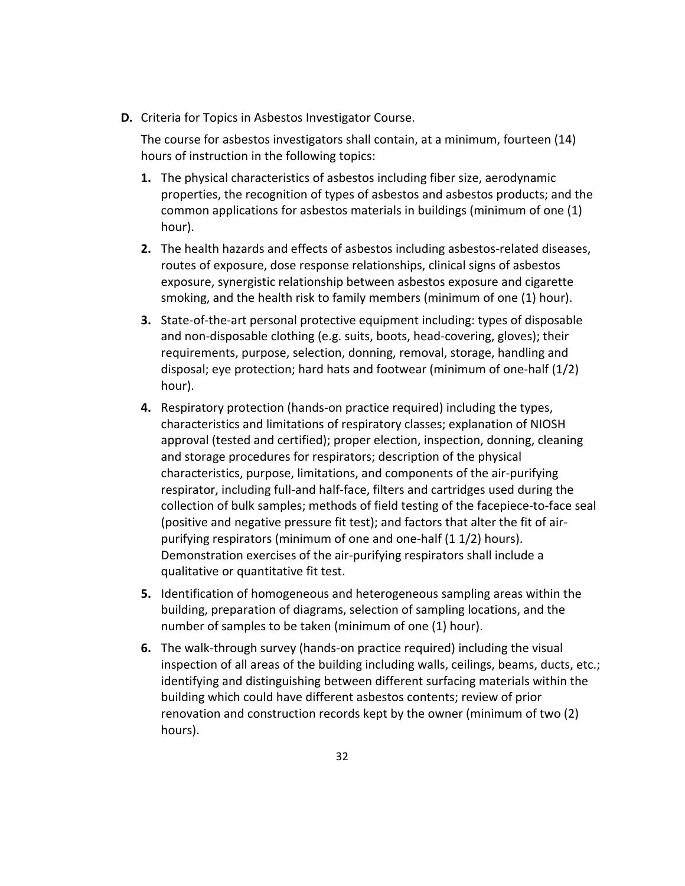**D.** Criteria for Topics in Asbestos Investigator Course.

The course for asbestos investigators shall contain, at a minimum, fourteen (14) hours of instruction in the following topics:

- **1.** The physical characteristics of asbestos including fiber size, aerodynamic properties, the recognition of types of asbestos and asbestos products; and the common applications for asbestos materials in buildings (minimum of one (1) hour).
- **2.** The health hazards and effects of asbestos including asbestos‐related diseases, routes of exposure, dose response relationships, clinical signs of asbestos exposure, synergistic relationship between asbestos exposure and cigarette smoking, and the health risk to family members (minimum of one (1) hour).
- **3.** State-of-the-art personal protective equipment including: types of disposable and non‐disposable clothing (e.g. suits, boots, head‐covering, gloves); their requirements, purpose, selection, donning, removal, storage, handling and disposal; eye protection; hard hats and footwear (minimum of one‐half (1/2) hour).
- **4.** Respiratory protection (hands‐on practice required) including the types, characteristics and limitations of respiratory classes; explanation of NIOSH approval (tested and certified); proper election, inspection, donning, cleaning and storage procedures for respirators; description of the physical characteristics, purpose, limitations, and components of the air‐purifying respirator, including full‐and half‐face, filters and cartridges used during the collection of bulk samples; methods of field testing of the facepiece‐to‐face seal (positive and negative pressure fit test); and factors that alter the fit of air‐ purifying respirators (minimum of one and one‐half (1 1/2) hours). Demonstration exercises of the air‐purifying respirators shall include a qualitative or quantitative fit test.
- **5.** Identification of homogeneous and heterogeneous sampling areas within the building, preparation of diagrams, selection of sampling locations, and the number of samples to be taken (minimum of one (1) hour).
- **6.** The walk‐through survey (hands‐on practice required) including the visual inspection of all areas of the building including walls, ceilings, beams, ducts, etc.; identifying and distinguishing between different surfacing materials within the building which could have different asbestos contents; review of prior renovation and construction records kept by the owner (minimum of two (2) hours).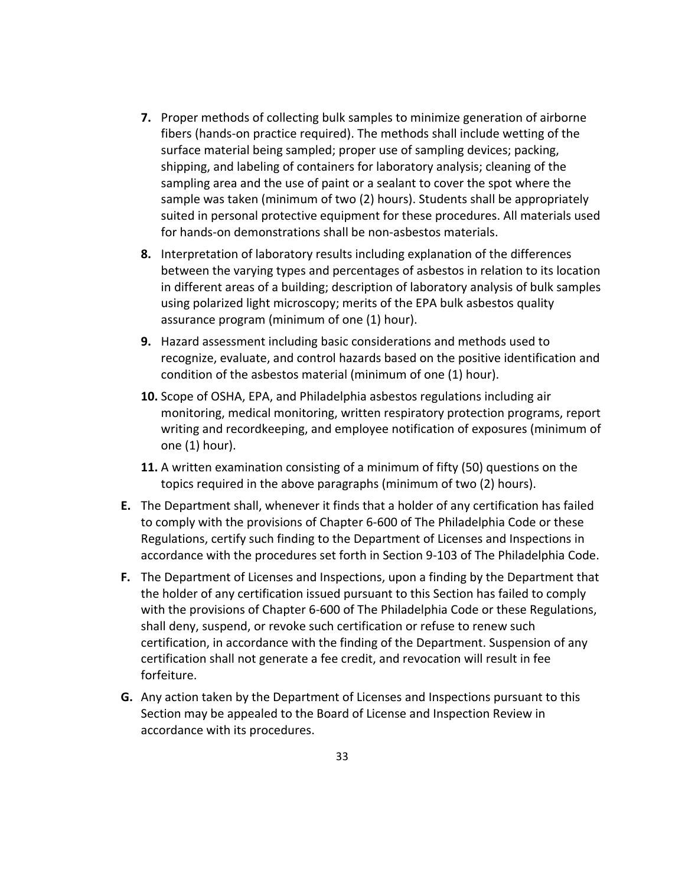- **7.** Proper methods of collecting bulk samples to minimize generation of airborne fibers (hands‐on practice required). The methods shall include wetting of the surface material being sampled; proper use of sampling devices; packing, shipping, and labeling of containers for laboratory analysis; cleaning of the sampling area and the use of paint or a sealant to cover the spot where the sample was taken (minimum of two (2) hours). Students shall be appropriately suited in personal protective equipment for these procedures. All materials used for hands‐on demonstrations shall be non‐asbestos materials.
- **8.** Interpretation of laboratory results including explanation of the differences between the varying types and percentages of asbestos in relation to its location in different areas of a building; description of laboratory analysis of bulk samples using polarized light microscopy; merits of the EPA bulk asbestos quality assurance program (minimum of one (1) hour).
- **9.** Hazard assessment including basic considerations and methods used to recognize, evaluate, and control hazards based on the positive identification and condition of the asbestos material (minimum of one (1) hour).
- **10.** Scope of OSHA, EPA, and Philadelphia asbestos regulations including air monitoring, medical monitoring, written respiratory protection programs, report writing and recordkeeping, and employee notification of exposures (minimum of one (1) hour).
- **11.** A written examination consisting of a minimum of fifty (50) questions on the topics required in the above paragraphs (minimum of two (2) hours).
- **E.** The Department shall, whenever it finds that a holder of any certification has failed to comply with the provisions of Chapter 6‐600 of The Philadelphia Code or these Regulations, certify such finding to the Department of Licenses and Inspections in accordance with the procedures set forth in Section 9‐103 of The Philadelphia Code.
- **F.** The Department of Licenses and Inspections, upon a finding by the Department that the holder of any certification issued pursuant to this Section has failed to comply with the provisions of Chapter 6‐600 of The Philadelphia Code or these Regulations, shall deny, suspend, or revoke such certification or refuse to renew such certification, in accordance with the finding of the Department. Suspension of any certification shall not generate a fee credit, and revocation will result in fee forfeiture.
- **G.** Any action taken by the Department of Licenses and Inspections pursuant to this Section may be appealed to the Board of License and Inspection Review in accordance with its procedures.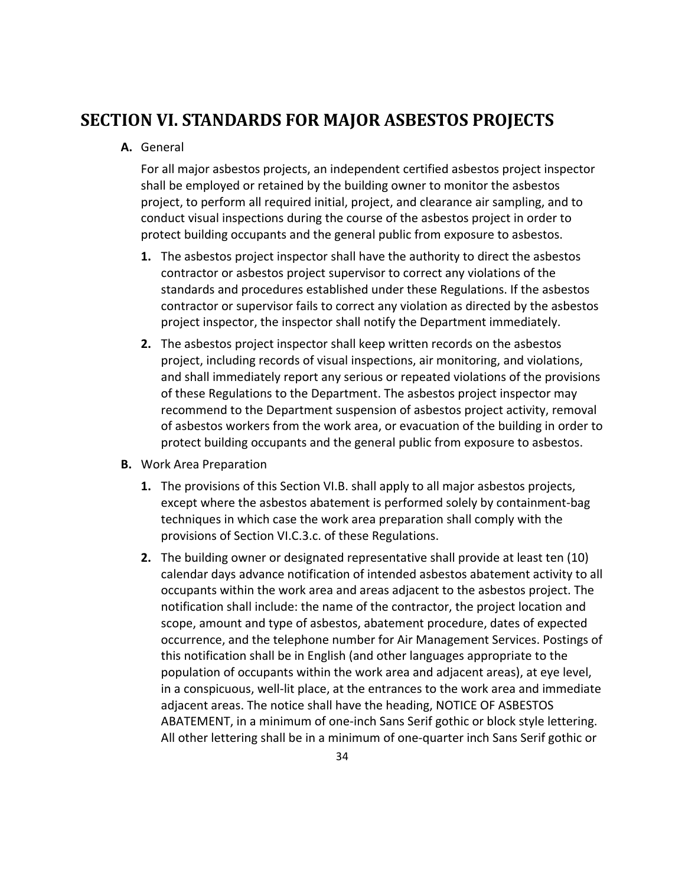## **SECTION VI. STANDARDS FOR MAJOR ASBESTOS PROJECTS**

#### **A.** General

For all major asbestos projects, an independent certified asbestos project inspector shall be employed or retained by the building owner to monitor the asbestos project, to perform all required initial, project, and clearance air sampling, and to conduct visual inspections during the course of the asbestos project in order to protect building occupants and the general public from exposure to asbestos.

- **1.** The asbestos project inspector shall have the authority to direct the asbestos contractor or asbestos project supervisor to correct any violations of the standards and procedures established under these Regulations. If the asbestos contractor or supervisor fails to correct any violation as directed by the asbestos project inspector, the inspector shall notify the Department immediately.
- **2.** The asbestos project inspector shall keep written records on the asbestos project, including records of visual inspections, air monitoring, and violations, and shall immediately report any serious or repeated violations of the provisions of these Regulations to the Department. The asbestos project inspector may recommend to the Department suspension of asbestos project activity, removal of asbestos workers from the work area, or evacuation of the building in order to protect building occupants and the general public from exposure to asbestos.
- **B.** Work Area Preparation
	- **1.** The provisions of this Section VI.B. shall apply to all major asbestos projects, except where the asbestos abatement is performed solely by containment‐bag techniques in which case the work area preparation shall comply with the provisions of Section VI.C.3.c. of these Regulations.
	- **2.** The building owner or designated representative shall provide at least ten (10) calendar days advance notification of intended asbestos abatement activity to all occupants within the work area and areas adjacent to the asbestos project. The notification shall include: the name of the contractor, the project location and scope, amount and type of asbestos, abatement procedure, dates of expected occurrence, and the telephone number for Air Management Services. Postings of this notification shall be in English (and other languages appropriate to the population of occupants within the work area and adjacent areas), at eye level, in a conspicuous, well‐lit place, at the entrances to the work area and immediate adjacent areas. The notice shall have the heading, NOTICE OF ASBESTOS ABATEMENT, in a minimum of one‐inch Sans Serif gothic or block style lettering. All other lettering shall be in a minimum of one‐quarter inch Sans Serif gothic or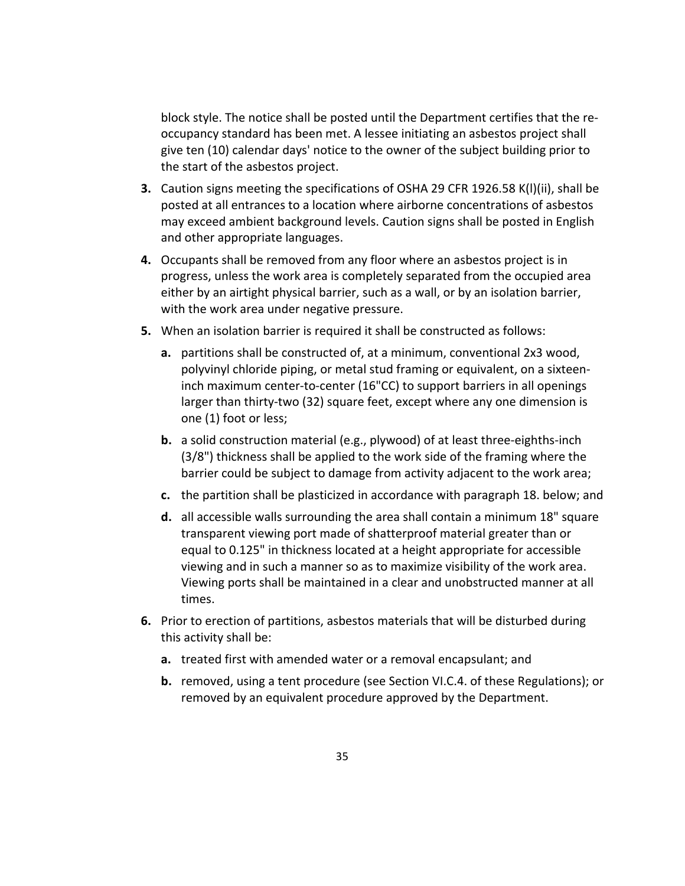block style. The notice shall be posted until the Department certifies that the re‐ occupancy standard has been met. A lessee initiating an asbestos project shall give ten (10) calendar days' notice to the owner of the subject building prior to the start of the asbestos project.

- **3.** Caution signs meeting the specifications of OSHA 29 CFR 1926.58 K(l)(ii), shall be posted at all entrances to a location where airborne concentrations of asbestos may exceed ambient background levels. Caution signs shall be posted in English and other appropriate languages.
- **4.** Occupants shall be removed from any floor where an asbestos project is in progress, unless the work area is completely separated from the occupied area either by an airtight physical barrier, such as a wall, or by an isolation barrier, with the work area under negative pressure.
- **5.** When an isolation barrier is required it shall be constructed as follows:
	- **a.** partitions shall be constructed of, at a minimum, conventional 2x3 wood, polyvinyl chloride piping, or metal stud framing or equivalent, on a sixteen‐ inch maximum center‐to‐center (16"CC) to support barriers in all openings larger than thirty-two (32) square feet, except where any one dimension is one (1) foot or less;
	- **b.** a solid construction material (e.g., plywood) of at least three-eighths-inch (3/8") thickness shall be applied to the work side of the framing where the barrier could be subject to damage from activity adjacent to the work area;
	- **c.** the partition shall be plasticized in accordance with paragraph 18. below; and
	- **d.** all accessible walls surrounding the area shall contain a minimum 18" square transparent viewing port made of shatterproof material greater than or equal to 0.125" in thickness located at a height appropriate for accessible viewing and in such a manner so as to maximize visibility of the work area. Viewing ports shall be maintained in a clear and unobstructed manner at all times.
- **6.** Prior to erection of partitions, asbestos materials that will be disturbed during this activity shall be:
	- **a.** treated first with amended water or a removal encapsulant; and
	- **b.** removed, using a tent procedure (see Section VI.C.4. of these Regulations); or removed by an equivalent procedure approved by the Department.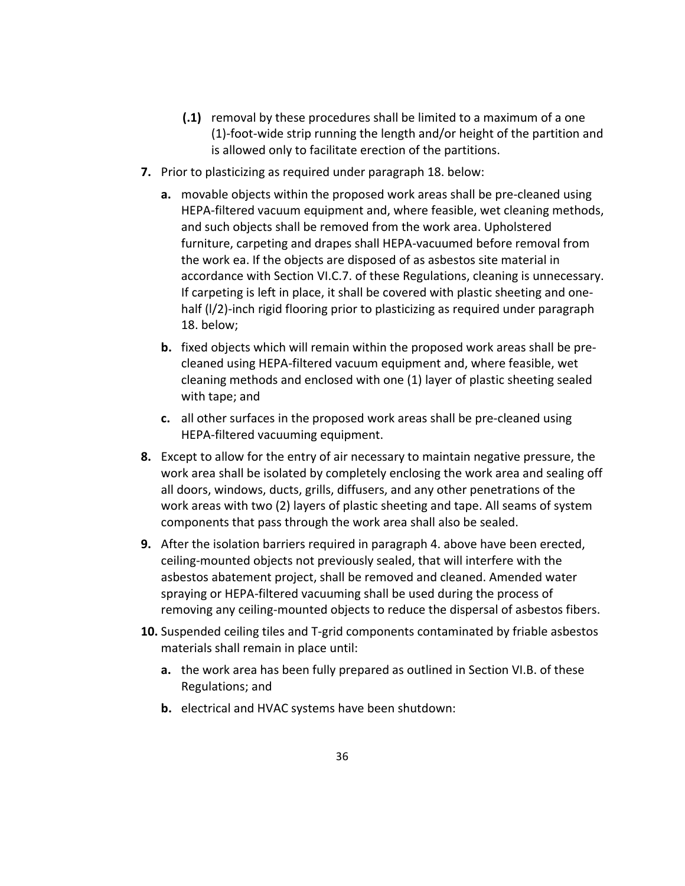- **(.1)** removal by these procedures shall be limited to a maximum of a one (1)‐foot‐wide strip running the length and/or height of the partition and is allowed only to facilitate erection of the partitions.
- **7.** Prior to plasticizing as required under paragraph 18. below:
	- **a.** movable objects within the proposed work areas shall be pre-cleaned using HEPA-filtered vacuum equipment and, where feasible, wet cleaning methods, and such objects shall be removed from the work area. Upholstered furniture, carpeting and drapes shall HEPA‐vacuumed before removal from the work ea. If the objects are disposed of as asbestos site material in accordance with Section VI.C.7. of these Regulations, cleaning is unnecessary. If carpeting is left in place, it shall be covered with plastic sheeting and one‐ half (I/2)-inch rigid flooring prior to plasticizing as required under paragraph 18. below;
	- **b.** fixed objects which will remain within the proposed work areas shall be pre‐ cleaned using HEPA‐filtered vacuum equipment and, where feasible, wet cleaning methods and enclosed with one (1) layer of plastic sheeting sealed with tape; and
	- **c.** all other surfaces in the proposed work areas shall be pre‐cleaned using HEPA‐filtered vacuuming equipment.
- **8.** Except to allow for the entry of air necessary to maintain negative pressure, the work area shall be isolated by completely enclosing the work area and sealing off all doors, windows, ducts, grills, diffusers, and any other penetrations of the work areas with two (2) layers of plastic sheeting and tape. All seams of system components that pass through the work area shall also be sealed.
- **9.** After the isolation barriers required in paragraph 4. above have been erected, ceiling‐mounted objects not previously sealed, that will interfere with the asbestos abatement project, shall be removed and cleaned. Amended water spraying or HEPA‐filtered vacuuming shall be used during the process of removing any ceiling‐mounted objects to reduce the dispersal of asbestos fibers.
- **10.** Suspended ceiling tiles and T‐grid components contaminated by friable asbestos materials shall remain in place until:
	- **a.** the work area has been fully prepared as outlined in Section VI.B. of these Regulations; and
	- **b.** electrical and HVAC systems have been shutdown: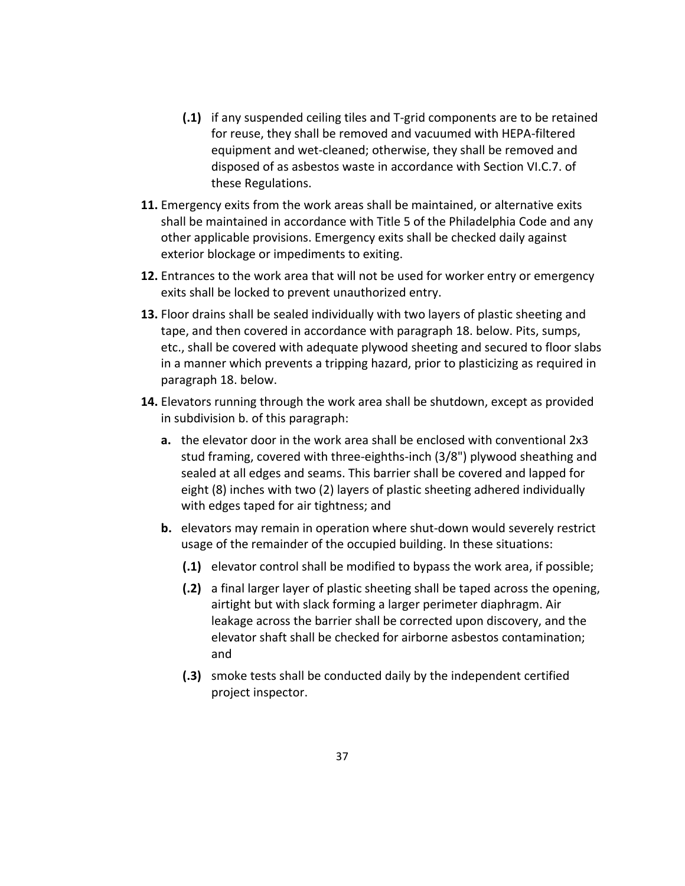- **(.1)** if any suspended ceiling tiles and T‐grid components are to be retained for reuse, they shall be removed and vacuumed with HEPA‐filtered equipment and wet‐cleaned; otherwise, they shall be removed and disposed of as asbestos waste in accordance with Section VI.C.7. of these Regulations.
- **11.** Emergency exits from the work areas shall be maintained, or alternative exits shall be maintained in accordance with Title 5 of the Philadelphia Code and any other applicable provisions. Emergency exits shall be checked daily against exterior blockage or impediments to exiting.
- **12.** Entrances to the work area that will not be used for worker entry or emergency exits shall be locked to prevent unauthorized entry.
- **13.** Floor drains shall be sealed individually with two layers of plastic sheeting and tape, and then covered in accordance with paragraph 18. below. Pits, sumps, etc., shall be covered with adequate plywood sheeting and secured to floor slabs in a manner which prevents a tripping hazard, prior to plasticizing as required in paragraph 18. below.
- **14.** Elevators running through the work area shall be shutdown, except as provided in subdivision b. of this paragraph:
	- **a.** the elevator door in the work area shall be enclosed with conventional 2x3 stud framing, covered with three‐eighths‐inch (3/8") plywood sheathing and sealed at all edges and seams. This barrier shall be covered and lapped for eight (8) inches with two (2) layers of plastic sheeting adhered individually with edges taped for air tightness; and
	- **b.** elevators may remain in operation where shut-down would severely restrict usage of the remainder of the occupied building. In these situations:
		- **(.1)** elevator control shall be modified to bypass the work area, if possible;
		- **(.2)** a final larger layer of plastic sheeting shall be taped across the opening, airtight but with slack forming a larger perimeter diaphragm. Air leakage across the barrier shall be corrected upon discovery, and the elevator shaft shall be checked for airborne asbestos contamination; and
		- **(.3)** smoke tests shall be conducted daily by the independent certified project inspector.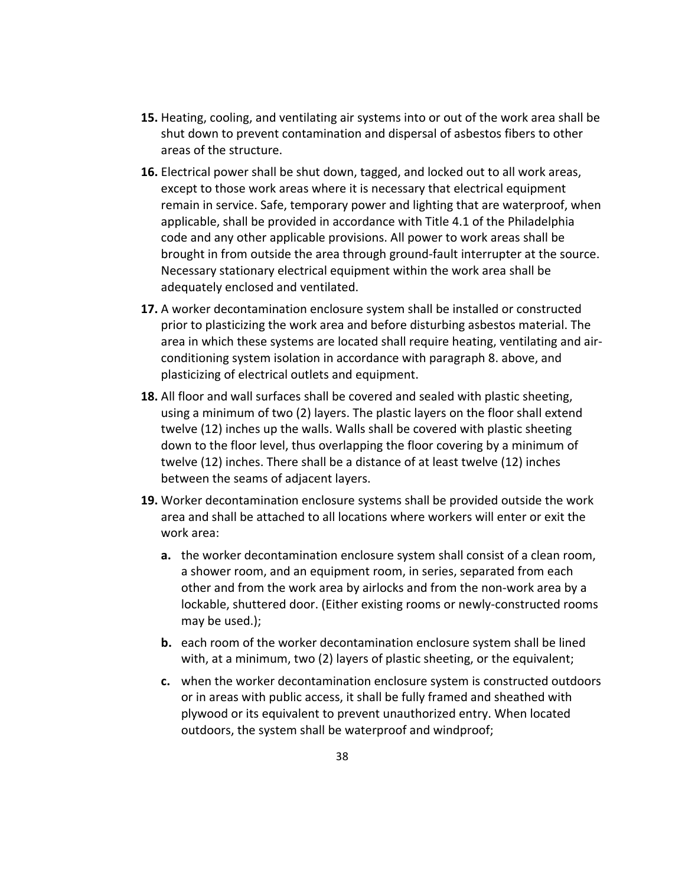- **15.** Heating, cooling, and ventilating air systems into or out of the work area shall be shut down to prevent contamination and dispersal of asbestos fibers to other areas of the structure.
- **16.** Electrical power shall be shut down, tagged, and locked out to all work areas, except to those work areas where it is necessary that electrical equipment remain in service. Safe, temporary power and lighting that are waterproof, when applicable, shall be provided in accordance with Title 4.1 of the Philadelphia code and any other applicable provisions. All power to work areas shall be brought in from outside the area through ground‐fault interrupter at the source. Necessary stationary electrical equipment within the work area shall be adequately enclosed and ventilated.
- **17.** A worker decontamination enclosure system shall be installed or constructed prior to plasticizing the work area and before disturbing asbestos material. The area in which these systems are located shall require heating, ventilating and air‐ conditioning system isolation in accordance with paragraph 8. above, and plasticizing of electrical outlets and equipment.
- **18.** All floor and wall surfaces shall be covered and sealed with plastic sheeting, using a minimum of two (2) layers. The plastic layers on the floor shall extend twelve (12) inches up the walls. Walls shall be covered with plastic sheeting down to the floor level, thus overlapping the floor covering by a minimum of twelve (12) inches. There shall be a distance of at least twelve (12) inches between the seams of adjacent layers.
- **19.** Worker decontamination enclosure systems shall be provided outside the work area and shall be attached to all locations where workers will enter or exit the work area:
	- **a.** the worker decontamination enclosure system shall consist of a clean room, a shower room, and an equipment room, in series, separated from each other and from the work area by airlocks and from the non‐work area by a lockable, shuttered door. (Either existing rooms or newly‐constructed rooms may be used.);
	- **b.** each room of the worker decontamination enclosure system shall be lined with, at a minimum, two (2) layers of plastic sheeting, or the equivalent;
	- **c.** when the worker decontamination enclosure system is constructed outdoors or in areas with public access, it shall be fully framed and sheathed with plywood or its equivalent to prevent unauthorized entry. When located outdoors, the system shall be waterproof and windproof;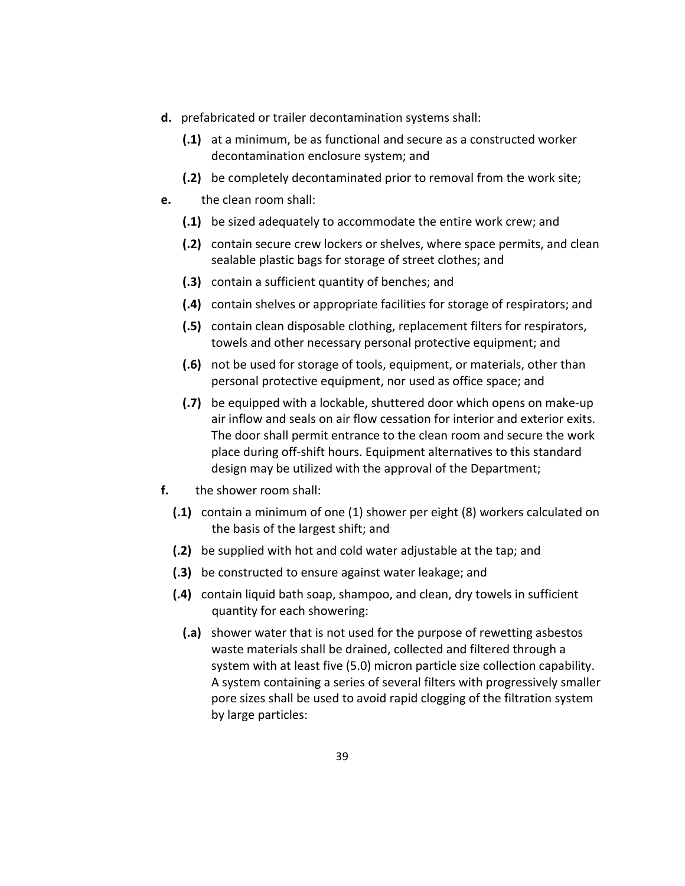- **d.** prefabricated or trailer decontamination systems shall:
	- **(.1)** at a minimum, be as functional and secure as a constructed worker decontamination enclosure system; and
	- **(.2)** be completely decontaminated prior to removal from the work site;
- **e.** the clean room shall:
	- **(.1)** be sized adequately to accommodate the entire work crew; and
	- **(.2)** contain secure crew lockers or shelves, where space permits, and clean sealable plastic bags for storage of street clothes; and
	- **(.3)** contain a sufficient quantity of benches; and
	- **(.4)** contain shelves or appropriate facilities for storage of respirators; and
	- **(.5)** contain clean disposable clothing, replacement filters for respirators, towels and other necessary personal protective equipment; and
	- **(.6)** not be used for storage of tools, equipment, or materials, other than personal protective equipment, nor used as office space; and
	- **(.7)** be equipped with a lockable, shuttered door which opens on make‐up air inflow and seals on air flow cessation for interior and exterior exits. The door shall permit entrance to the clean room and secure the work place during off‐shift hours. Equipment alternatives to this standard design may be utilized with the approval of the Department;
- **f.** the shower room shall:
	- **(.1)** contain a minimum of one (1) shower per eight (8) workers calculated on the basis of the largest shift; and
	- **(.2)** be supplied with hot and cold water adjustable at the tap; and
	- **(.3)** be constructed to ensure against water leakage; and
	- **(.4)** contain liquid bath soap, shampoo, and clean, dry towels in sufficient quantity for each showering:
		- **(.a)** shower water that is not used for the purpose of rewetting asbestos waste materials shall be drained, collected and filtered through a system with at least five (5.0) micron particle size collection capability. A system containing a series of several filters with progressively smaller pore sizes shall be used to avoid rapid clogging of the filtration system by large particles: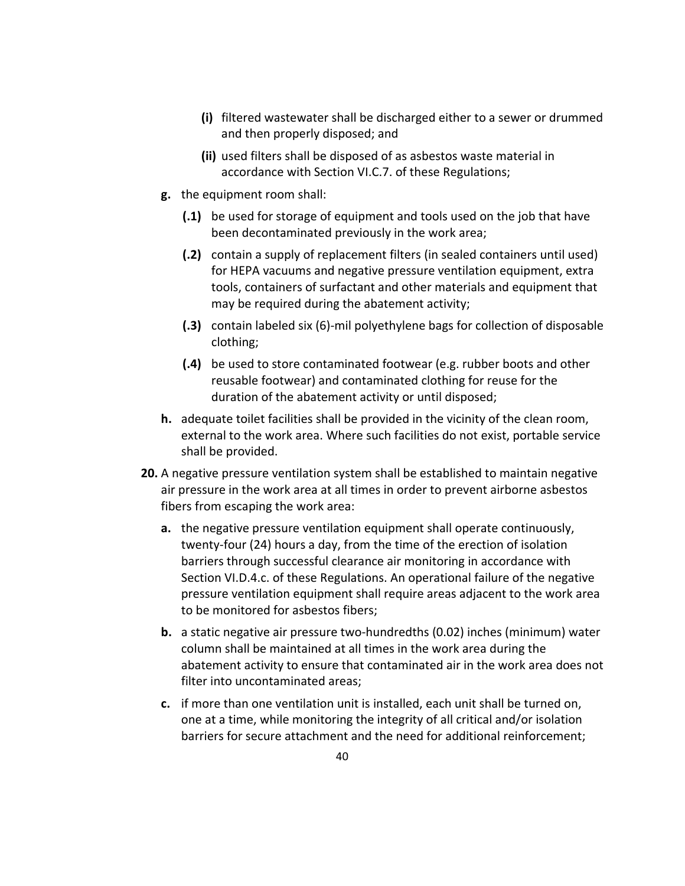- **(i)** filtered wastewater shall be discharged either to a sewer or drummed and then properly disposed; and
- **(ii)** used filters shall be disposed of as asbestos waste material in accordance with Section VI.C.7. of these Regulations;
- **g.** the equipment room shall:
	- **(.1)** be used for storage of equipment and tools used on the job that have been decontaminated previously in the work area;
	- **(.2)** contain a supply of replacement filters (in sealed containers until used) for HEPA vacuums and negative pressure ventilation equipment, extra tools, containers of surfactant and other materials and equipment that may be required during the abatement activity;
	- **(.3)** contain labeled six (6)‐mil polyethylene bags for collection of disposable clothing;
	- **(.4)** be used to store contaminated footwear (e.g. rubber boots and other reusable footwear) and contaminated clothing for reuse for the duration of the abatement activity or until disposed;
- **h.** adequate toilet facilities shall be provided in the vicinity of the clean room, external to the work area. Where such facilities do not exist, portable service shall be provided.
- **20.** A negative pressure ventilation system shall be established to maintain negative air pressure in the work area at all times in order to prevent airborne asbestos fibers from escaping the work area:
	- **a.** the negative pressure ventilation equipment shall operate continuously, twenty‐four (24) hours a day, from the time of the erection of isolation barriers through successful clearance air monitoring in accordance with Section VI.D.4.c. of these Regulations. An operational failure of the negative pressure ventilation equipment shall require areas adjacent to the work area to be monitored for asbestos fibers;
	- **b.** a static negative air pressure two‐hundredths (0.02) inches (minimum) water column shall be maintained at all times in the work area during the abatement activity to ensure that contaminated air in the work area does not filter into uncontaminated areas;
	- **c.** if more than one ventilation unit is installed, each unit shall be turned on, one at a time, while monitoring the integrity of all critical and/or isolation barriers for secure attachment and the need for additional reinforcement;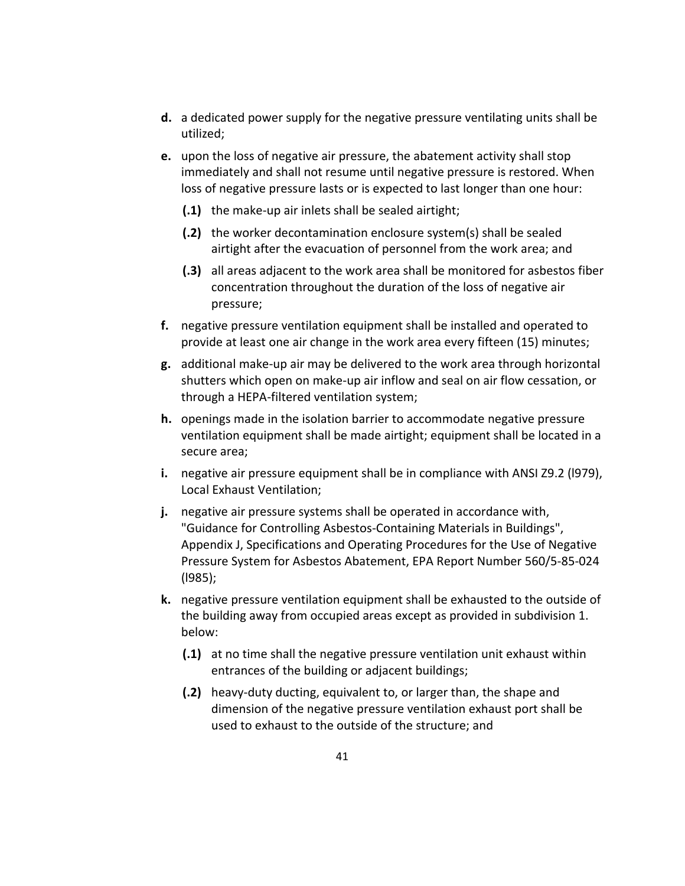- **d.** a dedicated power supply for the negative pressure ventilating units shall be utilized;
- **e.** upon the loss of negative air pressure, the abatement activity shall stop immediately and shall not resume until negative pressure is restored. When loss of negative pressure lasts or is expected to last longer than one hour:
	- **(.1)** the make‐up air inlets shall be sealed airtight;
	- **(.2)** the worker decontamination enclosure system(s) shall be sealed airtight after the evacuation of personnel from the work area; and
	- **(.3)** all areas adjacent to the work area shall be monitored for asbestos fiber concentration throughout the duration of the loss of negative air pressure;
- **f.** negative pressure ventilation equipment shall be installed and operated to provide at least one air change in the work area every fifteen (15) minutes;
- **g.** additional make‐up air may be delivered to the work area through horizontal shutters which open on make‐up air inflow and seal on air flow cessation, or through a HEPA‐filtered ventilation system;
- **h.** openings made in the isolation barrier to accommodate negative pressure ventilation equipment shall be made airtight; equipment shall be located in a secure area;
- **i.** negative air pressure equipment shall be in compliance with ANSI Z9.2 (l979), Local Exhaust Ventilation;
- **j.** negative air pressure systems shall be operated in accordance with, "Guidance for Controlling Asbestos‐Containing Materials in Buildings", Appendix J, Specifications and Operating Procedures for the Use of Negative Pressure System for Asbestos Abatement, EPA Report Number 560/5‐85‐024 (l985);
- **k.** negative pressure ventilation equipment shall be exhausted to the outside of the building away from occupied areas except as provided in subdivision 1. below:
	- **(.1)** at no time shall the negative pressure ventilation unit exhaust within entrances of the building or adjacent buildings;
	- **(.2)** heavy‐duty ducting, equivalent to, or larger than, the shape and dimension of the negative pressure ventilation exhaust port shall be used to exhaust to the outside of the structure; and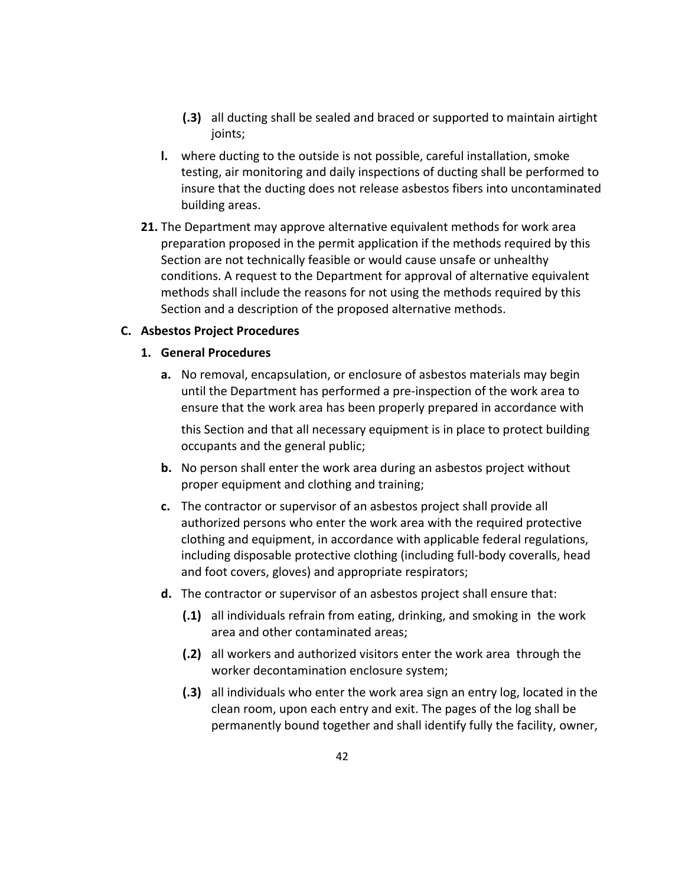- **(.3)** all ducting shall be sealed and braced or supported to maintain airtight joints;
- **l.** where ducting to the outside is not possible, careful installation, smoke testing, air monitoring and daily inspections of ducting shall be performed to insure that the ducting does not release asbestos fibers into uncontaminated building areas.
- **21.** The Department may approve alternative equivalent methods for work area preparation proposed in the permit application if the methods required by this Section are not technically feasible or would cause unsafe or unhealthy conditions. A request to the Department for approval of alternative equivalent methods shall include the reasons for not using the methods required by this Section and a description of the proposed alternative methods.

## **C. Asbestos Project Procedures**

#### **1. General Procedures**

**a.** No removal, encapsulation, or enclosure of asbestos materials may begin until the Department has performed a pre‐inspection of the work area to ensure that the work area has been properly prepared in accordance with

this Section and that all necessary equipment is in place to protect building occupants and the general public;

- **b.** No person shall enter the work area during an asbestos project without proper equipment and clothing and training;
- **c.** The contractor or supervisor of an asbestos project shall provide all authorized persons who enter the work area with the required protective clothing and equipment, in accordance with applicable federal regulations, including disposable protective clothing (including full‐body coveralls, head and foot covers, gloves) and appropriate respirators;
- **d.** The contractor or supervisor of an asbestos project shall ensure that:
	- **(.1)** all individuals refrain from eating, drinking, and smoking in the work area and other contaminated areas;
	- **(.2)** all workers and authorized visitors enter the work area through the worker decontamination enclosure system;
	- **(.3)** all individuals who enter the work area sign an entry log, located in the clean room, upon each entry and exit. The pages of the log shall be permanently bound together and shall identify fully the facility, owner,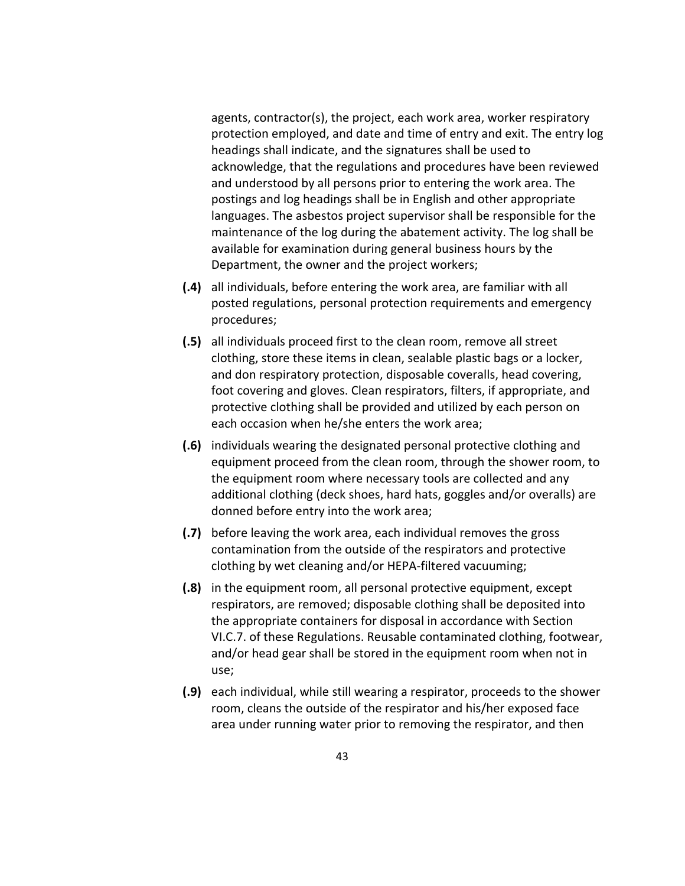agents, contractor(s), the project, each work area, worker respiratory protection employed, and date and time of entry and exit. The entry log headings shall indicate, and the signatures shall be used to acknowledge, that the regulations and procedures have been reviewed and understood by all persons prior to entering the work area. The postings and log headings shall be in English and other appropriate languages. The asbestos project supervisor shall be responsible for the maintenance of the log during the abatement activity. The log shall be available for examination during general business hours by the Department, the owner and the project workers;

- **(.4)** all individuals, before entering the work area, are familiar with all posted regulations, personal protection requirements and emergency procedures;
- **(.5)** all individuals proceed first to the clean room, remove all street clothing, store these items in clean, sealable plastic bags or a locker, and don respiratory protection, disposable coveralls, head covering, foot covering and gloves. Clean respirators, filters, if appropriate, and protective clothing shall be provided and utilized by each person on each occasion when he/she enters the work area;
- **(.6)** individuals wearing the designated personal protective clothing and equipment proceed from the clean room, through the shower room, to the equipment room where necessary tools are collected and any additional clothing (deck shoes, hard hats, goggles and/or overalls) are donned before entry into the work area;
- **(.7)** before leaving the work area, each individual removes the gross contamination from the outside of the respirators and protective clothing by wet cleaning and/or HEPA‐filtered vacuuming;
- **(.8)** in the equipment room, all personal protective equipment, except respirators, are removed; disposable clothing shall be deposited into the appropriate containers for disposal in accordance with Section VI.C.7. of these Regulations. Reusable contaminated clothing, footwear, and/or head gear shall be stored in the equipment room when not in use;
- **(.9)** each individual, while still wearing a respirator, proceeds to the shower room, cleans the outside of the respirator and his/her exposed face area under running water prior to removing the respirator, and then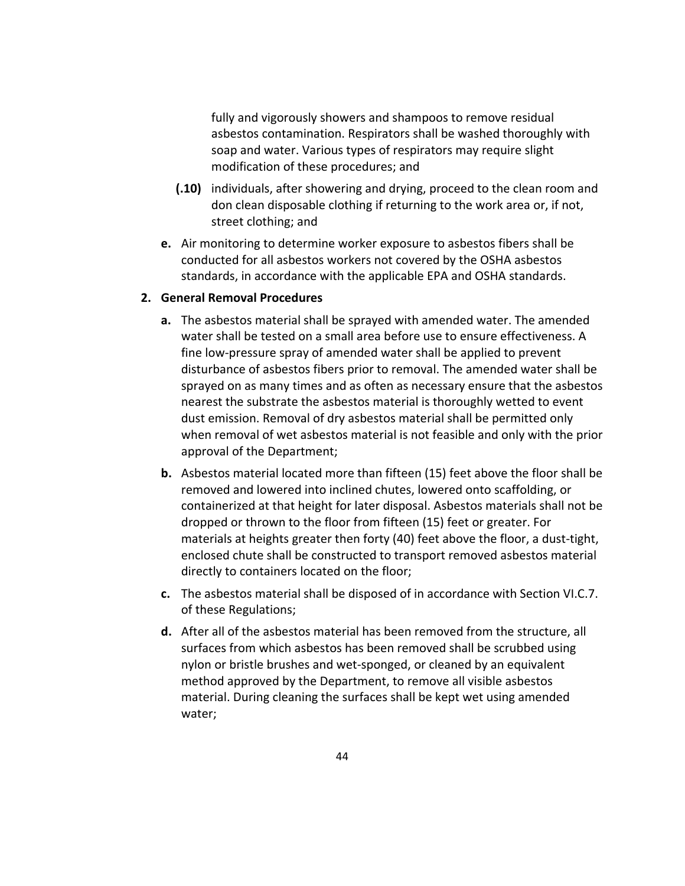fully and vigorously showers and shampoos to remove residual asbestos contamination. Respirators shall be washed thoroughly with soap and water. Various types of respirators may require slight modification of these procedures; and

- **(.10)** individuals, after showering and drying, proceed to the clean room and don clean disposable clothing if returning to the work area or, if not, street clothing; and
- **e.** Air monitoring to determine worker exposure to asbestos fibers shall be conducted for all asbestos workers not covered by the OSHA asbestos standards, in accordance with the applicable EPA and OSHA standards.

#### **2. General Removal Procedures**

- **a.** The asbestos material shall be sprayed with amended water. The amended water shall be tested on a small area before use to ensure effectiveness. A fine low-pressure spray of amended water shall be applied to prevent disturbance of asbestos fibers prior to removal. The amended water shall be sprayed on as many times and as often as necessary ensure that the asbestos nearest the substrate the asbestos material is thoroughly wetted to event dust emission. Removal of dry asbestos material shall be permitted only when removal of wet asbestos material is not feasible and only with the prior approval of the Department;
- **b.** Asbestos material located more than fifteen (15) feet above the floor shall be removed and lowered into inclined chutes, lowered onto scaffolding, or containerized at that height for later disposal. Asbestos materials shall not be dropped or thrown to the floor from fifteen (15) feet or greater. For materials at heights greater then forty (40) feet above the floor, a dust-tight, enclosed chute shall be constructed to transport removed asbestos material directly to containers located on the floor;
- **c.** The asbestos material shall be disposed of in accordance with Section VI.C.7. of these Regulations;
- **d.** After all of the asbestos material has been removed from the structure, all surfaces from which asbestos has been removed shall be scrubbed using nylon or bristle brushes and wet‐sponged, or cleaned by an equivalent method approved by the Department, to remove all visible asbestos material. During cleaning the surfaces shall be kept wet using amended water;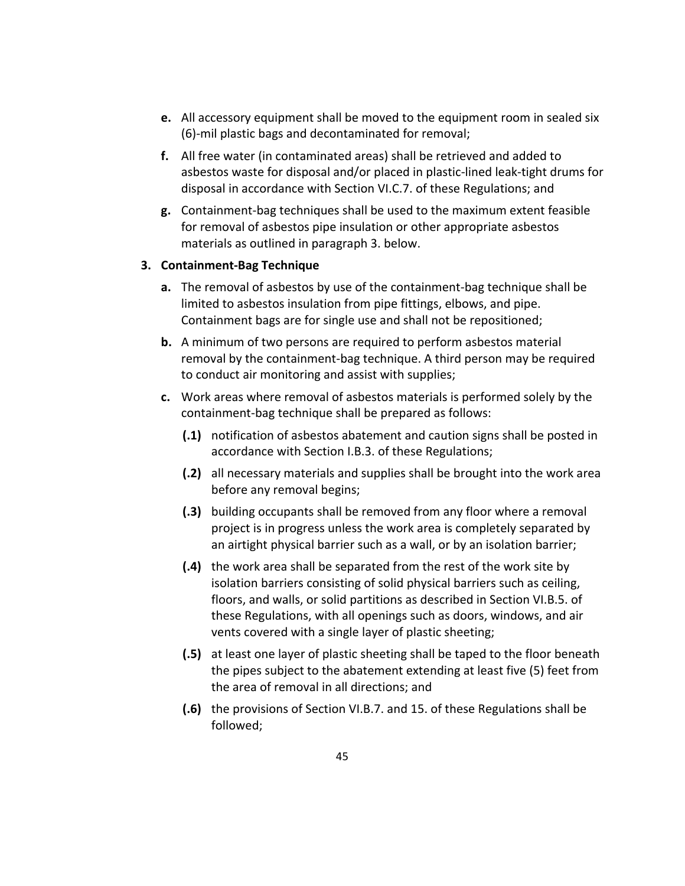- **e.** All accessory equipment shall be moved to the equipment room in sealed six (6)‐mil plastic bags and decontaminated for removal;
- **f.** All free water (in contaminated areas) shall be retrieved and added to asbestos waste for disposal and/or placed in plastic‐lined leak‐tight drums for disposal in accordance with Section VI.C.7. of these Regulations; and
- **g.** Containment‐bag techniques shall be used to the maximum extent feasible for removal of asbestos pipe insulation or other appropriate asbestos materials as outlined in paragraph 3. below.

#### **3. Containment‐Bag Technique**

- **a.** The removal of asbestos by use of the containment‐bag technique shall be limited to asbestos insulation from pipe fittings, elbows, and pipe. Containment bags are for single use and shall not be repositioned;
- **b.** A minimum of two persons are required to perform asbestos material removal by the containment‐bag technique. A third person may be required to conduct air monitoring and assist with supplies;
- **c.** Work areas where removal of asbestos materials is performed solely by the containment‐bag technique shall be prepared as follows:
	- **(.1)** notification of asbestos abatement and caution signs shall be posted in accordance with Section I.B.3. of these Regulations;
	- **(.2)** all necessary materials and supplies shall be brought into the work area before any removal begins;
	- **(.3)** building occupants shall be removed from any floor where a removal project is in progress unless the work area is completely separated by an airtight physical barrier such as a wall, or by an isolation barrier;
	- **(.4)** the work area shall be separated from the rest of the work site by isolation barriers consisting of solid physical barriers such as ceiling, floors, and walls, or solid partitions as described in Section VI.B.5. of these Regulations, with all openings such as doors, windows, and air vents covered with a single layer of plastic sheeting;
	- **(.5)** at least one layer of plastic sheeting shall be taped to the floor beneath the pipes subject to the abatement extending at least five (5) feet from the area of removal in all directions; and
	- **(.6)** the provisions of Section VI.B.7. and 15. of these Regulations shall be followed;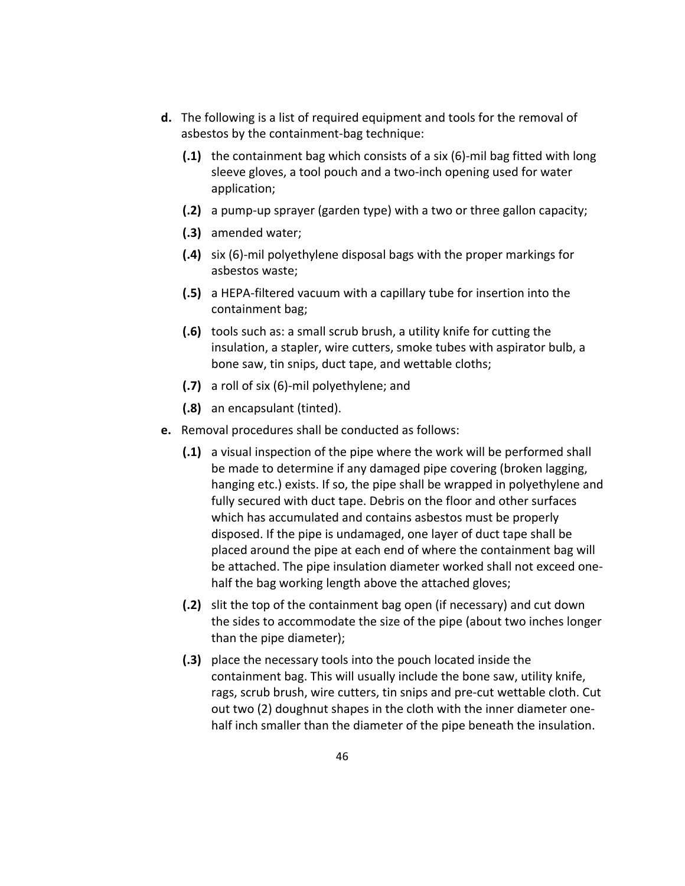- **d.** The following is a list of required equipment and tools for the removal of asbestos by the containment‐bag technique:
	- **(.1)** the containment bag which consists of a six (6)‐mil bag fitted with long sleeve gloves, a tool pouch and a two‐inch opening used for water application;
	- **(.2)** a pump‐up sprayer (garden type) with a two or three gallon capacity;
	- **(.3)** amended water;
	- **(.4)** six (6)‐mil polyethylene disposal bags with the proper markings for asbestos waste;
	- **(.5)** a HEPA‐filtered vacuum with a capillary tube for insertion into the containment bag;
	- **(.6)** tools such as: a small scrub brush, a utility knife for cutting the insulation, a stapler, wire cutters, smoke tubes with aspirator bulb, a bone saw, tin snips, duct tape, and wettable cloths;
	- **(.7)** a roll of six (6)‐mil polyethylene; and
	- **(.8)** an encapsulant (tinted).
- **e.** Removal procedures shall be conducted as follows:
	- **(.1)** a visual inspection of the pipe where the work will be performed shall be made to determine if any damaged pipe covering (broken lagging, hanging etc.) exists. If so, the pipe shall be wrapped in polyethylene and fully secured with duct tape. Debris on the floor and other surfaces which has accumulated and contains asbestos must be properly disposed. If the pipe is undamaged, one layer of duct tape shall be placed around the pipe at each end of where the containment bag will be attached. The pipe insulation diameter worked shall not exceed one‐ half the bag working length above the attached gloves;
	- **(.2)** slit the top of the containment bag open (if necessary) and cut down the sides to accommodate the size of the pipe (about two inches longer than the pipe diameter);
	- **(.3)** place the necessary tools into the pouch located inside the containment bag. This will usually include the bone saw, utility knife, rags, scrub brush, wire cutters, tin snips and pre‐cut wettable cloth. Cut out two (2) doughnut shapes in the cloth with the inner diameter one‐ half inch smaller than the diameter of the pipe beneath the insulation.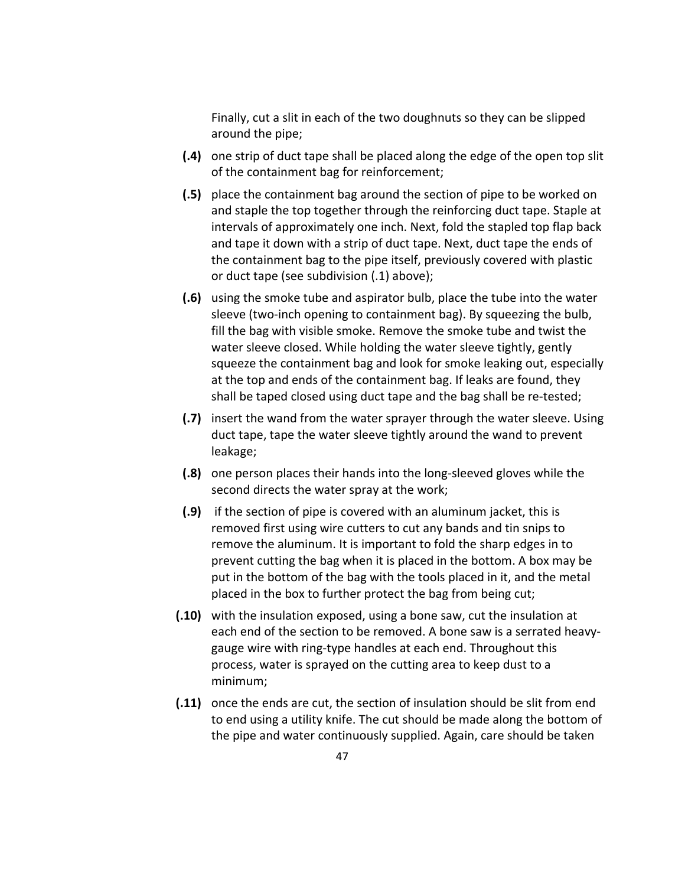Finally, cut a slit in each of the two doughnuts so they can be slipped around the pipe;

- **(.4)** one strip of duct tape shall be placed along the edge of the open top slit of the containment bag for reinforcement;
- **(.5)** place the containment bag around the section of pipe to be worked on and staple the top together through the reinforcing duct tape. Staple at intervals of approximately one inch. Next, fold the stapled top flap back and tape it down with a strip of duct tape. Next, duct tape the ends of the containment bag to the pipe itself, previously covered with plastic or duct tape (see subdivision (.1) above);
- **(.6)** using the smoke tube and aspirator bulb, place the tube into the water sleeve (two‐inch opening to containment bag). By squeezing the bulb, fill the bag with visible smoke. Remove the smoke tube and twist the water sleeve closed. While holding the water sleeve tightly, gently squeeze the containment bag and look for smoke leaking out, especially at the top and ends of the containment bag. If leaks are found, they shall be taped closed using duct tape and the bag shall be re‐tested;
- **(.7)** insert the wand from the water sprayer through the water sleeve. Using duct tape, tape the water sleeve tightly around the wand to prevent leakage;
- **(.8)** one person places their hands into the long‐sleeved gloves while the second directs the water spray at the work;
- **(.9)** if the section of pipe is covered with an aluminum jacket, this is removed first using wire cutters to cut any bands and tin snips to remove the aluminum. It is important to fold the sharp edges in to prevent cutting the bag when it is placed in the bottom. A box may be put in the bottom of the bag with the tools placed in it, and the metal placed in the box to further protect the bag from being cut;
- **(.10)** with the insulation exposed, using a bone saw, cut the insulation at each end of the section to be removed. A bone saw is a serrated heavy‐ gauge wire with ring‐type handles at each end. Throughout this process, water is sprayed on the cutting area to keep dust to a minimum;
- **(.11)** once the ends are cut, the section of insulation should be slit from end to end using a utility knife. The cut should be made along the bottom of the pipe and water continuously supplied. Again, care should be taken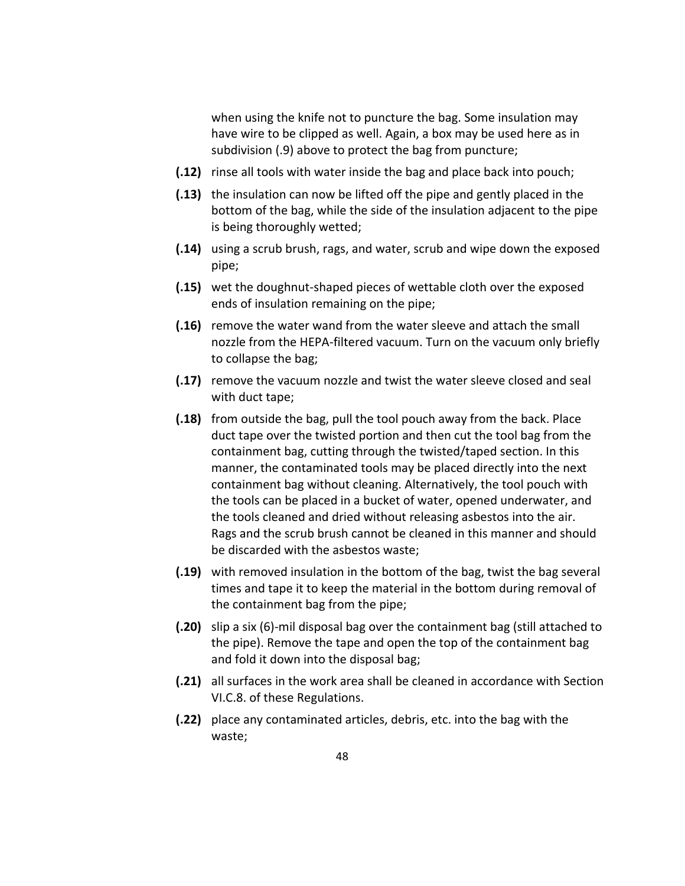when using the knife not to puncture the bag. Some insulation may have wire to be clipped as well. Again, a box may be used here as in subdivision (.9) above to protect the bag from puncture;

- **(.12)** rinse all tools with water inside the bag and place back into pouch;
- **(.13)** the insulation can now be lifted off the pipe and gently placed in the bottom of the bag, while the side of the insulation adjacent to the pipe is being thoroughly wetted;
- **(.14)** using a scrub brush, rags, and water, scrub and wipe down the exposed pipe;
- **(.15)** wet the doughnut‐shaped pieces of wettable cloth over the exposed ends of insulation remaining on the pipe;
- **(.16)** remove the water wand from the water sleeve and attach the small nozzle from the HEPA‐filtered vacuum. Turn on the vacuum only briefly to collapse the bag;
- **(.17)** remove the vacuum nozzle and twist the water sleeve closed and seal with duct tape;
- **(.18)** from outside the bag, pull the tool pouch away from the back. Place duct tape over the twisted portion and then cut the tool bag from the containment bag, cutting through the twisted/taped section. In this manner, the contaminated tools may be placed directly into the next containment bag without cleaning. Alternatively, the tool pouch with the tools can be placed in a bucket of water, opened underwater, and the tools cleaned and dried without releasing asbestos into the air. Rags and the scrub brush cannot be cleaned in this manner and should be discarded with the asbestos waste;
- **(.19)** with removed insulation in the bottom of the bag, twist the bag several times and tape it to keep the material in the bottom during removal of the containment bag from the pipe;
- **(.20)** slip a six (6)‐mil disposal bag over the containment bag (still attached to the pipe). Remove the tape and open the top of the containment bag and fold it down into the disposal bag;
- **(.21)** all surfaces in the work area shall be cleaned in accordance with Section VI.C.8. of these Regulations.
- **(.22)** place any contaminated articles, debris, etc. into the bag with the waste;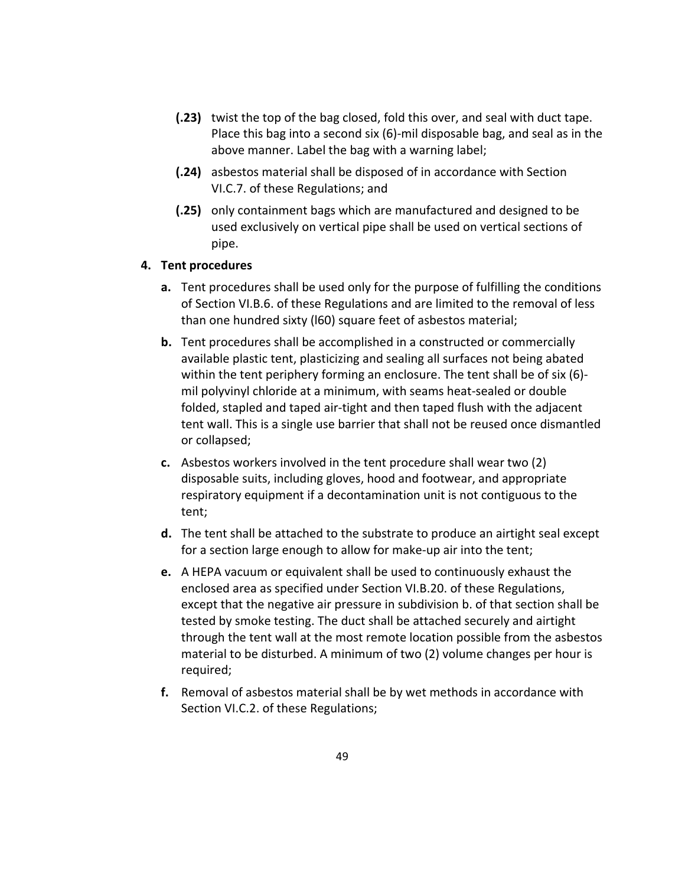- **(.23)** twist the top of the bag closed, fold this over, and seal with duct tape. Place this bag into a second six (6)‐mil disposable bag, and seal as in the above manner. Label the bag with a warning label;
- **(.24)** asbestos material shall be disposed of in accordance with Section VI.C.7. of these Regulations; and
- **(.25)** only containment bags which are manufactured and designed to be used exclusively on vertical pipe shall be used on vertical sections of pipe.

#### **4. Tent procedures**

- **a.** Tent procedures shall be used only for the purpose of fulfilling the conditions of Section VI.B.6. of these Regulations and are limited to the removal of less than one hundred sixty (l60) square feet of asbestos material;
- **b.** Tent procedures shall be accomplished in a constructed or commercially available plastic tent, plasticizing and sealing all surfaces not being abated within the tent periphery forming an enclosure. The tent shall be of six (6)mil polyvinyl chloride at a minimum, with seams heat‐sealed or double folded, stapled and taped air‐tight and then taped flush with the adjacent tent wall. This is a single use barrier that shall not be reused once dismantled or collapsed;
- **c.** Asbestos workers involved in the tent procedure shall wear two (2) disposable suits, including gloves, hood and footwear, and appropriate respiratory equipment if a decontamination unit is not contiguous to the tent;
- **d.** The tent shall be attached to the substrate to produce an airtight seal except for a section large enough to allow for make-up air into the tent;
- **e.** A HEPA vacuum or equivalent shall be used to continuously exhaust the enclosed area as specified under Section VI.B.20. of these Regulations, except that the negative air pressure in subdivision b. of that section shall be tested by smoke testing. The duct shall be attached securely and airtight through the tent wall at the most remote location possible from the asbestos material to be disturbed. A minimum of two (2) volume changes per hour is required;
- **f.** Removal of asbestos material shall be by wet methods in accordance with Section VI.C.2. of these Regulations;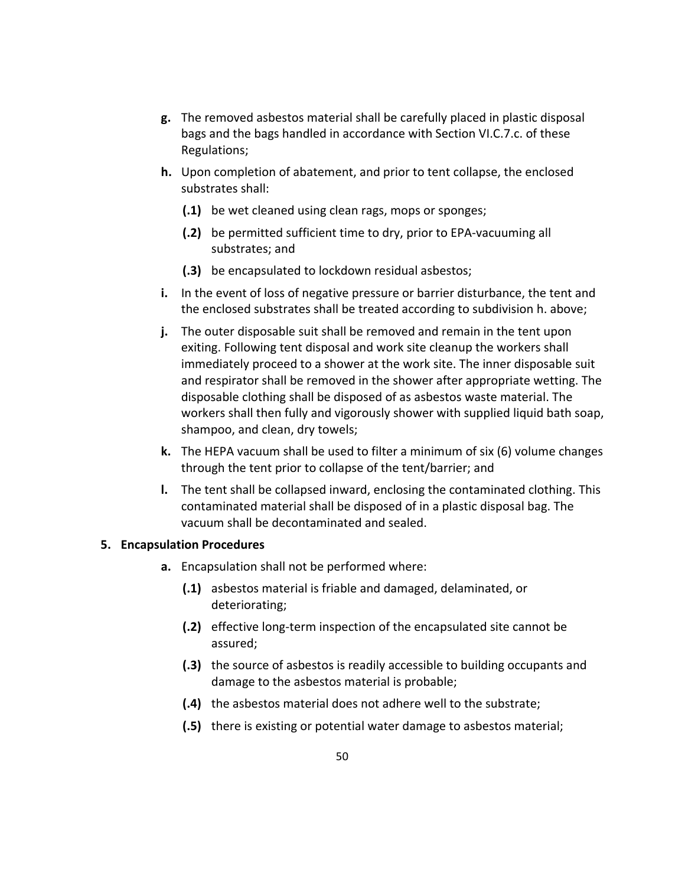- **g.** The removed asbestos material shall be carefully placed in plastic disposal bags and the bags handled in accordance with Section VI.C.7.c. of these Regulations;
- **h.** Upon completion of abatement, and prior to tent collapse, the enclosed substrates shall:
	- **(.1)** be wet cleaned using clean rags, mops or sponges;
	- **(.2)** be permitted sufficient time to dry, prior to EPA‐vacuuming all substrates; and
	- **(.3)** be encapsulated to lockdown residual asbestos;
- **i.** In the event of loss of negative pressure or barrier disturbance, the tent and the enclosed substrates shall be treated according to subdivision h. above;
- **j.** The outer disposable suit shall be removed and remain in the tent upon exiting. Following tent disposal and work site cleanup the workers shall immediately proceed to a shower at the work site. The inner disposable suit and respirator shall be removed in the shower after appropriate wetting. The disposable clothing shall be disposed of as asbestos waste material. The workers shall then fully and vigorously shower with supplied liquid bath soap, shampoo, and clean, dry towels;
- **k.** The HEPA vacuum shall be used to filter a minimum of six (6) volume changes through the tent prior to collapse of the tent/barrier; and
- **l.** The tent shall be collapsed inward, enclosing the contaminated clothing. This contaminated material shall be disposed of in a plastic disposal bag. The vacuum shall be decontaminated and sealed.

## **5. Encapsulation Procedures**

- **a.** Encapsulation shall not be performed where:
	- **(.1)** asbestos material is friable and damaged, delaminated, or deteriorating;
	- **(.2)** effective long‐term inspection of the encapsulated site cannot be assured;
	- **(.3)** the source of asbestos is readily accessible to building occupants and damage to the asbestos material is probable;
	- **(.4)** the asbestos material does not adhere well to the substrate;
	- **(.5)** there is existing or potential water damage to asbestos material;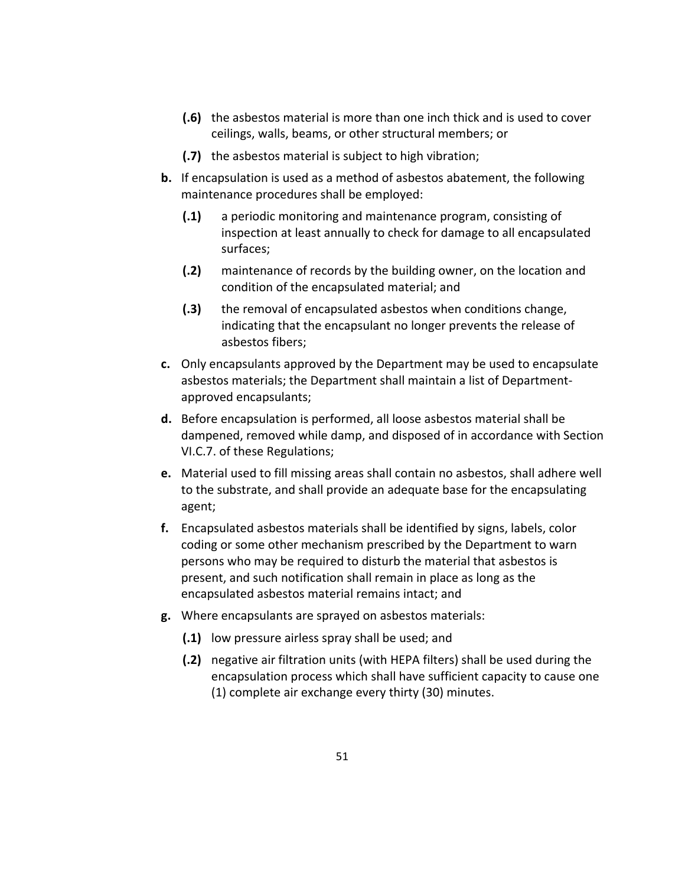- **(.6)** the asbestos material is more than one inch thick and is used to cover ceilings, walls, beams, or other structural members; or
- **(.7)** the asbestos material is subject to high vibration;
- **b.** If encapsulation is used as a method of asbestos abatement, the following maintenance procedures shall be employed:
	- **(.1)** a periodic monitoring and maintenance program, consisting of inspection at least annually to check for damage to all encapsulated surfaces;
	- **(.2)** maintenance of records by the building owner, on the location and condition of the encapsulated material; and
	- **(.3)** the removal of encapsulated asbestos when conditions change, indicating that the encapsulant no longer prevents the release of asbestos fibers;
- **c.** Only encapsulants approved by the Department may be used to encapsulate asbestos materials; the Department shall maintain a list of Department‐ approved encapsulants;
- **d.** Before encapsulation is performed, all loose asbestos material shall be dampened, removed while damp, and disposed of in accordance with Section VI.C.7. of these Regulations;
- **e.** Material used to fill missing areas shall contain no asbestos, shall adhere well to the substrate, and shall provide an adequate base for the encapsulating agent;
- **f.** Encapsulated asbestos materials shall be identified by signs, labels, color coding or some other mechanism prescribed by the Department to warn persons who may be required to disturb the material that asbestos is present, and such notification shall remain in place as long as the encapsulated asbestos material remains intact; and
- **g.** Where encapsulants are sprayed on asbestos materials:
	- **(.1)** low pressure airless spray shall be used; and
	- **(.2)** negative air filtration units (with HEPA filters) shall be used during the encapsulation process which shall have sufficient capacity to cause one (1) complete air exchange every thirty (30) minutes.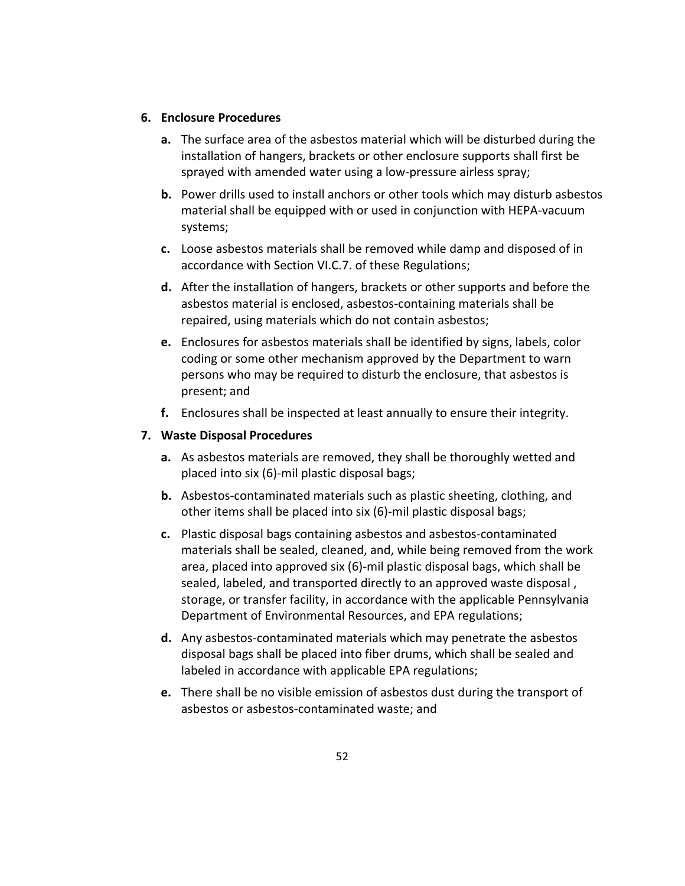#### **6. Enclosure Procedures**

- **a.** The surface area of the asbestos material which will be disturbed during the installation of hangers, brackets or other enclosure supports shall first be sprayed with amended water using a low-pressure airless spray;
- **b.** Power drills used to install anchors or other tools which may disturb asbestos material shall be equipped with or used in conjunction with HEPA‐vacuum systems;
- **c.** Loose asbestos materials shall be removed while damp and disposed of in accordance with Section VI.C.7. of these Regulations;
- **d.** After the installation of hangers, brackets or other supports and before the asbestos material is enclosed, asbestos‐containing materials shall be repaired, using materials which do not contain asbestos;
- **e.** Enclosures for asbestos materials shall be identified by signs, labels, color coding or some other mechanism approved by the Department to warn persons who may be required to disturb the enclosure, that asbestos is present; and
- **f.** Enclosures shall be inspected at least annually to ensure their integrity.

#### **7. Waste Disposal Procedures**

- **a.** As asbestos materials are removed, they shall be thoroughly wetted and placed into six (6)‐mil plastic disposal bags;
- **b.** Asbestos‐contaminated materials such as plastic sheeting, clothing, and other items shall be placed into six (6)‐mil plastic disposal bags;
- **c.** Plastic disposal bags containing asbestos and asbestos‐contaminated materials shall be sealed, cleaned, and, while being removed from the work area, placed into approved six (6)‐mil plastic disposal bags, which shall be sealed, labeled, and transported directly to an approved waste disposal , storage, or transfer facility, in accordance with the applicable Pennsylvania Department of Environmental Resources, and EPA regulations;
- **d.** Any asbestos‐contaminated materials which may penetrate the asbestos disposal bags shall be placed into fiber drums, which shall be sealed and labeled in accordance with applicable EPA regulations;
- **e.** There shall be no visible emission of asbestos dust during the transport of asbestos or asbestos‐contaminated waste; and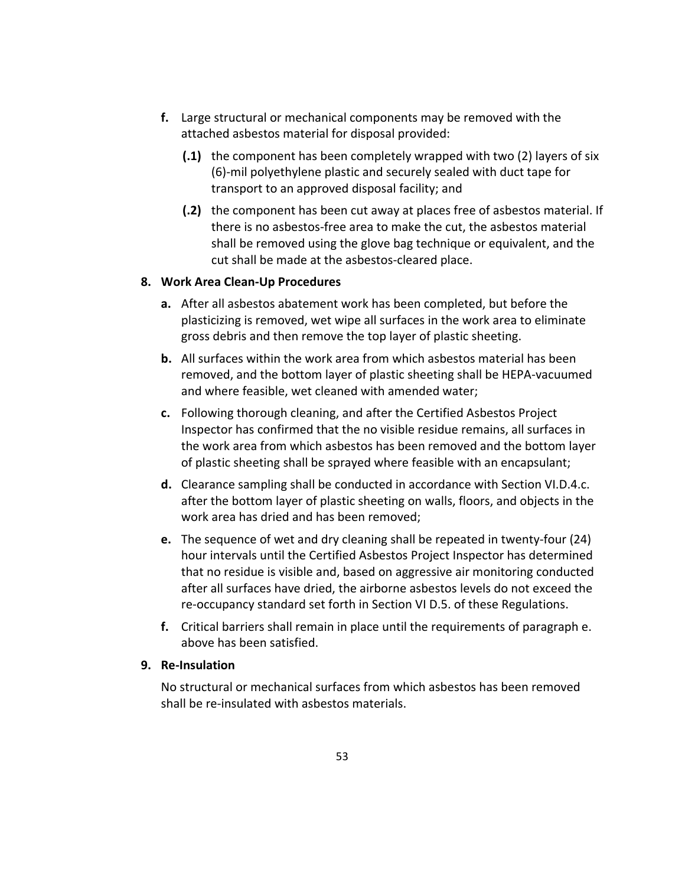- **f.** Large structural or mechanical components may be removed with the attached asbestos material for disposal provided:
	- **(.1)** the component has been completely wrapped with two (2) layers of six (6)‐mil polyethylene plastic and securely sealed with duct tape for transport to an approved disposal facility; and
	- **(.2)** the component has been cut away at places free of asbestos material. If there is no asbestos‐free area to make the cut, the asbestos material shall be removed using the glove bag technique or equivalent, and the cut shall be made at the asbestos‐cleared place.

#### **8. Work Area Clean‐Up Procedures**

- **a.** After all asbestos abatement work has been completed, but before the plasticizing is removed, wet wipe all surfaces in the work area to eliminate gross debris and then remove the top layer of plastic sheeting.
- **b.** All surfaces within the work area from which asbestos material has been removed, and the bottom layer of plastic sheeting shall be HEPA‐vacuumed and where feasible, wet cleaned with amended water;
- **c.** Following thorough cleaning, and after the Certified Asbestos Project Inspector has confirmed that the no visible residue remains, all surfaces in the work area from which asbestos has been removed and the bottom layer of plastic sheeting shall be sprayed where feasible with an encapsulant;
- **d.** Clearance sampling shall be conducted in accordance with Section VI.D.4.c. after the bottom layer of plastic sheeting on walls, floors, and objects in the work area has dried and has been removed;
- **e.** The sequence of wet and dry cleaning shall be repeated in twenty‐four (24) hour intervals until the Certified Asbestos Project Inspector has determined that no residue is visible and, based on aggressive air monitoring conducted after all surfaces have dried, the airborne asbestos levels do not exceed the re‐occupancy standard set forth in Section VI D.5. of these Regulations.
- **f.** Critical barriers shall remain in place until the requirements of paragraph e. above has been satisfied.

#### **9. Re‐Insulation**

No structural or mechanical surfaces from which asbestos has been removed shall be re‐insulated with asbestos materials.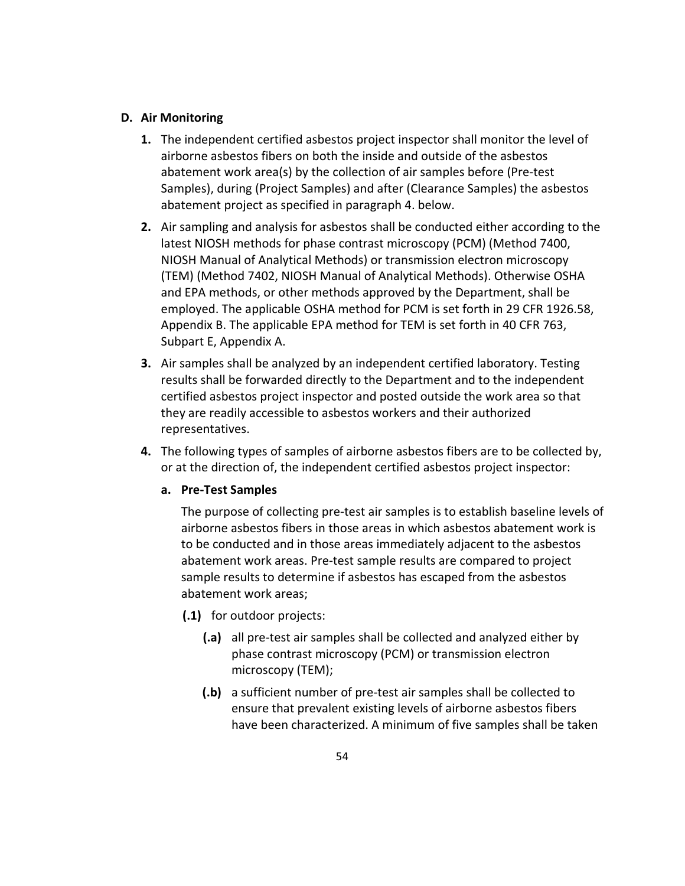#### **D. Air Monitoring**

- **1.** The independent certified asbestos project inspector shall monitor the level of airborne asbestos fibers on both the inside and outside of the asbestos abatement work area(s) by the collection of air samples before (Pre‐test Samples), during (Project Samples) and after (Clearance Samples) the asbestos abatement project as specified in paragraph 4. below.
- **2.** Air sampling and analysis for asbestos shall be conducted either according to the latest NIOSH methods for phase contrast microscopy (PCM) (Method 7400, NIOSH Manual of Analytical Methods) or transmission electron microscopy (TEM) (Method 7402, NIOSH Manual of Analytical Methods). Otherwise OSHA and EPA methods, or other methods approved by the Department, shall be employed. The applicable OSHA method for PCM is set forth in 29 CFR 1926.58, Appendix B. The applicable EPA method for TEM is set forth in 40 CFR 763, Subpart E, Appendix A.
- **3.** Air samples shall be analyzed by an independent certified laboratory. Testing results shall be forwarded directly to the Department and to the independent certified asbestos project inspector and posted outside the work area so that they are readily accessible to asbestos workers and their authorized representatives.
- **4.** The following types of samples of airborne asbestos fibers are to be collected by, or at the direction of, the independent certified asbestos project inspector:

#### **a. Pre‐Test Samples**

The purpose of collecting pre‐test air samples is to establish baseline levels of airborne asbestos fibers in those areas in which asbestos abatement work is to be conducted and in those areas immediately adjacent to the asbestos abatement work areas. Pre‐test sample results are compared to project sample results to determine if asbestos has escaped from the asbestos abatement work areas;

- **(.1)** for outdoor projects:
	- **(.a)** all pre‐test air samples shall be collected and analyzed either by phase contrast microscopy (PCM) or transmission electron microscopy (TEM);
	- **(.b)** a sufficient number of pre‐test air samples shall be collected to ensure that prevalent existing levels of airborne asbestos fibers have been characterized. A minimum of five samples shall be taken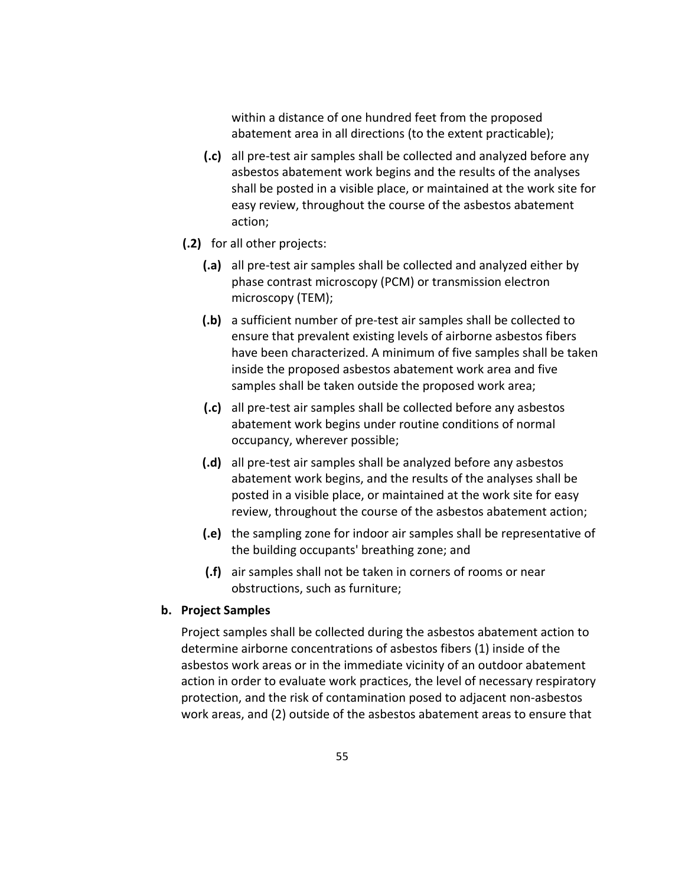within a distance of one hundred feet from the proposed abatement area in all directions (to the extent practicable);

- **(.c)** all pre‐test air samples shall be collected and analyzed before any asbestos abatement work begins and the results of the analyses shall be posted in a visible place, or maintained at the work site for easy review, throughout the course of the asbestos abatement action;
- **(.2)** for all other projects:
	- **(.a)** all pre‐test air samples shall be collected and analyzed either by phase contrast microscopy (PCM) or transmission electron microscopy (TEM);
	- **(.b)** a sufficient number of pre‐test air samples shall be collected to ensure that prevalent existing levels of airborne asbestos fibers have been characterized. A minimum of five samples shall be taken inside the proposed asbestos abatement work area and five samples shall be taken outside the proposed work area;
	- **(.c)** all pre‐test air samples shall be collected before any asbestos abatement work begins under routine conditions of normal occupancy, wherever possible;
	- **(.d)** all pre‐test air samples shall be analyzed before any asbestos abatement work begins, and the results of the analyses shall be posted in a visible place, or maintained at the work site for easy review, throughout the course of the asbestos abatement action;
	- **(.e)** the sampling zone for indoor air samples shall be representative of the building occupants' breathing zone; and
	- **(.f)** air samples shall not be taken in corners of rooms or near obstructions, such as furniture;

### **b. Project Samples**

Project samples shall be collected during the asbestos abatement action to determine airborne concentrations of asbestos fibers (1) inside of the asbestos work areas or in the immediate vicinity of an outdoor abatement action in order to evaluate work practices, the level of necessary respiratory protection, and the risk of contamination posed to adjacent non‐asbestos work areas, and (2) outside of the asbestos abatement areas to ensure that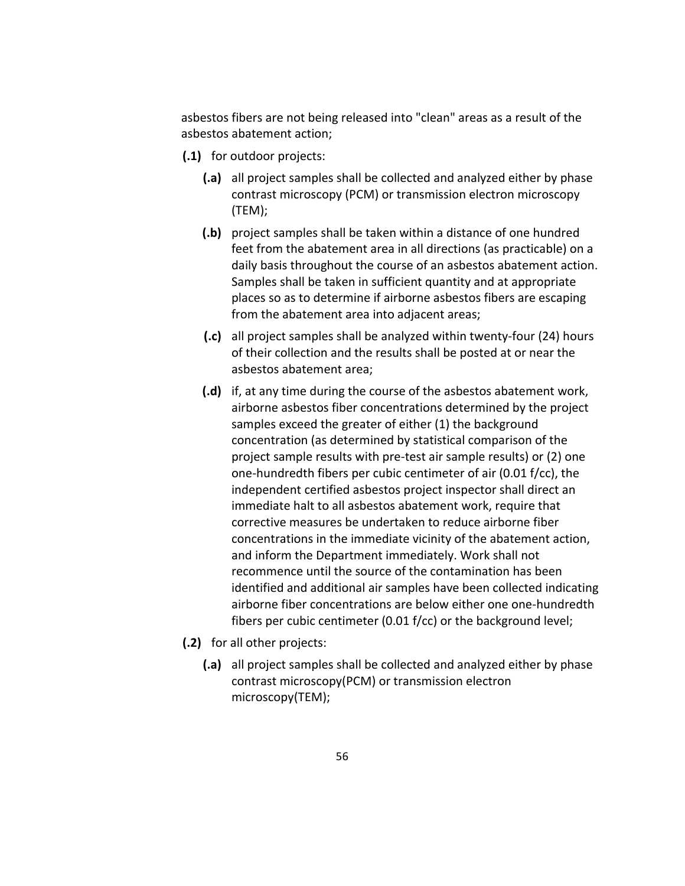asbestos fibers are not being released into "clean" areas as a result of the asbestos abatement action;

- **(.1)** for outdoor projects:
	- **(.a)** all project samples shall be collected and analyzed either by phase contrast microscopy (PCM) or transmission electron microscopy (TEM);
	- **(.b)** project samples shall be taken within a distance of one hundred feet from the abatement area in all directions (as practicable) on a daily basis throughout the course of an asbestos abatement action. Samples shall be taken in sufficient quantity and at appropriate places so as to determine if airborne asbestos fibers are escaping from the abatement area into adjacent areas;
	- **(.c)** all project samples shall be analyzed within twenty‐four (24) hours of their collection and the results shall be posted at or near the asbestos abatement area;
	- **(.d)** if, at any time during the course of the asbestos abatement work, airborne asbestos fiber concentrations determined by the project samples exceed the greater of either (1) the background concentration (as determined by statistical comparison of the project sample results with pre‐test air sample results) or (2) one one‐hundredth fibers per cubic centimeter of air (0.01 f/cc), the independent certified asbestos project inspector shall direct an immediate halt to all asbestos abatement work, require that corrective measures be undertaken to reduce airborne fiber concentrations in the immediate vicinity of the abatement action, and inform the Department immediately. Work shall not recommence until the source of the contamination has been identified and additional air samples have been collected indicating airborne fiber concentrations are below either one one‐hundredth fibers per cubic centimeter (0.01 f/cc) or the background level;
- **(.2)** for all other projects:
	- **(.a)** all project samples shall be collected and analyzed either by phase contrast microscopy(PCM) or transmission electron microscopy(TEM);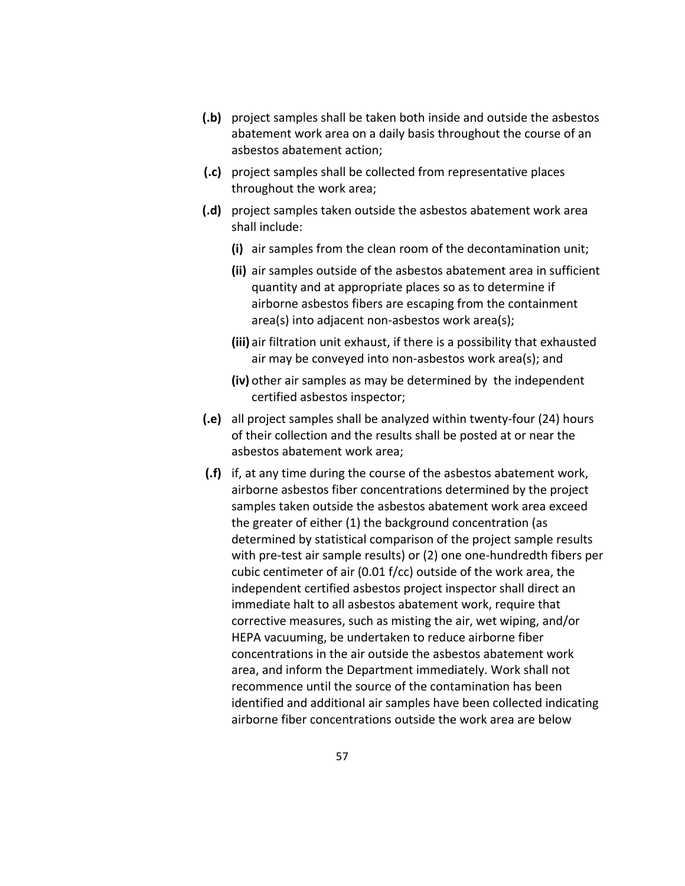- **(.b)** project samples shall be taken both inside and outside the asbestos abatement work area on a daily basis throughout the course of an asbestos abatement action;
- **(.c)** project samples shall be collected from representative places throughout the work area;
- **(.d)** project samples taken outside the asbestos abatement work area shall include:
	- **(i)** air samples from the clean room of the decontamination unit;
	- **(ii)** air samples outside of the asbestos abatement area in sufficient quantity and at appropriate places so as to determine if airborne asbestos fibers are escaping from the containment area(s) into adjacent non‐asbestos work area(s);
	- **(iii)** air filtration unit exhaust, if there is a possibility that exhausted air may be conveyed into non‐asbestos work area(s); and
	- **(iv)** other air samples as may be determined by the independent certified asbestos inspector;
- **(.e)** all project samples shall be analyzed within twenty‐four (24) hours of their collection and the results shall be posted at or near the asbestos abatement work area;
- **(.f)** if, at any time during the course of the asbestos abatement work, airborne asbestos fiber concentrations determined by the project samples taken outside the asbestos abatement work area exceed the greater of either (1) the background concentration (as determined by statistical comparison of the project sample results with pre-test air sample results) or (2) one one-hundredth fibers per cubic centimeter of air (0.01 f/cc) outside of the work area, the independent certified asbestos project inspector shall direct an immediate halt to all asbestos abatement work, require that corrective measures, such as misting the air, wet wiping, and/or HEPA vacuuming, be undertaken to reduce airborne fiber concentrations in the air outside the asbestos abatement work area, and inform the Department immediately. Work shall not recommence until the source of the contamination has been identified and additional air samples have been collected indicating airborne fiber concentrations outside the work area are below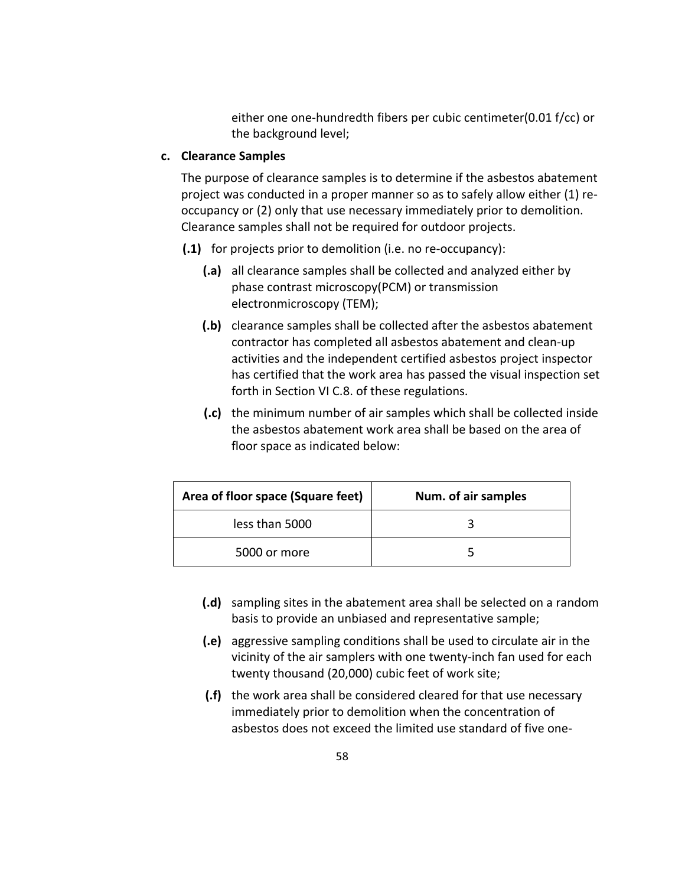either one one‐hundredth fibers per cubic centimeter(0.01 f/cc) or the background level;

## **c. Clearance Samples**

The purpose of clearance samples is to determine if the asbestos abatement project was conducted in a proper manner so as to safely allow either (1) re‐ occupancy or (2) only that use necessary immediately prior to demolition. Clearance samples shall not be required for outdoor projects.

- **(.1)** for projects prior to demolition (i.e. no re‐occupancy):
	- **(.a)** all clearance samples shall be collected and analyzed either by phase contrast microscopy(PCM) or transmission electronmicroscopy (TEM);
	- **(.b)** clearance samples shall be collected after the asbestos abatement contractor has completed all asbestos abatement and clean‐up activities and the independent certified asbestos project inspector has certified that the work area has passed the visual inspection set forth in Section VI C.8. of these regulations.
	- **(.c)** the minimum number of air samples which shall be collected inside the asbestos abatement work area shall be based on the area of floor space as indicated below:

| Area of floor space (Square feet) | Num. of air samples |
|-----------------------------------|---------------------|
| less than 5000                    |                     |
| 5000 or more                      |                     |

- **(.d)** sampling sites in the abatement area shall be selected on a random basis to provide an unbiased and representative sample;
- **(.e)** aggressive sampling conditions shall be used to circulate air in the vicinity of the air samplers with one twenty‐inch fan used for each twenty thousand (20,000) cubic feet of work site;
- **(.f)** the work area shall be considered cleared for that use necessary immediately prior to demolition when the concentration of asbestos does not exceed the limited use standard of five one‐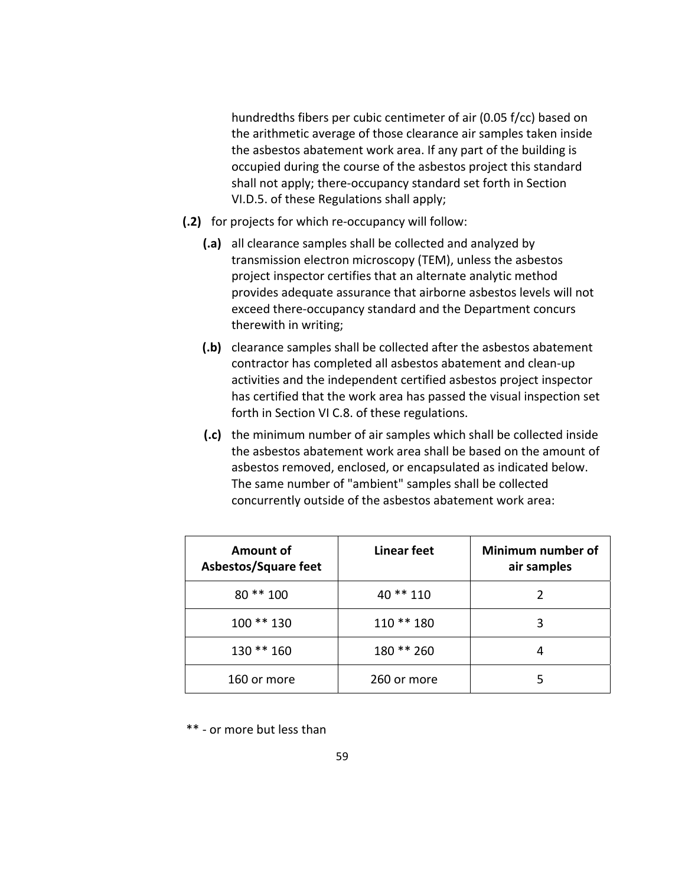hundredths fibers per cubic centimeter of air (0.05 f/cc) based on the arithmetic average of those clearance air samples taken inside the asbestos abatement work area. If any part of the building is occupied during the course of the asbestos project this standard shall not apply; there‐occupancy standard set forth in Section VI.D.5. of these Regulations shall apply;

- **(.2)** for projects for which re‐occupancy will follow:
	- **(.a)** all clearance samples shall be collected and analyzed by transmission electron microscopy (TEM), unless the asbestos project inspector certifies that an alternate analytic method provides adequate assurance that airborne asbestos levels will not exceed there‐occupancy standard and the Department concurs therewith in writing;
	- **(.b)** clearance samples shall be collected after the asbestos abatement contractor has completed all asbestos abatement and clean‐up activities and the independent certified asbestos project inspector has certified that the work area has passed the visual inspection set forth in Section VI C.8. of these regulations.
	- **(.c)** the minimum number of air samples which shall be collected inside the asbestos abatement work area shall be based on the amount of asbestos removed, enclosed, or encapsulated as indicated below. The same number of "ambient" samples shall be collected concurrently outside of the asbestos abatement work area:

| Amount of<br>Asbestos/Square feet | Linear feet | Minimum number of<br>air samples |
|-----------------------------------|-------------|----------------------------------|
| 80 ** 100                         | 40 ** 110   |                                  |
| $100**130$                        | $110**180$  | 3                                |
| 130 ** 160                        | 180 ** 260  | 4                                |
| 160 or more                       | 260 or more |                                  |

\*\* ‐ or more but less than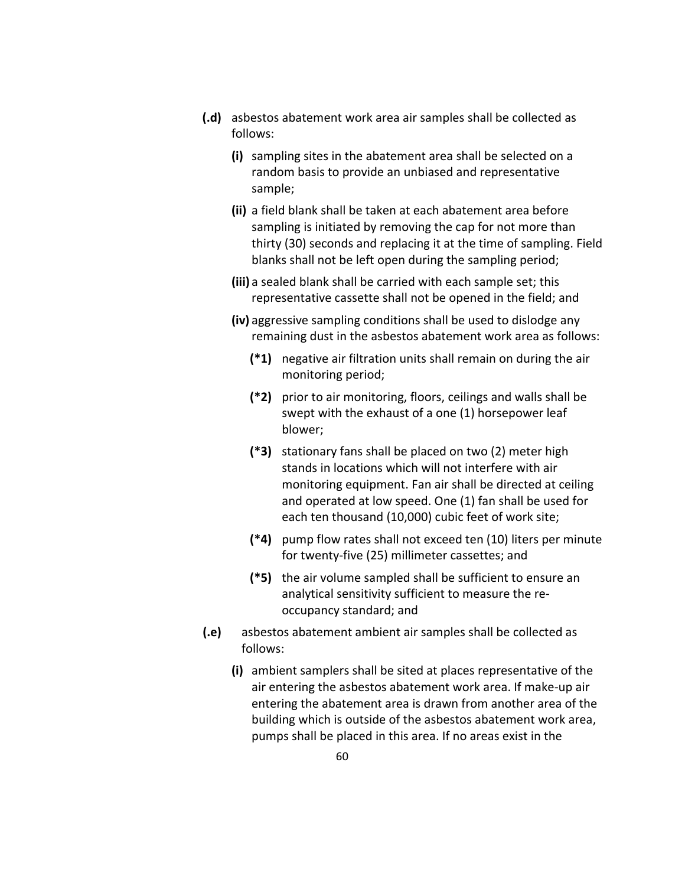- **(.d)** asbestos abatement work area air samples shall be collected as follows:
	- **(i)** sampling sites in the abatement area shall be selected on a random basis to provide an unbiased and representative sample;
	- **(ii)** a field blank shall be taken at each abatement area before sampling is initiated by removing the cap for not more than thirty (30) seconds and replacing it at the time of sampling. Field blanks shall not be left open during the sampling period;
	- **(iii)** a sealed blank shall be carried with each sample set; this representative cassette shall not be opened in the field; and
	- **(iv)** aggressive sampling conditions shall be used to dislodge any remaining dust in the asbestos abatement work area as follows:
		- **(\*1)** negative air filtration units shall remain on during the air monitoring period;
		- **(\*2)** prior to air monitoring, floors, ceilings and walls shall be swept with the exhaust of a one (1) horsepower leaf blower;
		- **(\*3)** stationary fans shall be placed on two (2) meter high stands in locations which will not interfere with air monitoring equipment. Fan air shall be directed at ceiling and operated at low speed. One (1) fan shall be used for each ten thousand (10,000) cubic feet of work site;
		- **(\*4)** pump flow rates shall not exceed ten (10) liters per minute for twenty‐five (25) millimeter cassettes; and
		- **(\*5)** the air volume sampled shall be sufficient to ensure an analytical sensitivity sufficient to measure the re‐ occupancy standard; and
- **(.e)** asbestos abatement ambient air samples shall be collected as follows:
	- **(i)** ambient samplers shall be sited at places representative of the air entering the asbestos abatement work area. If make‐up air entering the abatement area is drawn from another area of the building which is outside of the asbestos abatement work area, pumps shall be placed in this area. If no areas exist in the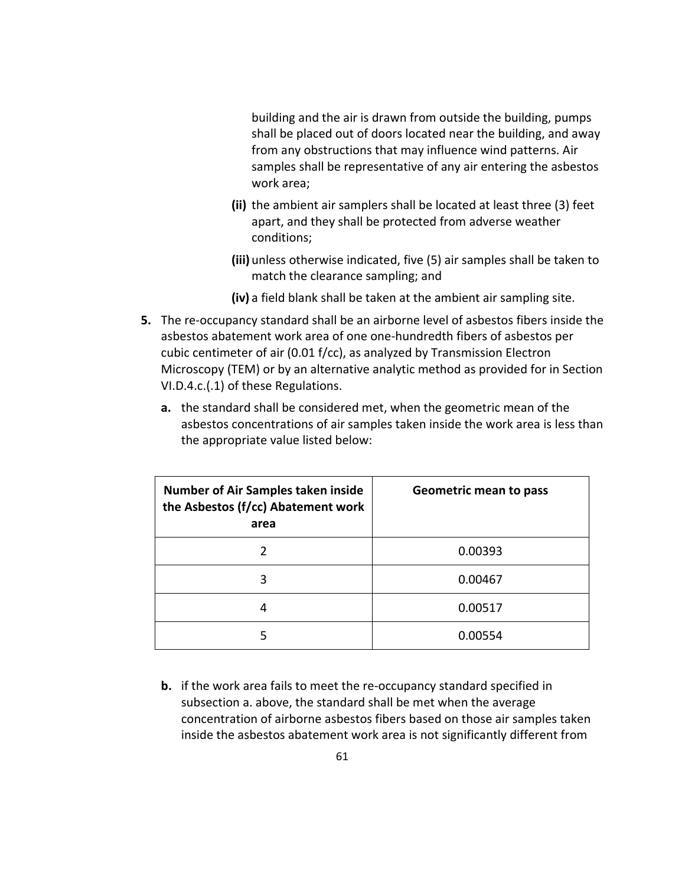building and the air is drawn from outside the building, pumps shall be placed out of doors located near the building, and away from any obstructions that may influence wind patterns. Air samples shall be representative of any air entering the asbestos work area;

- **(ii)** the ambient air samplers shall be located at least three (3) feet apart, and they shall be protected from adverse weather conditions;
- **(iii)** unless otherwise indicated, five (5) air samples shall be taken to match the clearance sampling; and
- **(iv)** a field blank shall be taken at the ambient air sampling site.
- **5.** The re-occupancy standard shall be an airborne level of asbestos fibers inside the asbestos abatement work area of one one‐hundredth fibers of asbestos per cubic centimeter of air (0.01 f/cc), as analyzed by Transmission Electron Microscopy (TEM) or by an alternative analytic method as provided for in Section VI.D.4.c.(.1) of these Regulations.
	- **a.** the standard shall be considered met, when the geometric mean of the asbestos concentrations of air samples taken inside the work area is less than the appropriate value listed below:

| <b>Number of Air Samples taken inside</b><br>the Asbestos (f/cc) Abatement work<br>area | <b>Geometric mean to pass</b> |
|-----------------------------------------------------------------------------------------|-------------------------------|
|                                                                                         | 0.00393                       |
| 3                                                                                       | 0.00467                       |
| 4                                                                                       | 0.00517                       |
| 5                                                                                       | 0.00554                       |

**b.** if the work area fails to meet the re-occupancy standard specified in subsection a. above, the standard shall be met when the average concentration of airborne asbestos fibers based on those air samples taken inside the asbestos abatement work area is not significantly different from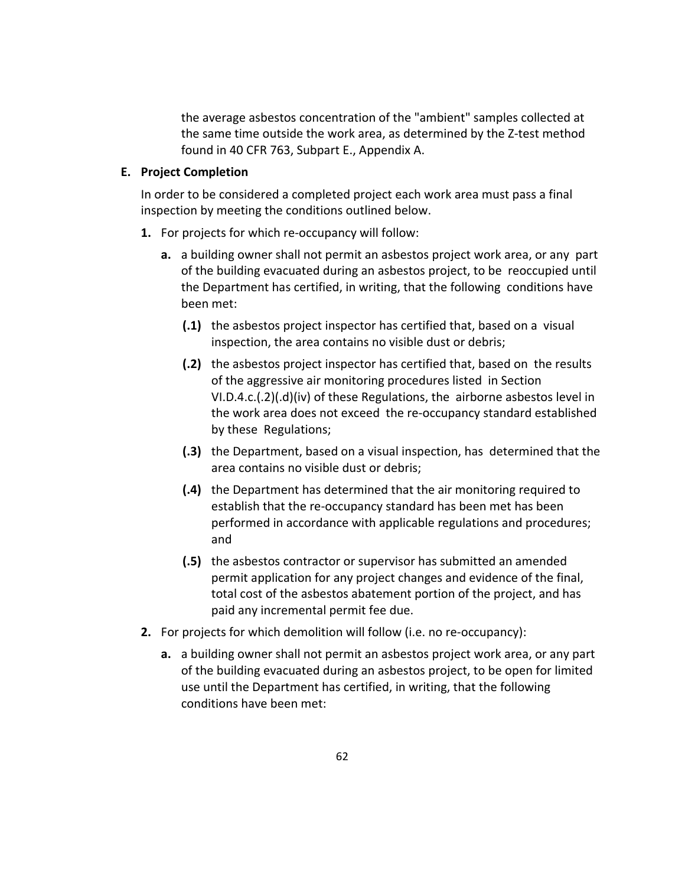the average asbestos concentration of the "ambient" samples collected at the same time outside the work area, as determined by the Z‐test method found in 40 CFR 763, Subpart E., Appendix A.

#### **E. Project Completion**

In order to be considered a completed project each work area must pass a final inspection by meeting the conditions outlined below.

- **1.** For projects for which re‐occupancy will follow:
	- **a.** a building owner shall not permit an asbestos project work area, or any part of the building evacuated during an asbestos project, to be reoccupied until the Department has certified, in writing, that the following conditions have been met:
		- **(.1)** the asbestos project inspector has certified that, based on a visual inspection, the area contains no visible dust or debris;
		- **(.2)** the asbestos project inspector has certified that, based on the results of the aggressive air monitoring procedures listed in Section VI.D.4.c.(.2)(.d)(iv) of these Regulations, the airborne asbestos level in the work area does not exceed the re‐occupancy standard established by these Regulations;
		- **(.3)** the Department, based on a visual inspection, has determined that the area contains no visible dust or debris;
		- **(.4)** the Department has determined that the air monitoring required to establish that the re‐occupancy standard has been met has been performed in accordance with applicable regulations and procedures; and
		- **(.5)** the asbestos contractor or supervisor has submitted an amended permit application for any project changes and evidence of the final, total cost of the asbestos abatement portion of the project, and has paid any incremental permit fee due.
- **2.** For projects for which demolition will follow (i.e. no re‐occupancy):
	- **a.** a building owner shall not permit an asbestos project work area, or any part of the building evacuated during an asbestos project, to be open for limited use until the Department has certified, in writing, that the following conditions have been met: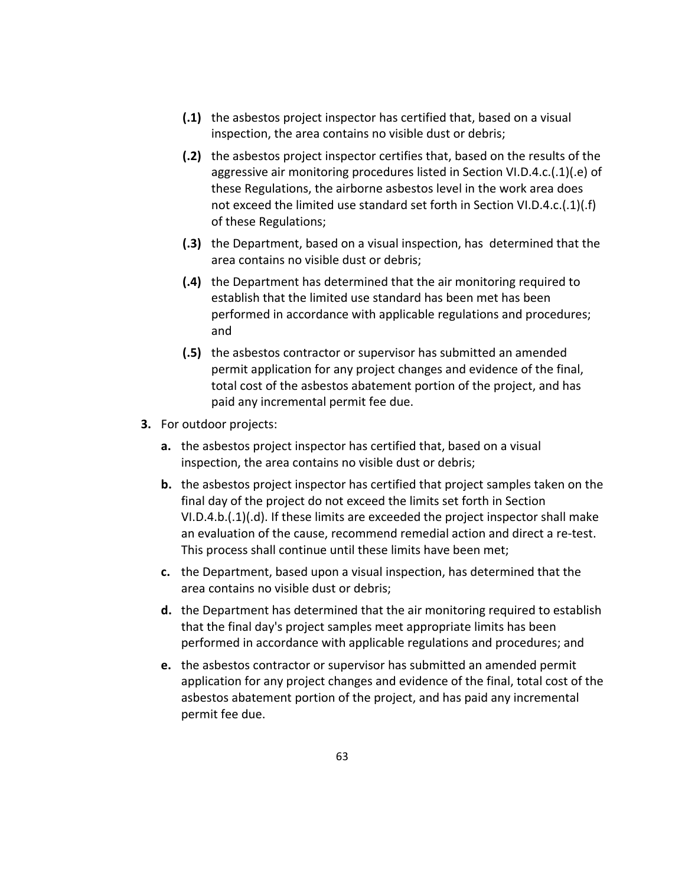- **(.1)** the asbestos project inspector has certified that, based on a visual inspection, the area contains no visible dust or debris;
- **(.2)** the asbestos project inspector certifies that, based on the results of the aggressive air monitoring procedures listed in Section VI.D.4.c.(.1)(.e) of these Regulations, the airborne asbestos level in the work area does not exceed the limited use standard set forth in Section VI.D.4.c.(.1)(.f) of these Regulations;
- **(.3)** the Department, based on a visual inspection, has determined that the area contains no visible dust or debris;
- **(.4)** the Department has determined that the air monitoring required to establish that the limited use standard has been met has been performed in accordance with applicable regulations and procedures; and
- **(.5)** the asbestos contractor or supervisor has submitted an amended permit application for any project changes and evidence of the final, total cost of the asbestos abatement portion of the project, and has paid any incremental permit fee due.
- **3.** For outdoor projects:
	- **a.** the asbestos project inspector has certified that, based on a visual inspection, the area contains no visible dust or debris;
	- **b.** the asbestos project inspector has certified that project samples taken on the final day of the project do not exceed the limits set forth in Section VI.D.4.b.(.1)(.d). If these limits are exceeded the project inspector shall make an evaluation of the cause, recommend remedial action and direct a re‐test. This process shall continue until these limits have been met;
	- **c.** the Department, based upon a visual inspection, has determined that the area contains no visible dust or debris;
	- **d.** the Department has determined that the air monitoring required to establish that the final day's project samples meet appropriate limits has been performed in accordance with applicable regulations and procedures; and
	- **e.** the asbestos contractor or supervisor has submitted an amended permit application for any project changes and evidence of the final, total cost of the asbestos abatement portion of the project, and has paid any incremental permit fee due.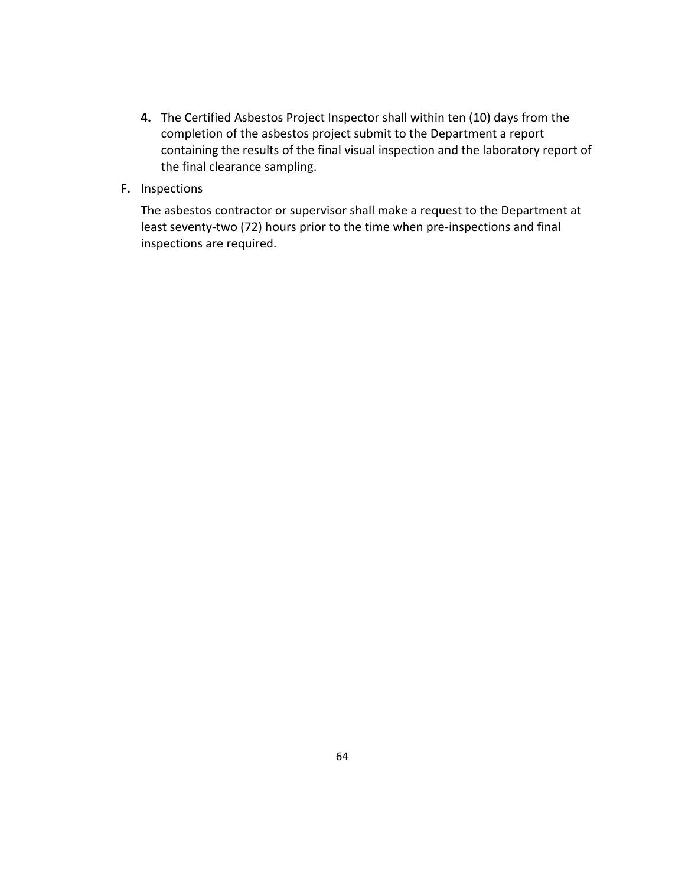- **4.** The Certified Asbestos Project Inspector shall within ten (10) days from the completion of the asbestos project submit to the Department a report containing the results of the final visual inspection and the laboratory report of the final clearance sampling.
- **F.** Inspections

The asbestos contractor or supervisor shall make a request to the Department at least seventy-two (72) hours prior to the time when pre-inspections and final inspections are required.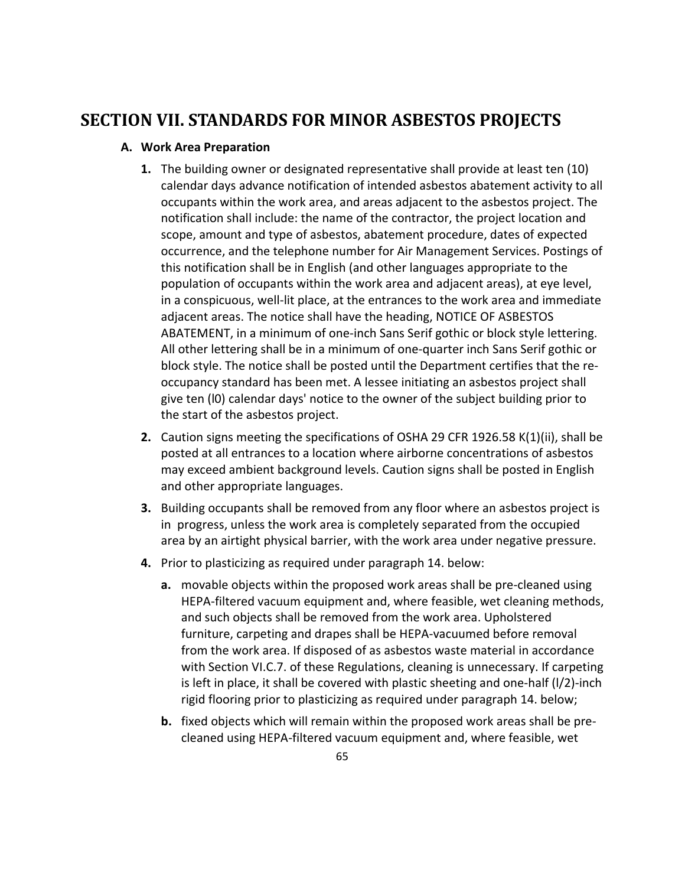## **SECTION VII. STANDARDS FOR MINOR ASBESTOS PROJECTS**

## **A. Work Area Preparation**

- **1.** The building owner or designated representative shall provide at least ten (10) calendar days advance notification of intended asbestos abatement activity to all occupants within the work area, and areas adjacent to the asbestos project. The notification shall include: the name of the contractor, the project location and scope, amount and type of asbestos, abatement procedure, dates of expected occurrence, and the telephone number for Air Management Services. Postings of this notification shall be in English (and other languages appropriate to the population of occupants within the work area and adjacent areas), at eye level, in a conspicuous, well‐lit place, at the entrances to the work area and immediate adjacent areas. The notice shall have the heading, NOTICE OF ASBESTOS ABATEMENT, in a minimum of one‐inch Sans Serif gothic or block style lettering. All other lettering shall be in a minimum of one‐quarter inch Sans Serif gothic or block style. The notice shall be posted until the Department certifies that the re‐ occupancy standard has been met. A lessee initiating an asbestos project shall give ten (l0) calendar days' notice to the owner of the subject building prior to the start of the asbestos project.
- **2.** Caution signs meeting the specifications of OSHA 29 CFR 1926.58 K(1)(ii), shall be posted at all entrances to a location where airborne concentrations of asbestos may exceed ambient background levels. Caution signs shall be posted in English and other appropriate languages.
- **3.** Building occupants shall be removed from any floor where an asbestos project is in progress, unless the work area is completely separated from the occupied area by an airtight physical barrier, with the work area under negative pressure.
- **4.** Prior to plasticizing as required under paragraph 14. below:
	- **a.** movable objects within the proposed work areas shall be pre‐cleaned using HEPA‐filtered vacuum equipment and, where feasible, wet cleaning methods, and such objects shall be removed from the work area. Upholstered furniture, carpeting and drapes shall be HEPA‐vacuumed before removal from the work area. If disposed of as asbestos waste material in accordance with Section VI.C.7. of these Regulations, cleaning is unnecessary. If carpeting is left in place, it shall be covered with plastic sheeting and one‐half (l/2)‐inch rigid flooring prior to plasticizing as required under paragraph 14. below;
	- **b.** fixed objects which will remain within the proposed work areas shall be pre‐ cleaned using HEPA‐filtered vacuum equipment and, where feasible, wet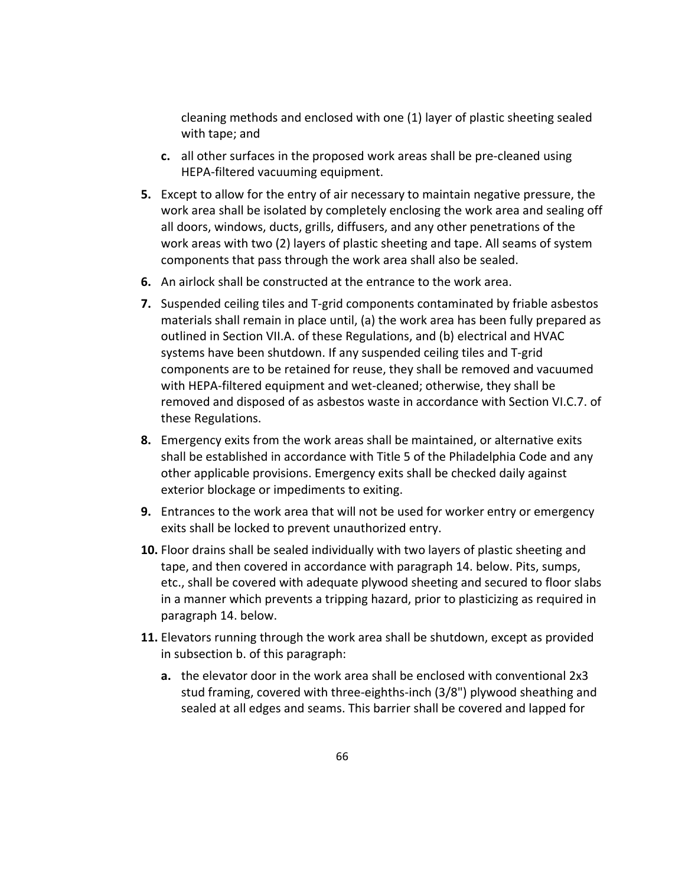cleaning methods and enclosed with one (1) layer of plastic sheeting sealed with tape; and

- **c.** all other surfaces in the proposed work areas shall be pre‐cleaned using HEPA‐filtered vacuuming equipment.
- **5.** Except to allow for the entry of air necessary to maintain negative pressure, the work area shall be isolated by completely enclosing the work area and sealing off all doors, windows, ducts, grills, diffusers, and any other penetrations of the work areas with two (2) layers of plastic sheeting and tape. All seams of system components that pass through the work area shall also be sealed.
- **6.** An airlock shall be constructed at the entrance to the work area.
- **7.** Suspended ceiling tiles and T‐grid components contaminated by friable asbestos materials shall remain in place until, (a) the work area has been fully prepared as outlined in Section VII.A. of these Regulations, and (b) electrical and HVAC systems have been shutdown. If any suspended ceiling tiles and T‐grid components are to be retained for reuse, they shall be removed and vacuumed with HEPA-filtered equipment and wet-cleaned; otherwise, they shall be removed and disposed of as asbestos waste in accordance with Section VI.C.7. of these Regulations.
- **8.** Emergency exits from the work areas shall be maintained, or alternative exits shall be established in accordance with Title 5 of the Philadelphia Code and any other applicable provisions. Emergency exits shall be checked daily against exterior blockage or impediments to exiting.
- **9.** Entrances to the work area that will not be used for worker entry or emergency exits shall be locked to prevent unauthorized entry.
- **10.** Floor drains shall be sealed individually with two layers of plastic sheeting and tape, and then covered in accordance with paragraph 14. below. Pits, sumps, etc., shall be covered with adequate plywood sheeting and secured to floor slabs in a manner which prevents a tripping hazard, prior to plasticizing as required in paragraph 14. below.
- **11.** Elevators running through the work area shall be shutdown, except as provided in subsection b. of this paragraph:
	- **a.** the elevator door in the work area shall be enclosed with conventional 2x3 stud framing, covered with three‐eighths‐inch (3/8") plywood sheathing and sealed at all edges and seams. This barrier shall be covered and lapped for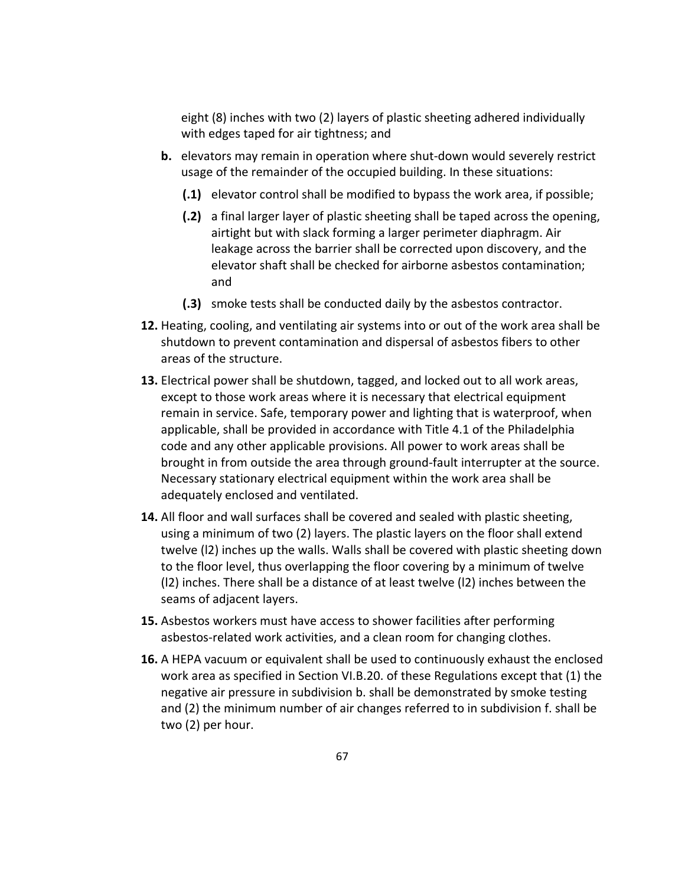eight (8) inches with two (2) layers of plastic sheeting adhered individually with edges taped for air tightness; and

- **b.** elevators may remain in operation where shut-down would severely restrict usage of the remainder of the occupied building. In these situations:
	- **(.1)** elevator control shall be modified to bypass the work area, if possible;
	- **(.2)** a final larger layer of plastic sheeting shall be taped across the opening, airtight but with slack forming a larger perimeter diaphragm. Air leakage across the barrier shall be corrected upon discovery, and the elevator shaft shall be checked for airborne asbestos contamination; and
	- **(.3)** smoke tests shall be conducted daily by the asbestos contractor.
- **12.** Heating, cooling, and ventilating air systems into or out of the work area shall be shutdown to prevent contamination and dispersal of asbestos fibers to other areas of the structure.
- **13.** Electrical power shall be shutdown, tagged, and locked out to all work areas, except to those work areas where it is necessary that electrical equipment remain in service. Safe, temporary power and lighting that is waterproof, when applicable, shall be provided in accordance with Title 4.1 of the Philadelphia code and any other applicable provisions. All power to work areas shall be brought in from outside the area through ground‐fault interrupter at the source. Necessary stationary electrical equipment within the work area shall be adequately enclosed and ventilated.
- **14.** All floor and wall surfaces shall be covered and sealed with plastic sheeting, using a minimum of two (2) layers. The plastic layers on the floor shall extend twelve (l2) inches up the walls. Walls shall be covered with plastic sheeting down to the floor level, thus overlapping the floor covering by a minimum of twelve (l2) inches. There shall be a distance of at least twelve (l2) inches between the seams of adjacent layers.
- **15.** Asbestos workers must have access to shower facilities after performing asbestos‐related work activities, and a clean room for changing clothes.
- **16.** A HEPA vacuum or equivalent shall be used to continuously exhaust the enclosed work area as specified in Section VI.B.20. of these Regulations except that (1) the negative air pressure in subdivision b. shall be demonstrated by smoke testing and (2) the minimum number of air changes referred to in subdivision f. shall be two (2) per hour.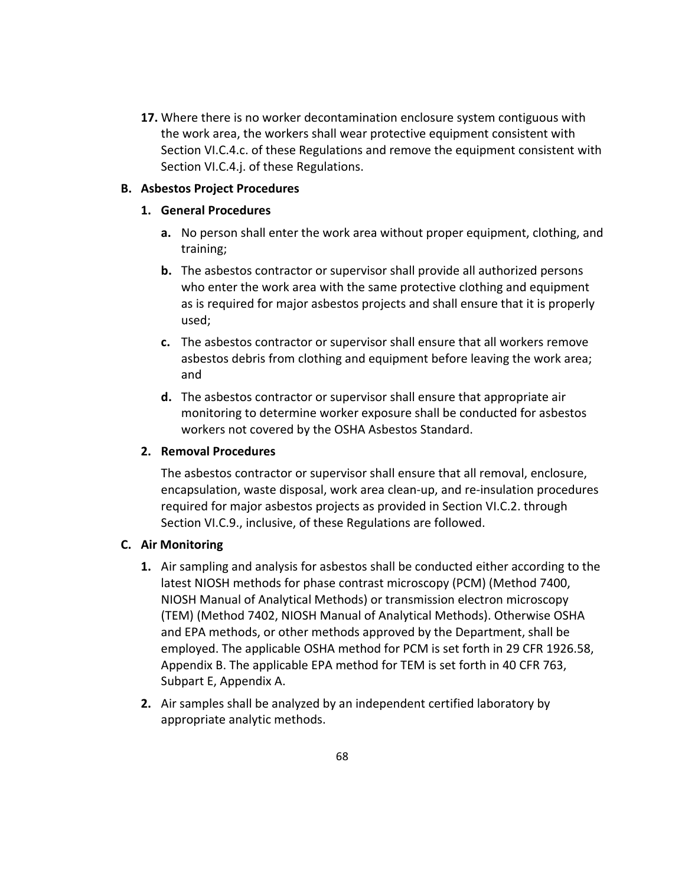**17.** Where there is no worker decontamination enclosure system contiguous with the work area, the workers shall wear protective equipment consistent with Section VI.C.4.c. of these Regulations and remove the equipment consistent with Section VI.C.4.j. of these Regulations.

#### **B. Asbestos Project Procedures**

#### **1. General Procedures**

- **a.** No person shall enter the work area without proper equipment, clothing, and training;
- **b.** The asbestos contractor or supervisor shall provide all authorized persons who enter the work area with the same protective clothing and equipment as is required for major asbestos projects and shall ensure that it is properly used;
- **c.** The asbestos contractor or supervisor shall ensure that all workers remove asbestos debris from clothing and equipment before leaving the work area; and
- **d.** The asbestos contractor or supervisor shall ensure that appropriate air monitoring to determine worker exposure shall be conducted for asbestos workers not covered by the OSHA Asbestos Standard.

## **2. Removal Procedures**

The asbestos contractor or supervisor shall ensure that all removal, enclosure, encapsulation, waste disposal, work area clean‐up, and re‐insulation procedures required for major asbestos projects as provided in Section VI.C.2. through Section VI.C.9., inclusive, of these Regulations are followed.

## **C. Air Monitoring**

- **1.** Air sampling and analysis for asbestos shall be conducted either according to the latest NIOSH methods for phase contrast microscopy (PCM) (Method 7400, NIOSH Manual of Analytical Methods) or transmission electron microscopy (TEM) (Method 7402, NIOSH Manual of Analytical Methods). Otherwise OSHA and EPA methods, or other methods approved by the Department, shall be employed. The applicable OSHA method for PCM is set forth in 29 CFR 1926.58, Appendix B. The applicable EPA method for TEM is set forth in 40 CFR 763, Subpart E, Appendix A.
- **2.** Air samples shall be analyzed by an independent certified laboratory by appropriate analytic methods.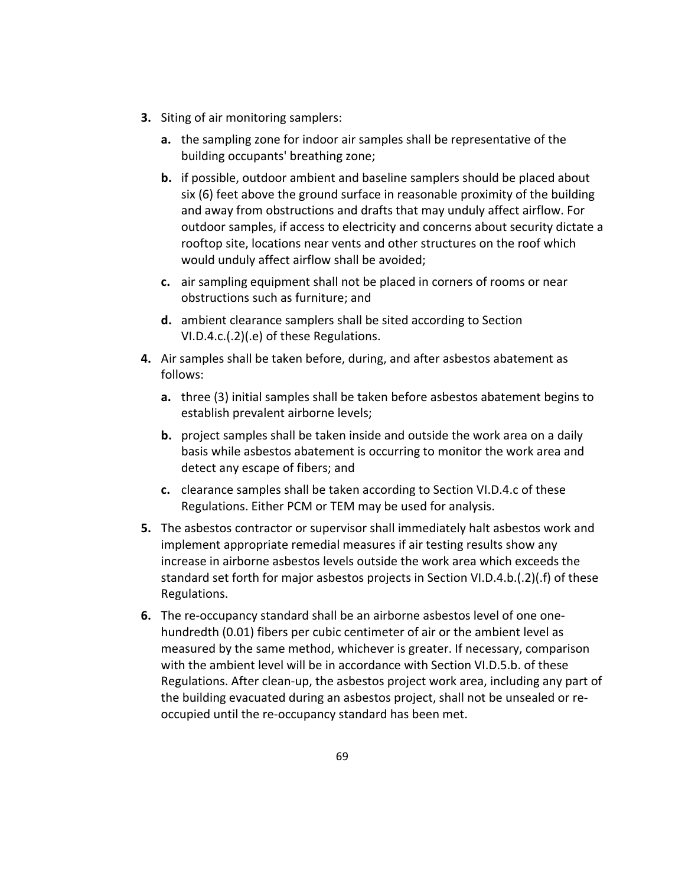- **3.** Siting of air monitoring samplers:
	- **a.** the sampling zone for indoor air samples shall be representative of the building occupants' breathing zone;
	- **b.** if possible, outdoor ambient and baseline samplers should be placed about six (6) feet above the ground surface in reasonable proximity of the building and away from obstructions and drafts that may unduly affect airflow. For outdoor samples, if access to electricity and concerns about security dictate a rooftop site, locations near vents and other structures on the roof which would unduly affect airflow shall be avoided;
	- **c.** air sampling equipment shall not be placed in corners of rooms or near obstructions such as furniture; and
	- **d.** ambient clearance samplers shall be sited according to Section VI.D.4.c.(.2)(.e) of these Regulations.
- **4.** Air samples shall be taken before, during, and after asbestos abatement as follows:
	- **a.** three (3) initial samples shall be taken before asbestos abatement begins to establish prevalent airborne levels;
	- **b.** project samples shall be taken inside and outside the work area on a daily basis while asbestos abatement is occurring to monitor the work area and detect any escape of fibers; and
	- **c.** clearance samples shall be taken according to Section VI.D.4.c of these Regulations. Either PCM or TEM may be used for analysis.
- **5.** The asbestos contractor or supervisor shall immediately halt asbestos work and implement appropriate remedial measures if air testing results show any increase in airborne asbestos levels outside the work area which exceeds the standard set forth for major asbestos projects in Section VI.D.4.b.(.2)(.f) of these Regulations.
- **6.** The re-occupancy standard shall be an airborne asbestos level of one onehundredth (0.01) fibers per cubic centimeter of air or the ambient level as measured by the same method, whichever is greater. If necessary, comparison with the ambient level will be in accordance with Section VI.D.5.b. of these Regulations. After clean‐up, the asbestos project work area, including any part of the building evacuated during an asbestos project, shall not be unsealed or re‐ occupied until the re‐occupancy standard has been met.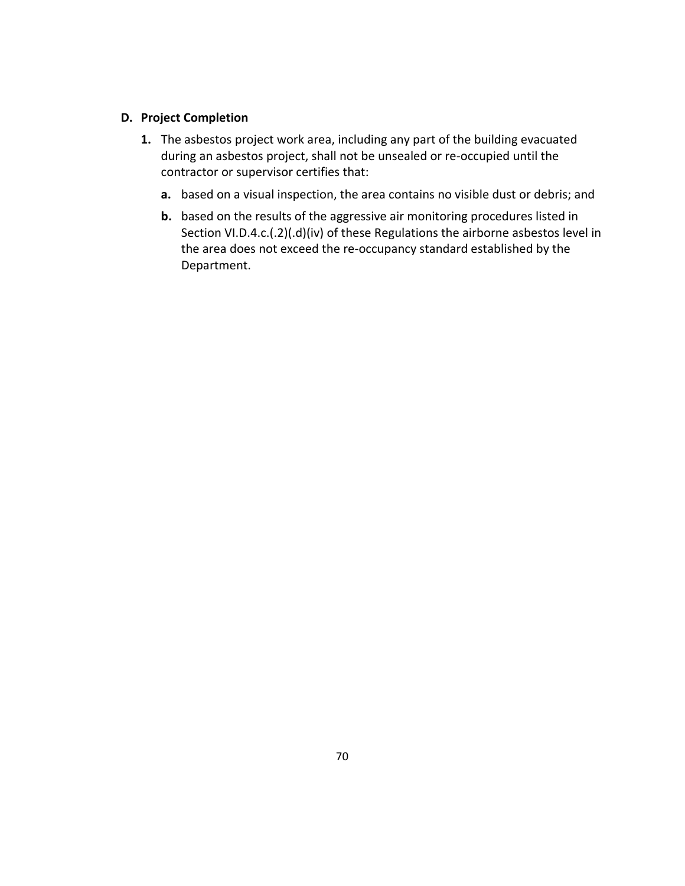#### **D. Project Completion**

- **1.** The asbestos project work area, including any part of the building evacuated during an asbestos project, shall not be unsealed or re‐occupied until the contractor or supervisor certifies that:
	- **a.** based on a visual inspection, the area contains no visible dust or debris; and
	- **b.** based on the results of the aggressive air monitoring procedures listed in Section VI.D.4.c.(.2)(.d)(iv) of these Regulations the airborne asbestos level in the area does not exceed the re‐occupancy standard established by the Department.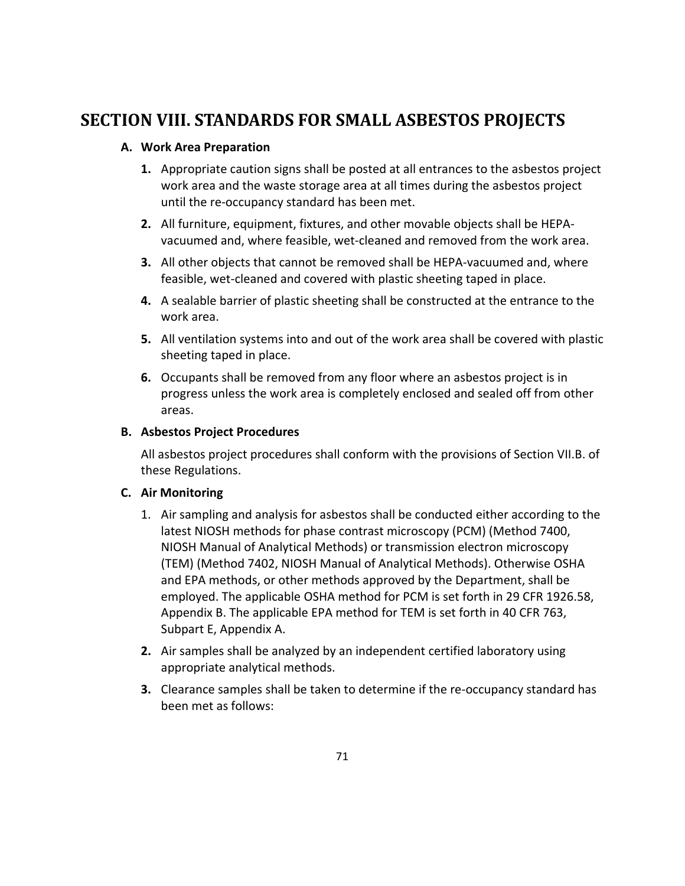# **SECTION VIII. STANDARDS FOR SMALL ASBESTOS PROJECTS**

## **A. Work Area Preparation**

- **1.** Appropriate caution signs shall be posted at all entrances to the asbestos project work area and the waste storage area at all times during the asbestos project until the re‐occupancy standard has been met.
- **2.** All furniture, equipment, fixtures, and other movable objects shall be HEPA‐ vacuumed and, where feasible, wet‐cleaned and removed from the work area.
- **3.** All other objects that cannot be removed shall be HEPA-vacuumed and, where feasible, wet-cleaned and covered with plastic sheeting taped in place.
- **4.** A sealable barrier of plastic sheeting shall be constructed at the entrance to the work area.
- **5.** All ventilation systems into and out of the work area shall be covered with plastic sheeting taped in place.
- **6.** Occupants shall be removed from any floor where an asbestos project is in progress unless the work area is completely enclosed and sealed off from other areas.

## **B. Asbestos Project Procedures**

All asbestos project procedures shall conform with the provisions of Section VII.B. of these Regulations.

## **C. Air Monitoring**

- 1. Air sampling and analysis for asbestos shall be conducted either according to the latest NIOSH methods for phase contrast microscopy (PCM) (Method 7400, NIOSH Manual of Analytical Methods) or transmission electron microscopy (TEM) (Method 7402, NIOSH Manual of Analytical Methods). Otherwise OSHA and EPA methods, or other methods approved by the Department, shall be employed. The applicable OSHA method for PCM is set forth in 29 CFR 1926.58, Appendix B. The applicable EPA method for TEM is set forth in 40 CFR 763, Subpart E, Appendix A.
- **2.** Air samples shall be analyzed by an independent certified laboratory using appropriate analytical methods.
- **3.** Clearance samples shall be taken to determine if the re-occupancy standard has been met as follows: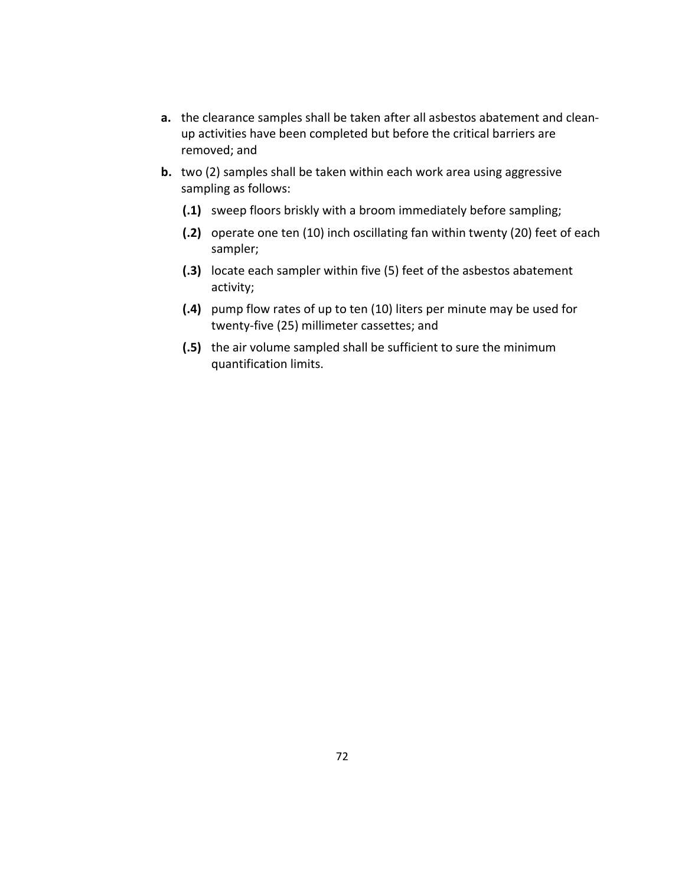- **a.** the clearance samples shall be taken after all asbestos abatement and clean‐ up activities have been completed but before the critical barriers are removed; and
- **b.** two (2) samples shall be taken within each work area using aggressive sampling as follows:
	- **(.1)** sweep floors briskly with a broom immediately before sampling;
	- **(.2)** operate one ten (10) inch oscillating fan within twenty (20) feet of each sampler;
	- **(.3)** locate each sampler within five (5) feet of the asbestos abatement activity;
	- **(.4)** pump flow rates of up to ten (10) liters per minute may be used for twenty‐five (25) millimeter cassettes; and
	- **(.5)** the air volume sampled shall be sufficient to sure the minimum quantification limits.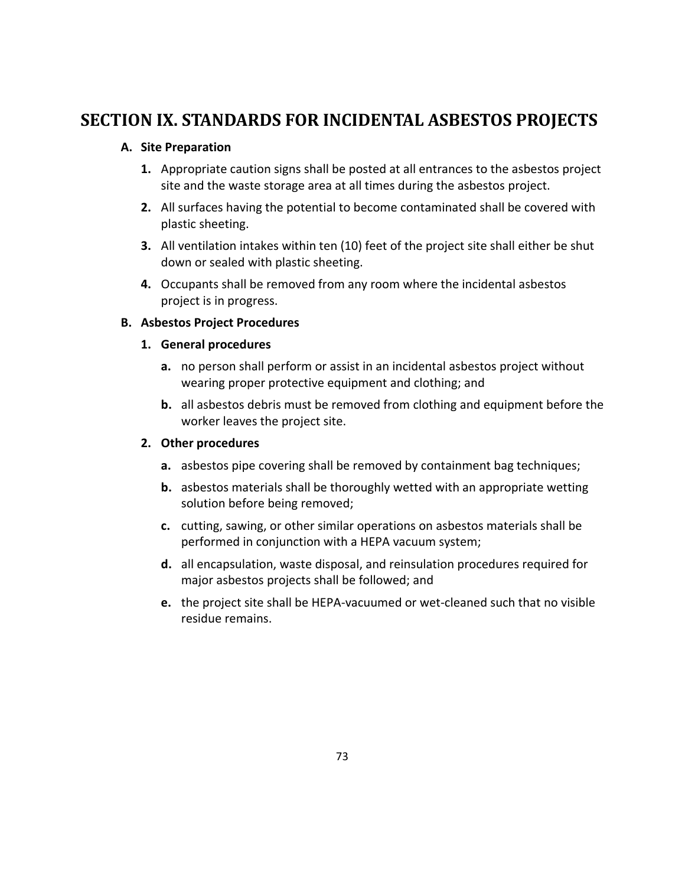# **SECTION IX. STANDARDS FOR INCIDENTAL ASBESTOS PROJECTS**

## **A. Site Preparation**

- **1.** Appropriate caution signs shall be posted at all entrances to the asbestos project site and the waste storage area at all times during the asbestos project.
- **2.** All surfaces having the potential to become contaminated shall be covered with plastic sheeting.
- **3.** All ventilation intakes within ten (10) feet of the project site shall either be shut down or sealed with plastic sheeting.
- **4.** Occupants shall be removed from any room where the incidental asbestos project is in progress.

## **B. Asbestos Project Procedures**

## **1. General procedures**

- **a.** no person shall perform or assist in an incidental asbestos project without wearing proper protective equipment and clothing; and
- **b.** all asbestos debris must be removed from clothing and equipment before the worker leaves the project site.

## **2. Other procedures**

- **a.** asbestos pipe covering shall be removed by containment bag techniques;
- **b.** asbestos materials shall be thoroughly wetted with an appropriate wetting solution before being removed;
- **c.** cutting, sawing, or other similar operations on asbestos materials shall be performed in conjunction with a HEPA vacuum system;
- **d.** all encapsulation, waste disposal, and reinsulation procedures required for major asbestos projects shall be followed; and
- **e.** the project site shall be HEPA‐vacuumed or wet‐cleaned such that no visible residue remains.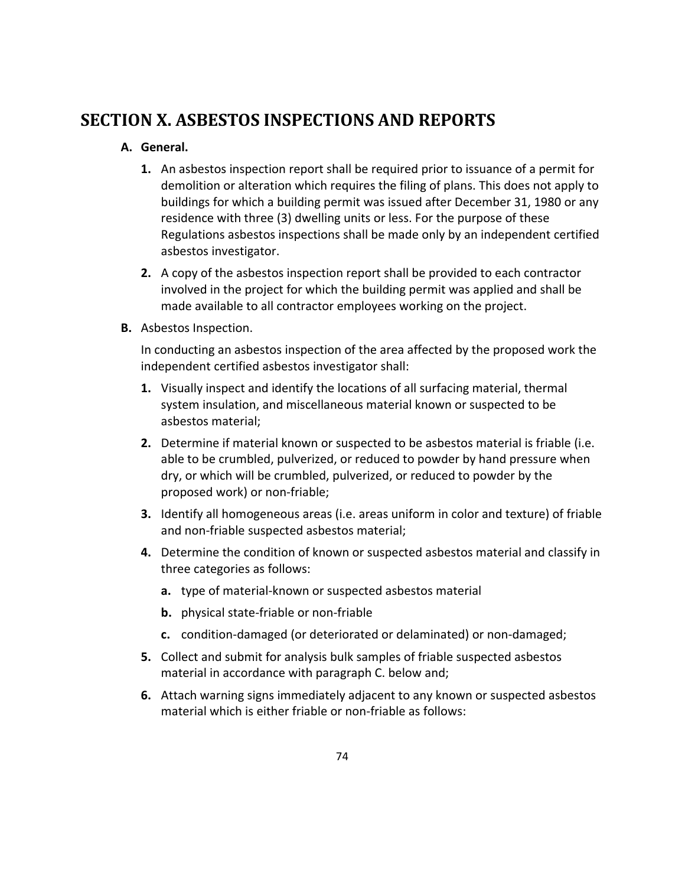# **SECTION X. ASBESTOS INSPECTIONS AND REPORTS**

## **A. General.**

- **1.** An asbestos inspection report shall be required prior to issuance of a permit for demolition or alteration which requires the filing of plans. This does not apply to buildings for which a building permit was issued after December 31, 1980 or any residence with three (3) dwelling units or less. For the purpose of these Regulations asbestos inspections shall be made only by an independent certified asbestos investigator.
- **2.** A copy of the asbestos inspection report shall be provided to each contractor involved in the project for which the building permit was applied and shall be made available to all contractor employees working on the project.
- **B.** Asbestos Inspection.

In conducting an asbestos inspection of the area affected by the proposed work the independent certified asbestos investigator shall:

- **1.** Visually inspect and identify the locations of all surfacing material, thermal system insulation, and miscellaneous material known or suspected to be asbestos material;
- **2.** Determine if material known or suspected to be asbestos material is friable (i.e. able to be crumbled, pulverized, or reduced to powder by hand pressure when dry, or which will be crumbled, pulverized, or reduced to powder by the proposed work) or non‐friable;
- **3.** Identify all homogeneous areas (i.e. areas uniform in color and texture) of friable and non‐friable suspected asbestos material;
- **4.** Determine the condition of known or suspected asbestos material and classify in three categories as follows:
	- **a.** type of material‐known or suspected asbestos material
	- **b.** physical state-friable or non-friable
	- **c.** condition‐damaged (or deteriorated or delaminated) or non‐damaged;
- **5.** Collect and submit for analysis bulk samples of friable suspected asbestos material in accordance with paragraph C. below and;
- **6.** Attach warning signs immediately adjacent to any known or suspected asbestos material which is either friable or non‐friable as follows: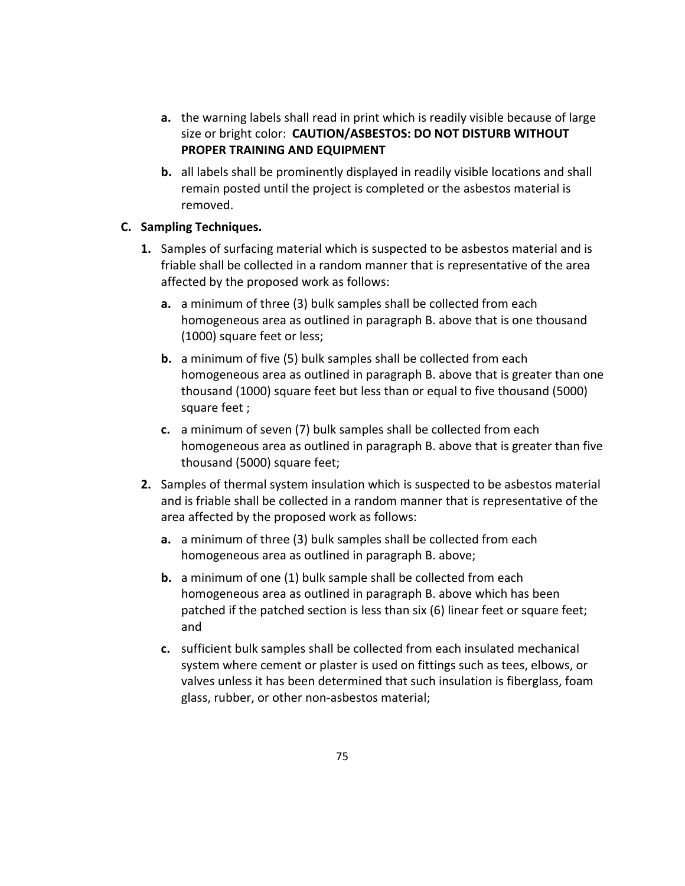- **a.** the warning labels shall read in print which is readily visible because of large size or bright color: **CAUTION/ASBESTOS: DO NOT DISTURB WITHOUT PROPER TRAINING AND EQUIPMENT**
- **b.** all labels shall be prominently displayed in readily visible locations and shall remain posted until the project is completed or the asbestos material is removed.

## **C. Sampling Techniques.**

- **1.** Samples of surfacing material which is suspected to be asbestos material and is friable shall be collected in a random manner that is representative of the area affected by the proposed work as follows:
	- **a.** a minimum of three (3) bulk samples shall be collected from each homogeneous area as outlined in paragraph B. above that is one thousand (1000) square feet or less;
	- **b.** a minimum of five (5) bulk samples shall be collected from each homogeneous area as outlined in paragraph B. above that is greater than one thousand (1000) square feet but less than or equal to five thousand (5000) square feet ;
	- **c.** a minimum of seven (7) bulk samples shall be collected from each homogeneous area as outlined in paragraph B. above that is greater than five thousand (5000) square feet;
- **2.** Samples of thermal system insulation which is suspected to be asbestos material and is friable shall be collected in a random manner that is representative of the area affected by the proposed work as follows:
	- **a.** a minimum of three (3) bulk samples shall be collected from each homogeneous area as outlined in paragraph B. above;
	- **b.** a minimum of one (1) bulk sample shall be collected from each homogeneous area as outlined in paragraph B. above which has been patched if the patched section is less than six (6) linear feet or square feet; and
	- **c.** sufficient bulk samples shall be collected from each insulated mechanical system where cement or plaster is used on fittings such as tees, elbows, or valves unless it has been determined that such insulation is fiberglass, foam glass, rubber, or other non‐asbestos material;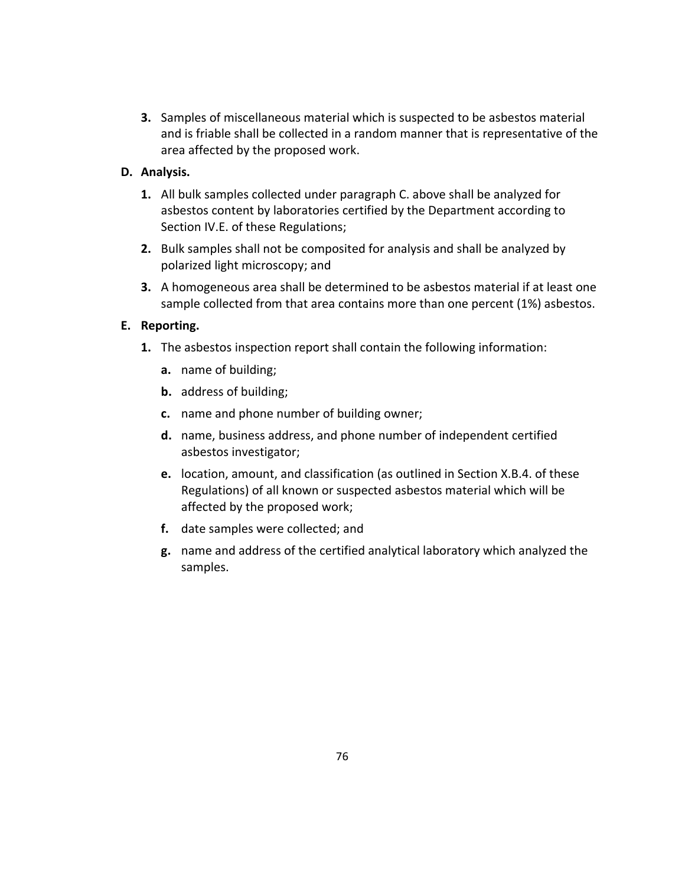**3.** Samples of miscellaneous material which is suspected to be asbestos material and is friable shall be collected in a random manner that is representative of the area affected by the proposed work.

## **D. Analysis.**

- **1.** All bulk samples collected under paragraph C. above shall be analyzed for asbestos content by laboratories certified by the Department according to Section IV.E. of these Regulations;
- **2.** Bulk samples shall not be composited for analysis and shall be analyzed by polarized light microscopy; and
- **3.** A homogeneous area shall be determined to be asbestos material if at least one sample collected from that area contains more than one percent (1%) asbestos.

## **E. Reporting.**

- **1.** The asbestos inspection report shall contain the following information:
	- **a.** name of building;
	- **b.** address of building;
	- **c.** name and phone number of building owner;
	- **d.** name, business address, and phone number of independent certified asbestos investigator;
	- **e.** location, amount, and classification (as outlined in Section X.B.4. of these Regulations) of all known or suspected asbestos material which will be affected by the proposed work;
	- **f.** date samples were collected; and
	- **g.** name and address of the certified analytical laboratory which analyzed the samples.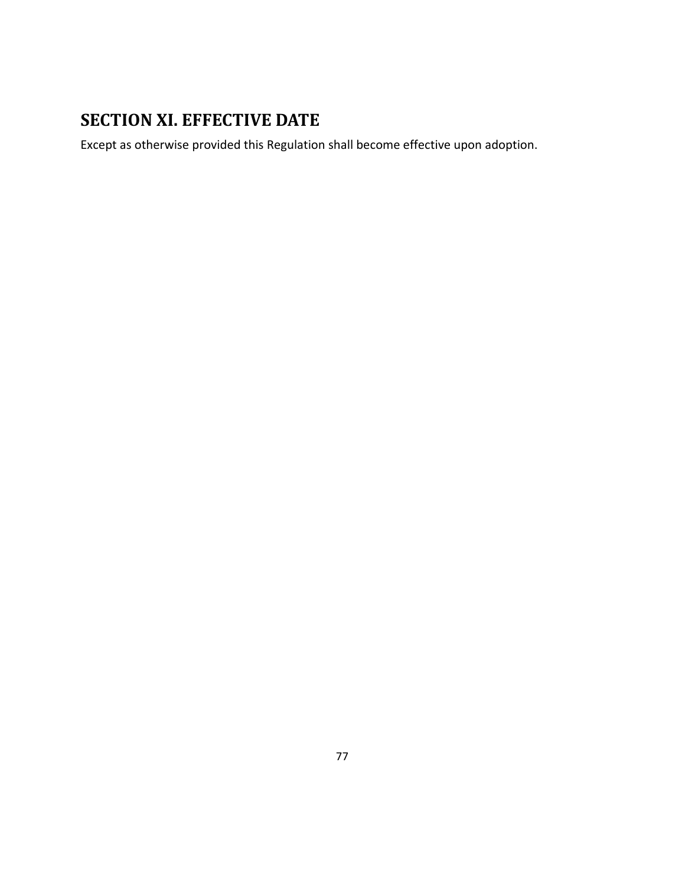# **SECTION XI. EFFECTIVE DATE**

Except as otherwise provided this Regulation shall become effective upon adoption.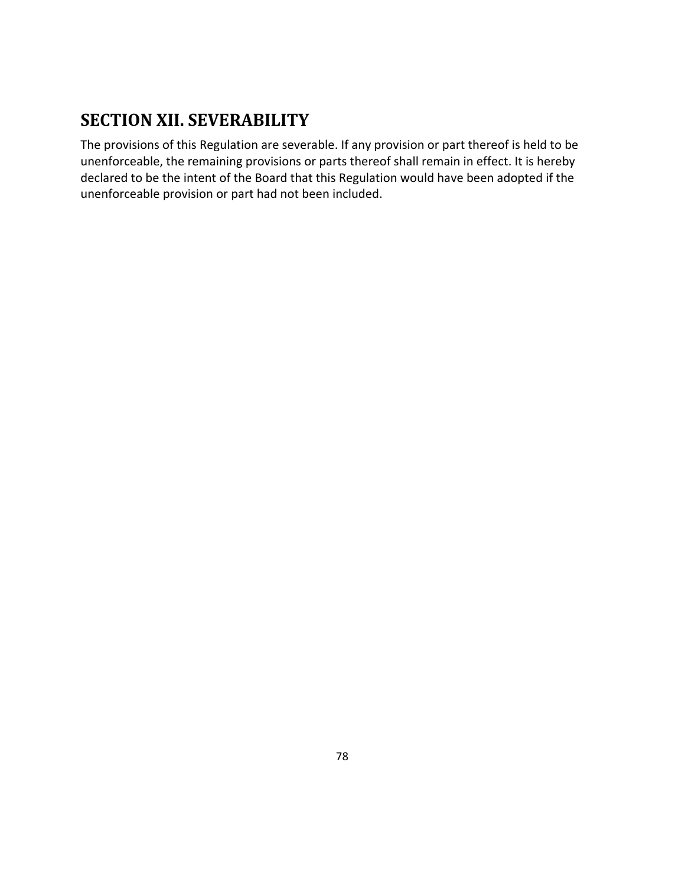# **SECTION XII. SEVERABILITY**

The provisions of this Regulation are severable. If any provision or part thereof is held to be unenforceable, the remaining provisions or parts thereof shall remain in effect. It is hereby declared to be the intent of the Board that this Regulation would have been adopted if the unenforceable provision or part had not been included.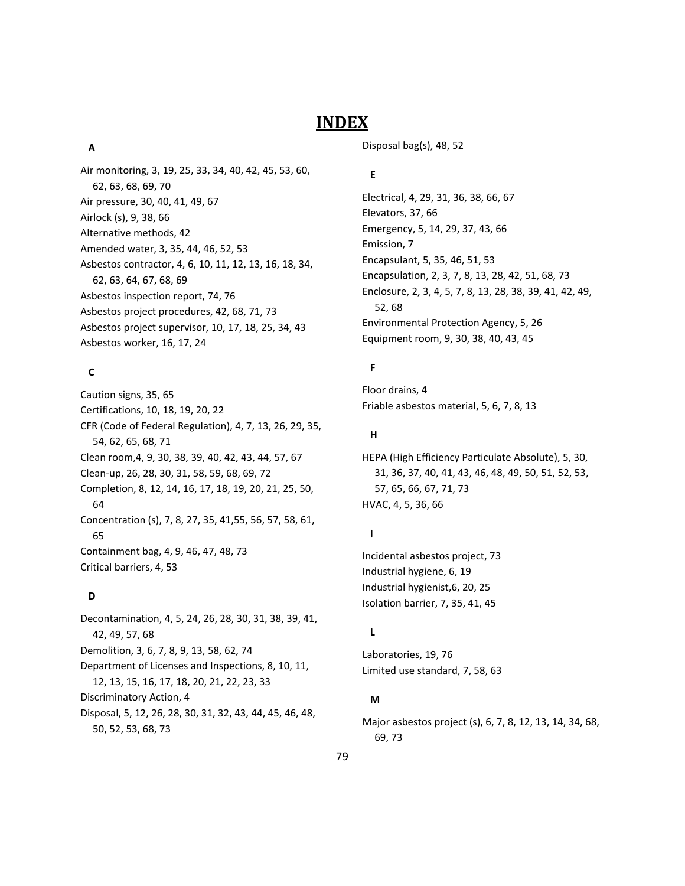## **INDEX**

#### **A**

Air monitoring, 3, 19, 25, 33, 34, 40, 42, 45, 53, 60, 62, 63, 68, 69, 70 Air pressure, 30, 40, 41, 49, 67 Airlock (s), 9, 38, 66 Alternative methods, 42 Amended water, 3, 35, 44, 46, 52, 53 Asbestos contractor, 4, 6, 10, 11, 12, 13, 16, 18, 34, 62, 63, 64, 67, 68, 69 Asbestos inspection report, 74, 76 Asbestos project procedures, 42, 68, 71, 73 Asbestos project supervisor, 10, 17, 18, 25, 34, 43 Asbestos worker, 16, 17, 24

#### **C**

Caution signs, 35, 65 Certifications, 10, 18, 19, 20, 22 CFR (Code of Federal Regulation), 4, 7, 13, 26, 29, 35, 54, 62, 65, 68, 71 Clean room,4, 9, 30, 38, 39, 40, 42, 43, 44, 57, 67 Clean‐up, 26, 28, 30, 31, 58, 59, 68, 69, 72 Completion, 8, 12, 14, 16, 17, 18, 19, 20, 21, 25, 50, 64 Concentration (s), 7, 8, 27, 35, 41,55, 56, 57, 58, 61, 65 Containment bag, 4, 9, 46, 47, 48, 73 Critical barriers, 4, 53

#### **D**

Decontamination, 4, 5, 24, 26, 28, 30, 31, 38, 39, 41, 42, 49, 57, 68 Demolition, 3, 6, 7, 8, 9, 13, 58, 62, 74 Department of Licenses and Inspections, 8, 10, 11, 12, 13, 15, 16, 17, 18, 20, 21, 22, 23, 33 Discriminatory Action, 4 Disposal, 5, 12, 26, 28, 30, 31, 32, 43, 44, 45, 46, 48, 50, 52, 53, 68, 73

Disposal bag(s), 48, 52

#### **E**

Electrical, 4, 29, 31, 36, 38, 66, 67 Elevators, 37, 66 Emergency, 5, 14, 29, 37, 43, 66 Emission, 7 Encapsulant, 5, 35, 46, 51, 53 Encapsulation, 2, 3, 7, 8, 13, 28, 42, 51, 68, 73 Enclosure, 2, 3, 4, 5, 7, 8, 13, 28, 38, 39, 41, 42, 49, 52, 68 Environmental Protection Agency, 5, 26 Equipment room, 9, 30, 38, 40, 43, 45

#### **F**

Floor drains, 4 Friable asbestos material, 5, 6, 7, 8, 13

#### **H**

HEPA (High Efficiency Particulate Absolute), 5, 30, 31, 36, 37, 40, 41, 43, 46, 48, 49, 50, 51, 52, 53, 57, 65, 66, 67, 71, 73 HVAC, 4, 5, 36, 66

#### **I**

Incidental asbestos project, 73 Industrial hygiene, 6, 19 Industrial hygienist,6, 20, 25 Isolation barrier, 7, 35, 41, 45

#### **L**

Laboratories, 19, 76 Limited use standard, 7, 58, 63

#### **M**

Major asbestos project (s), 6, 7, 8, 12, 13, 14, 34, 68, 69, 73